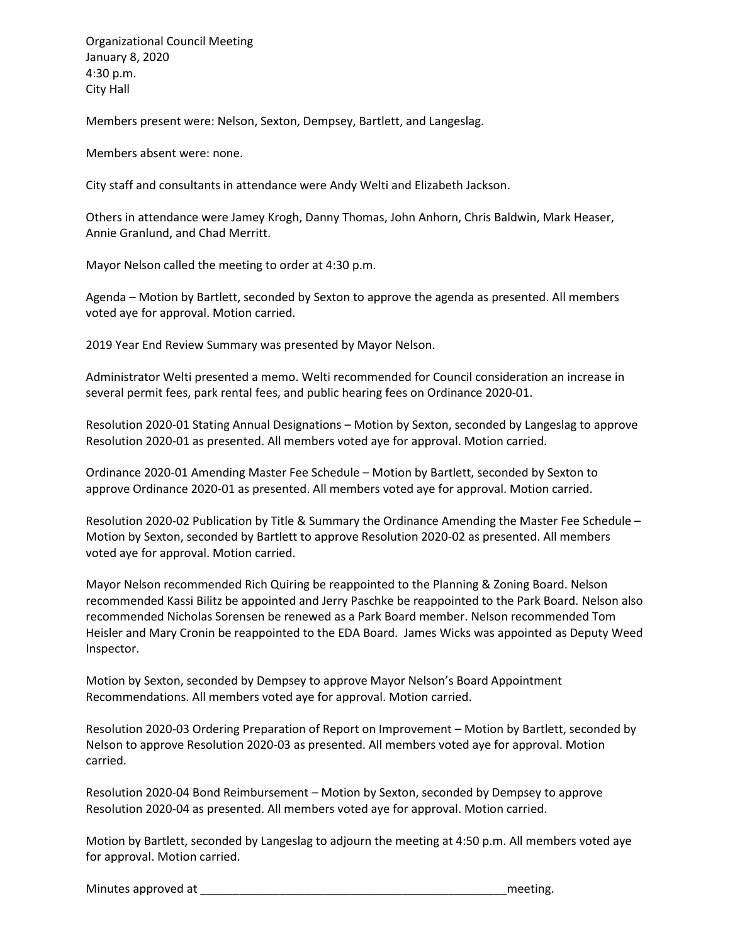Organizational Council Meeting January 8, 2020 4:30 p.m. City Hall

Members present were: Nelson, Sexton, Dempsey, Bartlett, and Langeslag.

Members absent were: none.

City staff and consultants in attendance were Andy Welti and Elizabeth Jackson.

Others in attendance were Jamey Krogh, Danny Thomas, John Anhorn, Chris Baldwin, Mark Heaser, Annie Granlund, and Chad Merritt.

Mayor Nelson called the meeting to order at 4:30 p.m.

Agenda – Motion by Bartlett, seconded by Sexton to approve the agenda as presented. All members voted aye for approval. Motion carried.

2019 Year End Review Summary was presented by Mayor Nelson.

Administrator Welti presented a memo. Welti recommended for Council consideration an increase in several permit fees, park rental fees, and public hearing fees on Ordinance 2020-01.

Resolution 2020-01 Stating Annual Designations – Motion by Sexton, seconded by Langeslag to approve Resolution 2020-01 as presented. All members voted aye for approval. Motion carried.

Ordinance 2020-01 Amending Master Fee Schedule – Motion by Bartlett, seconded by Sexton to approve Ordinance 2020-01 as presented. All members voted aye for approval. Motion carried.

Resolution 2020-02 Publication by Title & Summary the Ordinance Amending the Master Fee Schedule – Motion by Sexton, seconded by Bartlett to approve Resolution 2020-02 as presented. All members voted aye for approval. Motion carried.

Mayor Nelson recommended Rich Quiring be reappointed to the Planning & Zoning Board. Nelson recommended Kassi Bilitz be appointed and Jerry Paschke be reappointed to the Park Board. Nelson also recommended Nicholas Sorensen be renewed as a Park Board member. Nelson recommended Tom Heisler and Mary Cronin be reappointed to the EDA Board. James Wicks was appointed as Deputy Weed Inspector.

Motion by Sexton, seconded by Dempsey to approve Mayor Nelson's Board Appointment Recommendations. All members voted aye for approval. Motion carried.

Resolution 2020-03 Ordering Preparation of Report on Improvement – Motion by Bartlett, seconded by Nelson to approve Resolution 2020-03 as presented. All members voted aye for approval. Motion carried.

Resolution 2020-04 Bond Reimbursement – Motion by Sexton, seconded by Dempsey to approve Resolution 2020-04 as presented. All members voted aye for approval. Motion carried.

Motion by Bartlett, seconded by Langeslag to adjourn the meeting at 4:50 p.m. All members voted aye for approval. Motion carried.

Minutes approved at \_\_\_\_\_\_\_\_\_\_\_\_\_\_\_\_\_\_\_\_\_\_\_\_\_\_\_\_\_\_\_\_\_\_\_\_\_\_\_\_\_\_\_\_\_\_\_meeting.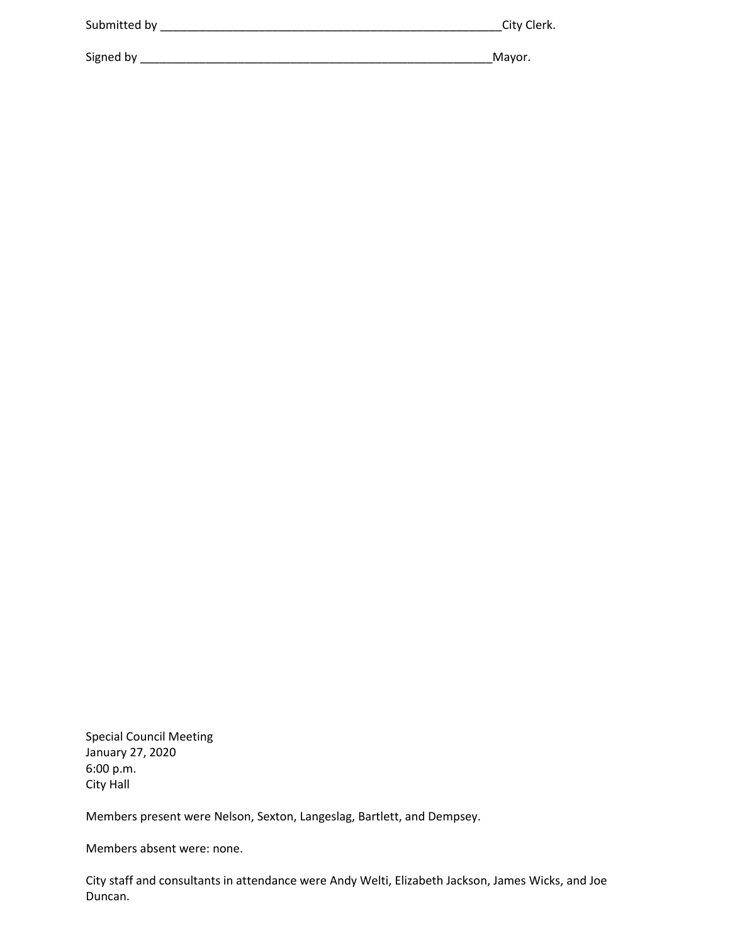| City Clerk. |
|-------------|
| Mayor.      |
|             |

Special Council Meeting January 27, 2020 6:00 p.m. City Hall

Members present were Nelson, Sexton, Langeslag, Bartlett, and Dempsey.

Members absent were: none.

City staff and consultants in attendance were Andy Welti, Elizabeth Jackson, James Wicks, and Joe Duncan.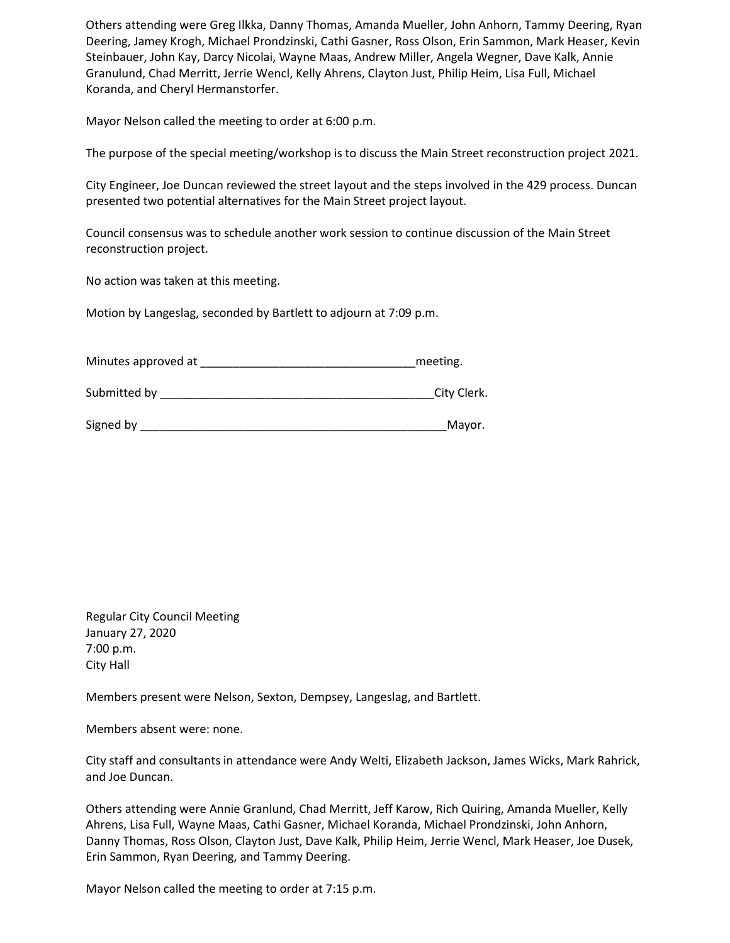Others attending were Greg Ilkka, Danny Thomas, Amanda Mueller, John Anhorn, Tammy Deering, Ryan Deering, Jamey Krogh, Michael Prondzinski, Cathi Gasner, Ross Olson, Erin Sammon, Mark Heaser, Kevin Steinbauer, John Kay, Darcy Nicolai, Wayne Maas, Andrew Miller, Angela Wegner, Dave Kalk, Annie Granulund, Chad Merritt, Jerrie Wencl, Kelly Ahrens, Clayton Just, Philip Heim, Lisa Full, Michael Koranda, and Cheryl Hermanstorfer.

Mayor Nelson called the meeting to order at 6:00 p.m.

The purpose of the special meeting/workshop is to discuss the Main Street reconstruction project 2021.

City Engineer, Joe Duncan reviewed the street layout and the steps involved in the 429 process. Duncan presented two potential alternatives for the Main Street project layout.

Council consensus was to schedule another work session to continue discussion of the Main Street reconstruction project.

No action was taken at this meeting.

Motion by Langeslag, seconded by Bartlett to adjourn at 7:09 p.m.

| Minutes approved at | meeting. |
|---------------------|----------|
|---------------------|----------|

Submitted by \_\_\_\_\_\_\_\_\_\_\_\_\_\_\_\_\_\_\_\_\_\_\_\_\_\_\_\_\_\_\_\_\_\_\_\_\_\_\_\_\_\_City Clerk.

Signed by \_\_\_\_\_\_\_\_\_\_\_\_\_\_\_\_\_\_\_\_\_\_\_\_\_\_\_\_\_\_\_\_\_\_\_\_\_\_\_\_\_\_\_\_\_\_\_Mayor.

Regular City Council Meeting January 27, 2020 7:00 p.m. City Hall

Members present were Nelson, Sexton, Dempsey, Langeslag, and Bartlett.

Members absent were: none.

City staff and consultants in attendance were Andy Welti, Elizabeth Jackson, James Wicks, Mark Rahrick, and Joe Duncan.

Others attending were Annie Granlund, Chad Merritt, Jeff Karow, Rich Quiring, Amanda Mueller, Kelly Ahrens, Lisa Full, Wayne Maas, Cathi Gasner, Michael Koranda, Michael Prondzinski, John Anhorn, Danny Thomas, Ross Olson, Clayton Just, Dave Kalk, Philip Heim, Jerrie Wencl, Mark Heaser, Joe Dusek, Erin Sammon, Ryan Deering, and Tammy Deering.

Mayor Nelson called the meeting to order at 7:15 p.m.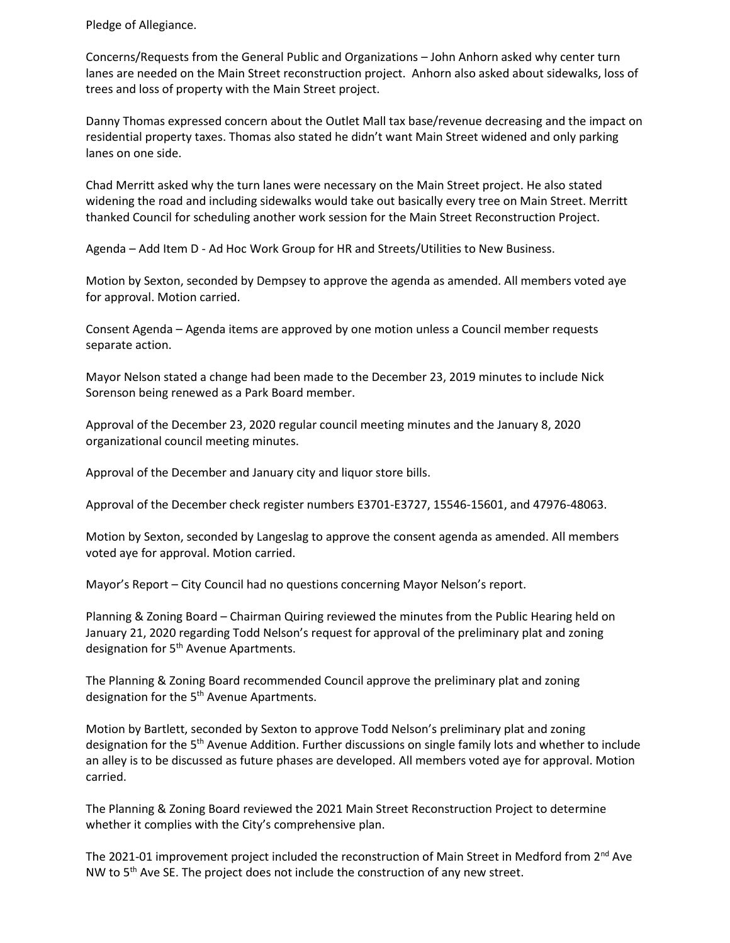Pledge of Allegiance.

Concerns/Requests from the General Public and Organizations – John Anhorn asked why center turn lanes are needed on the Main Street reconstruction project. Anhorn also asked about sidewalks, loss of trees and loss of property with the Main Street project.

Danny Thomas expressed concern about the Outlet Mall tax base/revenue decreasing and the impact on residential property taxes. Thomas also stated he didn't want Main Street widened and only parking lanes on one side.

Chad Merritt asked why the turn lanes were necessary on the Main Street project. He also stated widening the road and including sidewalks would take out basically every tree on Main Street. Merritt thanked Council for scheduling another work session for the Main Street Reconstruction Project.

Agenda – Add Item D - Ad Hoc Work Group for HR and Streets/Utilities to New Business.

Motion by Sexton, seconded by Dempsey to approve the agenda as amended. All members voted aye for approval. Motion carried.

Consent Agenda – Agenda items are approved by one motion unless a Council member requests separate action.

Mayor Nelson stated a change had been made to the December 23, 2019 minutes to include Nick Sorenson being renewed as a Park Board member.

Approval of the December 23, 2020 regular council meeting minutes and the January 8, 2020 organizational council meeting minutes.

Approval of the December and January city and liquor store bills.

Approval of the December check register numbers E3701-E3727, 15546-15601, and 47976-48063.

Motion by Sexton, seconded by Langeslag to approve the consent agenda as amended. All members voted aye for approval. Motion carried.

Mayor's Report – City Council had no questions concerning Mayor Nelson's report.

Planning & Zoning Board – Chairman Quiring reviewed the minutes from the Public Hearing held on January 21, 2020 regarding Todd Nelson's request for approval of the preliminary plat and zoning designation for 5<sup>th</sup> Avenue Apartments.

The Planning & Zoning Board recommended Council approve the preliminary plat and zoning designation for the 5<sup>th</sup> Avenue Apartments.

Motion by Bartlett, seconded by Sexton to approve Todd Nelson's preliminary plat and zoning designation for the 5th Avenue Addition. Further discussions on single family lots and whether to include an alley is to be discussed as future phases are developed. All members voted aye for approval. Motion carried.

The Planning & Zoning Board reviewed the 2021 Main Street Reconstruction Project to determine whether it complies with the City's comprehensive plan.

The 2021-01 improvement project included the reconstruction of Main Street in Medford from 2<sup>nd</sup> Ave NW to  $5<sup>th</sup>$  Ave SE. The project does not include the construction of any new street.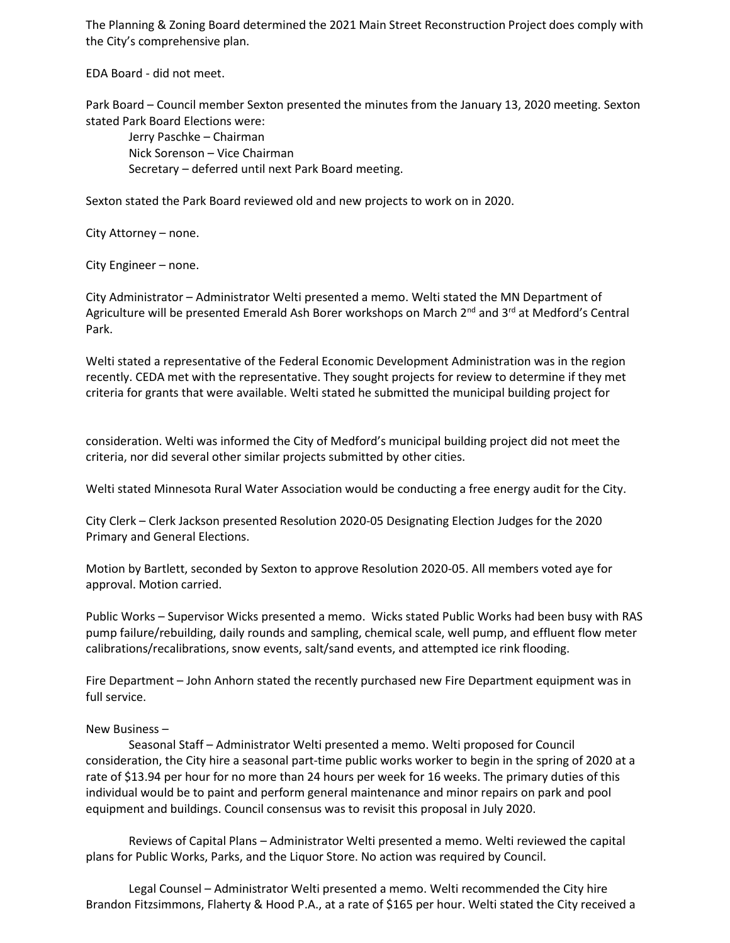The Planning & Zoning Board determined the 2021 Main Street Reconstruction Project does comply with the City's comprehensive plan.

EDA Board - did not meet.

Park Board – Council member Sexton presented the minutes from the January 13, 2020 meeting. Sexton stated Park Board Elections were:

Jerry Paschke – Chairman Nick Sorenson – Vice Chairman Secretary – deferred until next Park Board meeting.

Sexton stated the Park Board reviewed old and new projects to work on in 2020.

# City Attorney – none.

City Engineer – none.

City Administrator – Administrator Welti presented a memo. Welti stated the MN Department of Agriculture will be presented Emerald Ash Borer workshops on March 2<sup>nd</sup> and 3<sup>rd</sup> at Medford's Central Park.

Welti stated a representative of the Federal Economic Development Administration was in the region recently. CEDA met with the representative. They sought projects for review to determine if they met criteria for grants that were available. Welti stated he submitted the municipal building project for

consideration. Welti was informed the City of Medford's municipal building project did not meet the criteria, nor did several other similar projects submitted by other cities.

Welti stated Minnesota Rural Water Association would be conducting a free energy audit for the City.

City Clerk – Clerk Jackson presented Resolution 2020-05 Designating Election Judges for the 2020 Primary and General Elections.

Motion by Bartlett, seconded by Sexton to approve Resolution 2020-05. All members voted aye for approval. Motion carried.

Public Works – Supervisor Wicks presented a memo. Wicks stated Public Works had been busy with RAS pump failure/rebuilding, daily rounds and sampling, chemical scale, well pump, and effluent flow meter calibrations/recalibrations, snow events, salt/sand events, and attempted ice rink flooding.

Fire Department – John Anhorn stated the recently purchased new Fire Department equipment was in full service.

# New Business –

Seasonal Staff – Administrator Welti presented a memo. Welti proposed for Council consideration, the City hire a seasonal part-time public works worker to begin in the spring of 2020 at a rate of \$13.94 per hour for no more than 24 hours per week for 16 weeks. The primary duties of this individual would be to paint and perform general maintenance and minor repairs on park and pool equipment and buildings. Council consensus was to revisit this proposal in July 2020.

Reviews of Capital Plans – Administrator Welti presented a memo. Welti reviewed the capital plans for Public Works, Parks, and the Liquor Store. No action was required by Council.

Legal Counsel – Administrator Welti presented a memo. Welti recommended the City hire Brandon Fitzsimmons, Flaherty & Hood P.A., at a rate of \$165 per hour. Welti stated the City received a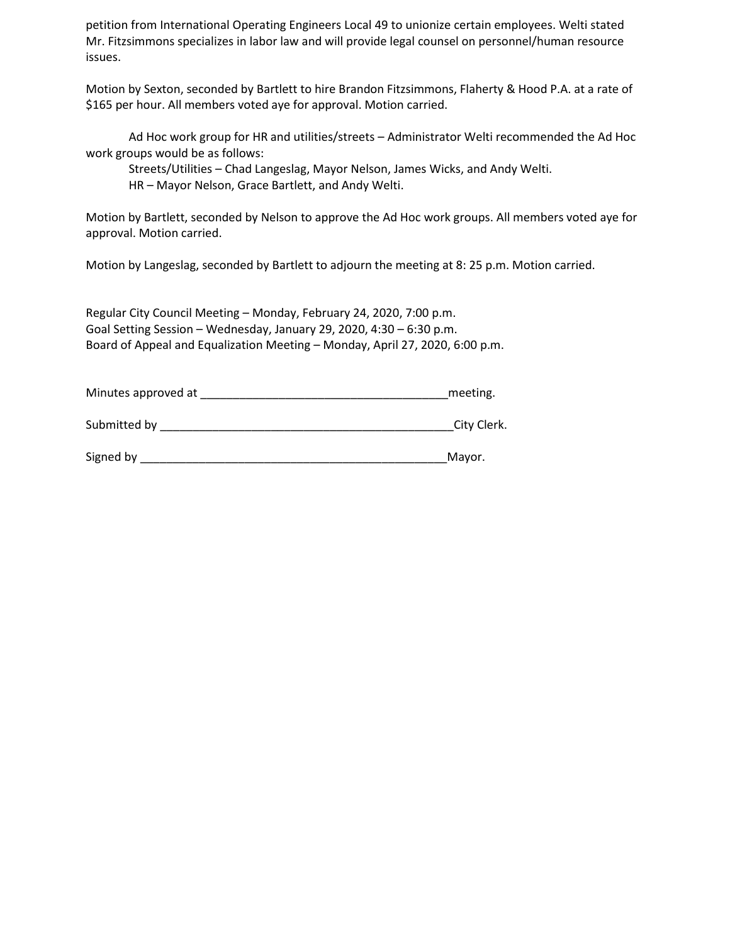petition from International Operating Engineers Local 49 to unionize certain employees. Welti stated Mr. Fitzsimmons specializes in labor law and will provide legal counsel on personnel/human resource issues.

Motion by Sexton, seconded by Bartlett to hire Brandon Fitzsimmons, Flaherty & Hood P.A. at a rate of \$165 per hour. All members voted aye for approval. Motion carried.

Ad Hoc work group for HR and utilities/streets – Administrator Welti recommended the Ad Hoc work groups would be as follows:

Streets/Utilities – Chad Langeslag, Mayor Nelson, James Wicks, and Andy Welti.

HR – Mayor Nelson, Grace Bartlett, and Andy Welti.

Motion by Bartlett, seconded by Nelson to approve the Ad Hoc work groups. All members voted aye for approval. Motion carried.

Motion by Langeslag, seconded by Bartlett to adjourn the meeting at 8: 25 p.m. Motion carried.

Regular City Council Meeting – Monday, February 24, 2020, 7:00 p.m. Goal Setting Session – Wednesday, January 29, 2020, 4:30 – 6:30 p.m. Board of Appeal and Equalization Meeting – Monday, April 27, 2020, 6:00 p.m.

| Minutes approved at |  | meeting. |
|---------------------|--|----------|
|---------------------|--|----------|

| Submitted by |  |  | City Clerk. |
|--------------|--|--|-------------|
|--------------|--|--|-------------|

Signed by \_\_\_\_\_\_\_\_\_\_\_\_\_\_\_\_\_\_\_\_\_\_\_\_\_\_\_\_\_\_\_\_\_\_\_\_\_\_\_\_\_\_\_\_\_\_\_Mayor.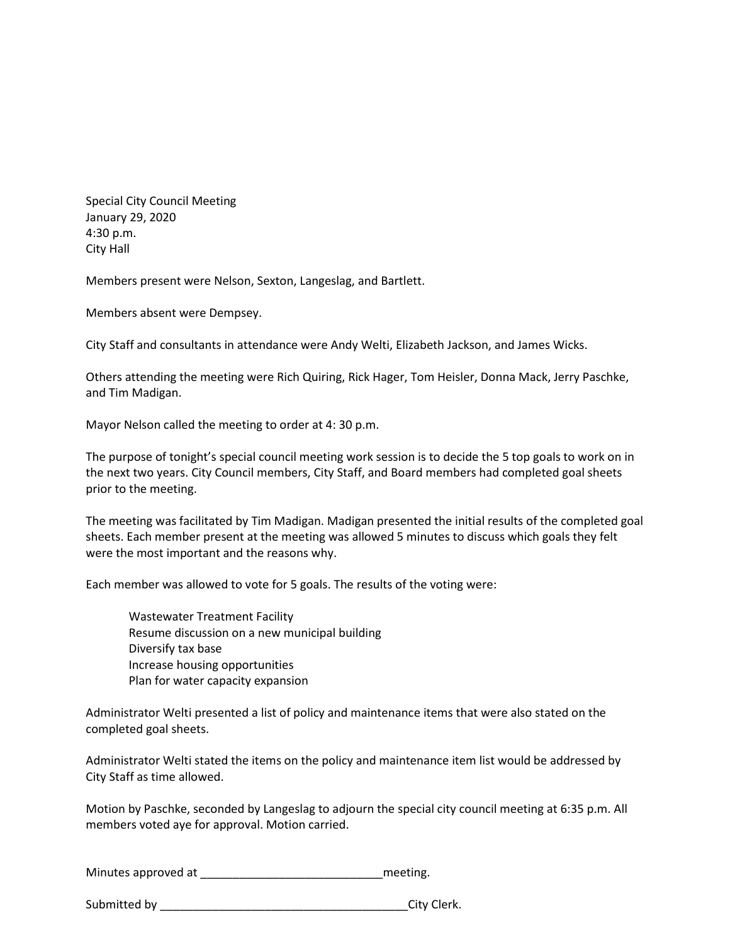Special City Council Meeting January 29, 2020 4:30 p.m. City Hall

Members present were Nelson, Sexton, Langeslag, and Bartlett.

Members absent were Dempsey.

City Staff and consultants in attendance were Andy Welti, Elizabeth Jackson, and James Wicks.

Others attending the meeting were Rich Quiring, Rick Hager, Tom Heisler, Donna Mack, Jerry Paschke, and Tim Madigan.

Mayor Nelson called the meeting to order at 4: 30 p.m.

The purpose of tonight's special council meeting work session is to decide the 5 top goals to work on in the next two years. City Council members, City Staff, and Board members had completed goal sheets prior to the meeting.

The meeting was facilitated by Tim Madigan. Madigan presented the initial results of the completed goal sheets. Each member present at the meeting was allowed 5 minutes to discuss which goals they felt were the most important and the reasons why.

Each member was allowed to vote for 5 goals. The results of the voting were:

Wastewater Treatment Facility Resume discussion on a new municipal building Diversify tax base Increase housing opportunities Plan for water capacity expansion

Administrator Welti presented a list of policy and maintenance items that were also stated on the completed goal sheets.

Administrator Welti stated the items on the policy and maintenance item list would be addressed by City Staff as time allowed.

Motion by Paschke, seconded by Langeslag to adjourn the special city council meeting at 6:35 p.m. All members voted aye for approval. Motion carried.

Minutes approved at \_\_\_\_\_\_\_\_\_\_\_\_\_\_\_\_\_\_\_\_\_\_\_\_\_\_\_\_meeting.

Submitted by European City Clerk.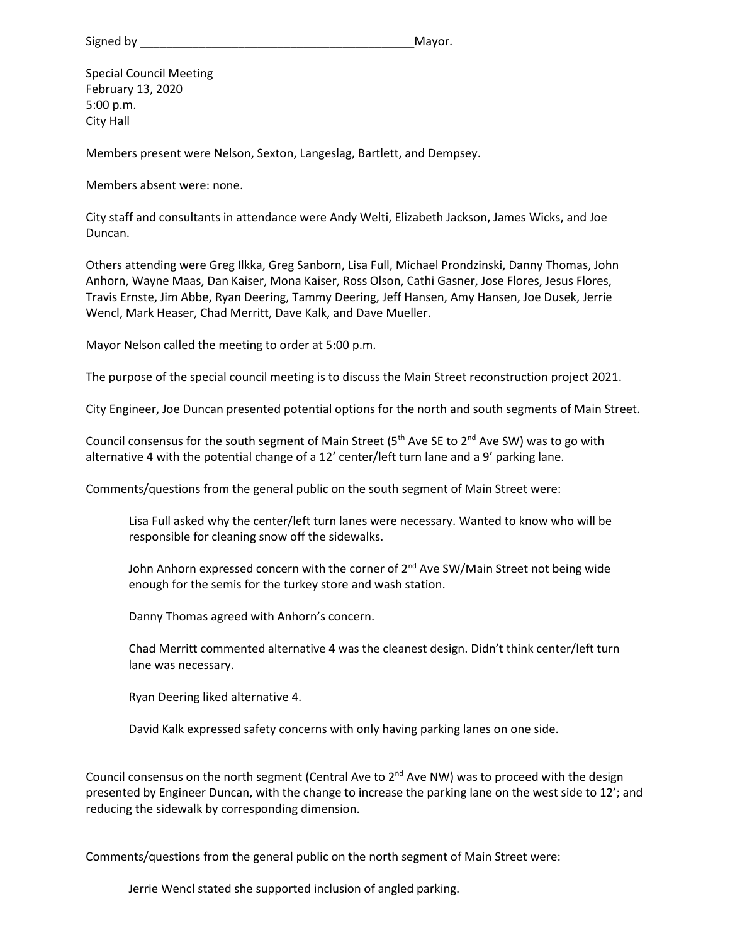Signed by **Example 20** Signed by **Example 20** Signed by **Example 20** Signed by **Example 20** Signed by **Example 20** Signed by **Example 20** Signed by **Example 20** Signed by **Example 20** Signed by **Example 20** Signed by **Exam** 

Special Council Meeting February 13, 2020 5:00 p.m. City Hall

Members present were Nelson, Sexton, Langeslag, Bartlett, and Dempsey.

Members absent were: none.

City staff and consultants in attendance were Andy Welti, Elizabeth Jackson, James Wicks, and Joe Duncan.

Others attending were Greg Ilkka, Greg Sanborn, Lisa Full, Michael Prondzinski, Danny Thomas, John Anhorn, Wayne Maas, Dan Kaiser, Mona Kaiser, Ross Olson, Cathi Gasner, Jose Flores, Jesus Flores, Travis Ernste, Jim Abbe, Ryan Deering, Tammy Deering, Jeff Hansen, Amy Hansen, Joe Dusek, Jerrie Wencl, Mark Heaser, Chad Merritt, Dave Kalk, and Dave Mueller.

Mayor Nelson called the meeting to order at 5:00 p.m.

The purpose of the special council meeting is to discuss the Main Street reconstruction project 2021.

City Engineer, Joe Duncan presented potential options for the north and south segments of Main Street.

Council consensus for the south segment of Main Street ( $5<sup>th</sup>$  Ave SE to  $2<sup>nd</sup>$  Ave SW) was to go with alternative 4 with the potential change of a 12' center/left turn lane and a 9' parking lane.

Comments/questions from the general public on the south segment of Main Street were:

Lisa Full asked why the center/left turn lanes were necessary. Wanted to know who will be responsible for cleaning snow off the sidewalks.

John Anhorn expressed concern with the corner of 2<sup>nd</sup> Ave SW/Main Street not being wide enough for the semis for the turkey store and wash station.

Danny Thomas agreed with Anhorn's concern.

Chad Merritt commented alternative 4 was the cleanest design. Didn't think center/left turn lane was necessary.

Ryan Deering liked alternative 4.

David Kalk expressed safety concerns with only having parking lanes on one side.

Council consensus on the north segment (Central Ave to  $2<sup>nd</sup>$  Ave NW) was to proceed with the design presented by Engineer Duncan, with the change to increase the parking lane on the west side to 12'; and reducing the sidewalk by corresponding dimension.

Comments/questions from the general public on the north segment of Main Street were:

Jerrie Wencl stated she supported inclusion of angled parking.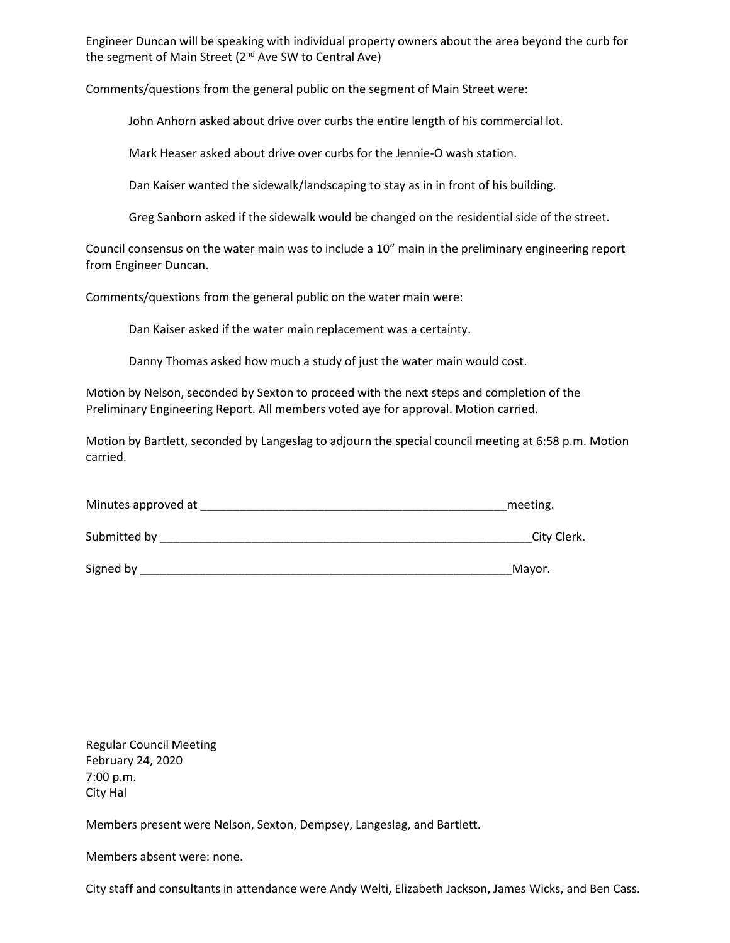Engineer Duncan will be speaking with individual property owners about the area beyond the curb for the segment of Main Street ( $2<sup>nd</sup>$  Ave SW to Central Ave)

Comments/questions from the general public on the segment of Main Street were:

John Anhorn asked about drive over curbs the entire length of his commercial lot.

Mark Heaser asked about drive over curbs for the Jennie-O wash station.

Dan Kaiser wanted the sidewalk/landscaping to stay as in in front of his building.

Greg Sanborn asked if the sidewalk would be changed on the residential side of the street.

Council consensus on the water main was to include a 10" main in the preliminary engineering report from Engineer Duncan.

Comments/questions from the general public on the water main were:

Dan Kaiser asked if the water main replacement was a certainty.

Danny Thomas asked how much a study of just the water main would cost.

Motion by Nelson, seconded by Sexton to proceed with the next steps and completion of the Preliminary Engineering Report. All members voted aye for approval. Motion carried.

Motion by Bartlett, seconded by Langeslag to adjourn the special council meeting at 6:58 p.m. Motion carried.

| Minutes approved at | meeting.    |
|---------------------|-------------|
| Submitted by        | City Clerk. |
| Signed by           | Mayor.      |

Regular Council Meeting February 24, 2020 7:00 p.m. City Hal

Members present were Nelson, Sexton, Dempsey, Langeslag, and Bartlett.

Members absent were: none.

City staff and consultants in attendance were Andy Welti, Elizabeth Jackson, James Wicks, and Ben Cass.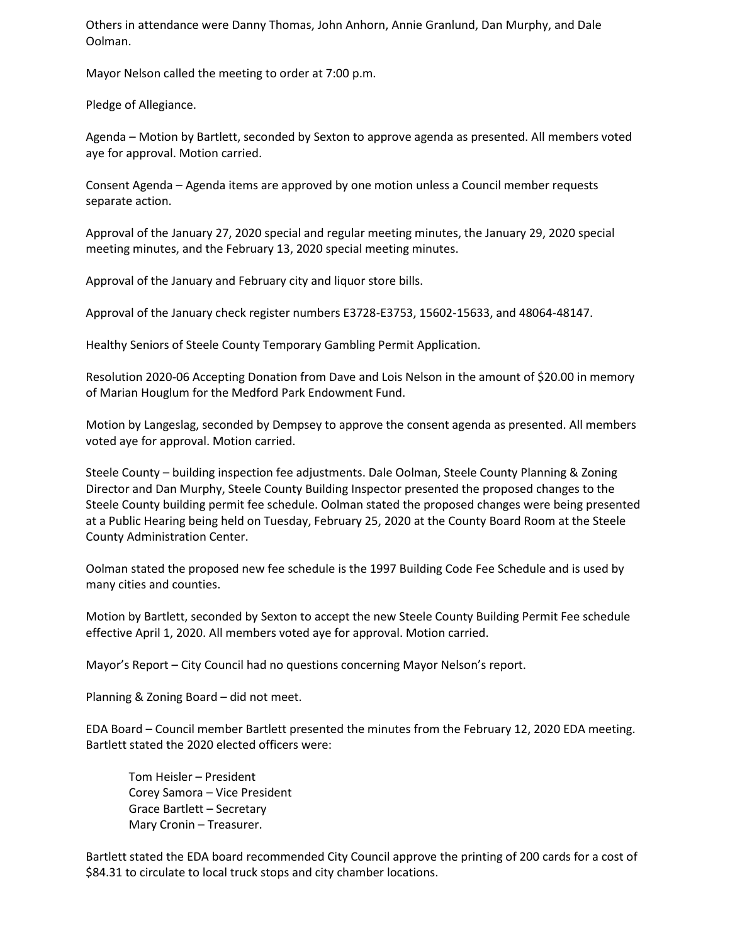Others in attendance were Danny Thomas, John Anhorn, Annie Granlund, Dan Murphy, and Dale Oolman.

Mayor Nelson called the meeting to order at 7:00 p.m.

Pledge of Allegiance.

Agenda – Motion by Bartlett, seconded by Sexton to approve agenda as presented. All members voted aye for approval. Motion carried.

Consent Agenda – Agenda items are approved by one motion unless a Council member requests separate action.

Approval of the January 27, 2020 special and regular meeting minutes, the January 29, 2020 special meeting minutes, and the February 13, 2020 special meeting minutes.

Approval of the January and February city and liquor store bills.

Approval of the January check register numbers E3728-E3753, 15602-15633, and 48064-48147.

Healthy Seniors of Steele County Temporary Gambling Permit Application.

Resolution 2020-06 Accepting Donation from Dave and Lois Nelson in the amount of \$20.00 in memory of Marian Houglum for the Medford Park Endowment Fund.

Motion by Langeslag, seconded by Dempsey to approve the consent agenda as presented. All members voted aye for approval. Motion carried.

Steele County – building inspection fee adjustments. Dale Oolman, Steele County Planning & Zoning Director and Dan Murphy, Steele County Building Inspector presented the proposed changes to the Steele County building permit fee schedule. Oolman stated the proposed changes were being presented at a Public Hearing being held on Tuesday, February 25, 2020 at the County Board Room at the Steele County Administration Center.

Oolman stated the proposed new fee schedule is the 1997 Building Code Fee Schedule and is used by many cities and counties.

Motion by Bartlett, seconded by Sexton to accept the new Steele County Building Permit Fee schedule effective April 1, 2020. All members voted aye for approval. Motion carried.

Mayor's Report – City Council had no questions concerning Mayor Nelson's report.

Planning & Zoning Board – did not meet.

EDA Board – Council member Bartlett presented the minutes from the February 12, 2020 EDA meeting. Bartlett stated the 2020 elected officers were:

Tom Heisler – President Corey Samora – Vice President Grace Bartlett – Secretary Mary Cronin – Treasurer.

Bartlett stated the EDA board recommended City Council approve the printing of 200 cards for a cost of \$84.31 to circulate to local truck stops and city chamber locations.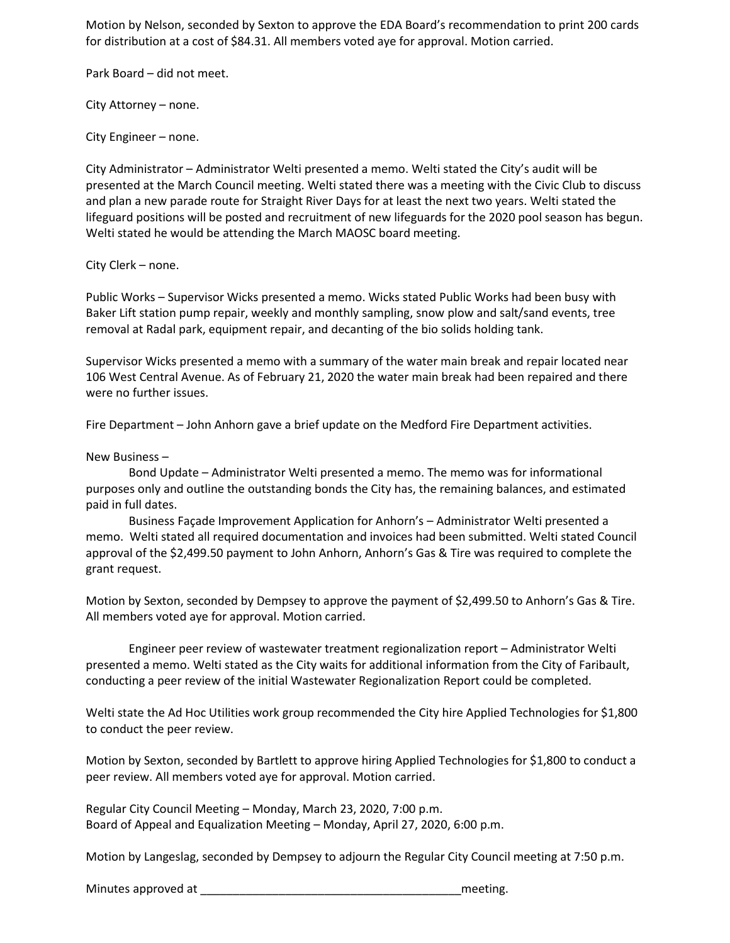Motion by Nelson, seconded by Sexton to approve the EDA Board's recommendation to print 200 cards for distribution at a cost of \$84.31. All members voted aye for approval. Motion carried.

Park Board – did not meet.

City Attorney – none.

City Engineer – none.

City Administrator – Administrator Welti presented a memo. Welti stated the City's audit will be presented at the March Council meeting. Welti stated there was a meeting with the Civic Club to discuss and plan a new parade route for Straight River Days for at least the next two years. Welti stated the lifeguard positions will be posted and recruitment of new lifeguards for the 2020 pool season has begun. Welti stated he would be attending the March MAOSC board meeting.

City Clerk – none.

Public Works – Supervisor Wicks presented a memo. Wicks stated Public Works had been busy with Baker Lift station pump repair, weekly and monthly sampling, snow plow and salt/sand events, tree removal at Radal park, equipment repair, and decanting of the bio solids holding tank.

Supervisor Wicks presented a memo with a summary of the water main break and repair located near 106 West Central Avenue. As of February 21, 2020 the water main break had been repaired and there were no further issues.

Fire Department – John Anhorn gave a brief update on the Medford Fire Department activities.

New Business –

Bond Update – Administrator Welti presented a memo. The memo was for informational purposes only and outline the outstanding bonds the City has, the remaining balances, and estimated paid in full dates.

Business Façade Improvement Application for Anhorn's – Administrator Welti presented a memo. Welti stated all required documentation and invoices had been submitted. Welti stated Council approval of the \$2,499.50 payment to John Anhorn, Anhorn's Gas & Tire was required to complete the grant request.

Motion by Sexton, seconded by Dempsey to approve the payment of \$2,499.50 to Anhorn's Gas & Tire. All members voted aye for approval. Motion carried.

Engineer peer review of wastewater treatment regionalization report – Administrator Welti presented a memo. Welti stated as the City waits for additional information from the City of Faribault, conducting a peer review of the initial Wastewater Regionalization Report could be completed.

Welti state the Ad Hoc Utilities work group recommended the City hire Applied Technologies for \$1,800 to conduct the peer review.

Motion by Sexton, seconded by Bartlett to approve hiring Applied Technologies for \$1,800 to conduct a peer review. All members voted aye for approval. Motion carried.

Regular City Council Meeting – Monday, March 23, 2020, 7:00 p.m. Board of Appeal and Equalization Meeting – Monday, April 27, 2020, 6:00 p.m.

Motion by Langeslag, seconded by Dempsey to adjourn the Regular City Council meeting at 7:50 p.m.

Minutes approved at **EXECUTE 2008** and the setting and the setting.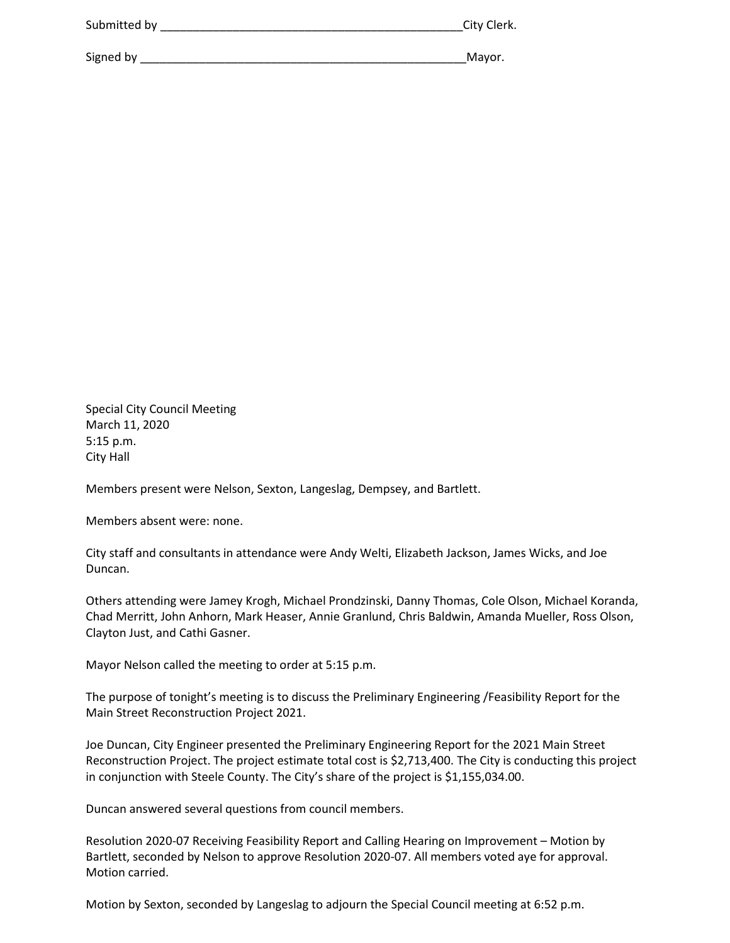| Submitted by | City Clerk. |
|--------------|-------------|
|              |             |
| Signed by    | Mayor.      |

Special City Council Meeting March 11, 2020 5:15 p.m. City Hall

Members present were Nelson, Sexton, Langeslag, Dempsey, and Bartlett.

Members absent were: none.

City staff and consultants in attendance were Andy Welti, Elizabeth Jackson, James Wicks, and Joe Duncan.

Others attending were Jamey Krogh, Michael Prondzinski, Danny Thomas, Cole Olson, Michael Koranda, Chad Merritt, John Anhorn, Mark Heaser, Annie Granlund, Chris Baldwin, Amanda Mueller, Ross Olson, Clayton Just, and Cathi Gasner.

Mayor Nelson called the meeting to order at 5:15 p.m.

The purpose of tonight's meeting is to discuss the Preliminary Engineering /Feasibility Report for the Main Street Reconstruction Project 2021.

Joe Duncan, City Engineer presented the Preliminary Engineering Report for the 2021 Main Street Reconstruction Project. The project estimate total cost is \$2,713,400. The City is conducting this project in conjunction with Steele County. The City's share of the project is \$1,155,034.00.

Duncan answered several questions from council members.

Resolution 2020-07 Receiving Feasibility Report and Calling Hearing on Improvement – Motion by Bartlett, seconded by Nelson to approve Resolution 2020-07. All members voted aye for approval. Motion carried.

Motion by Sexton, seconded by Langeslag to adjourn the Special Council meeting at 6:52 p.m.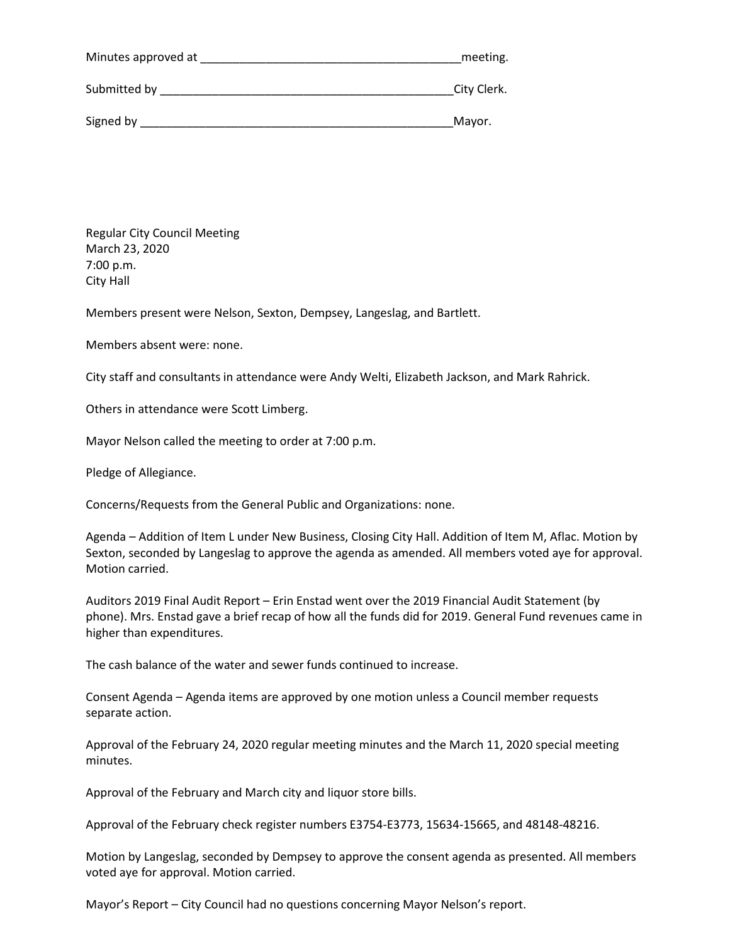| Minutes approved at | meeting.    |
|---------------------|-------------|
| Submitted by        | City Clerk. |
| Signed by           | Mayor.      |

Regular City Council Meeting March 23, 2020 7:00 p.m. City Hall

Members present were Nelson, Sexton, Dempsey, Langeslag, and Bartlett.

Members absent were: none.

City staff and consultants in attendance were Andy Welti, Elizabeth Jackson, and Mark Rahrick.

Others in attendance were Scott Limberg.

Mayor Nelson called the meeting to order at 7:00 p.m.

Pledge of Allegiance.

Concerns/Requests from the General Public and Organizations: none.

Agenda – Addition of Item L under New Business, Closing City Hall. Addition of Item M, Aflac. Motion by Sexton, seconded by Langeslag to approve the agenda as amended. All members voted aye for approval. Motion carried.

Auditors 2019 Final Audit Report – Erin Enstad went over the 2019 Financial Audit Statement (by phone). Mrs. Enstad gave a brief recap of how all the funds did for 2019. General Fund revenues came in higher than expenditures.

The cash balance of the water and sewer funds continued to increase.

Consent Agenda – Agenda items are approved by one motion unless a Council member requests separate action.

Approval of the February 24, 2020 regular meeting minutes and the March 11, 2020 special meeting minutes.

Approval of the February and March city and liquor store bills.

Approval of the February check register numbers E3754-E3773, 15634-15665, and 48148-48216.

Motion by Langeslag, seconded by Dempsey to approve the consent agenda as presented. All members voted aye for approval. Motion carried.

Mayor's Report – City Council had no questions concerning Mayor Nelson's report.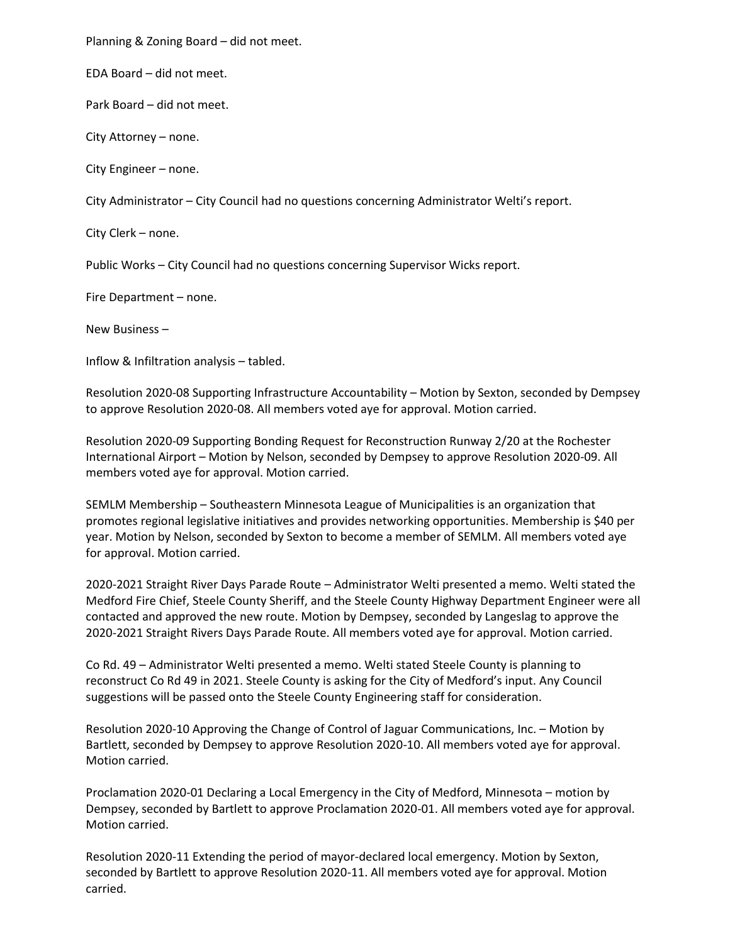Planning & Zoning Board – did not meet.

EDA Board – did not meet.

Park Board – did not meet.

City Attorney – none.

City Engineer – none.

City Administrator – City Council had no questions concerning Administrator Welti's report.

City Clerk – none.

Public Works – City Council had no questions concerning Supervisor Wicks report.

Fire Department – none.

New Business –

Inflow & Infiltration analysis – tabled.

Resolution 2020-08 Supporting Infrastructure Accountability – Motion by Sexton, seconded by Dempsey to approve Resolution 2020-08. All members voted aye for approval. Motion carried.

Resolution 2020-09 Supporting Bonding Request for Reconstruction Runway 2/20 at the Rochester International Airport – Motion by Nelson, seconded by Dempsey to approve Resolution 2020-09. All members voted aye for approval. Motion carried.

SEMLM Membership – Southeastern Minnesota League of Municipalities is an organization that promotes regional legislative initiatives and provides networking opportunities. Membership is \$40 per year. Motion by Nelson, seconded by Sexton to become a member of SEMLM. All members voted aye for approval. Motion carried.

2020-2021 Straight River Days Parade Route – Administrator Welti presented a memo. Welti stated the Medford Fire Chief, Steele County Sheriff, and the Steele County Highway Department Engineer were all contacted and approved the new route. Motion by Dempsey, seconded by Langeslag to approve the 2020-2021 Straight Rivers Days Parade Route. All members voted aye for approval. Motion carried.

Co Rd. 49 – Administrator Welti presented a memo. Welti stated Steele County is planning to reconstruct Co Rd 49 in 2021. Steele County is asking for the City of Medford's input. Any Council suggestions will be passed onto the Steele County Engineering staff for consideration.

Resolution 2020-10 Approving the Change of Control of Jaguar Communications, Inc. – Motion by Bartlett, seconded by Dempsey to approve Resolution 2020-10. All members voted aye for approval. Motion carried.

Proclamation 2020-01 Declaring a Local Emergency in the City of Medford, Minnesota – motion by Dempsey, seconded by Bartlett to approve Proclamation 2020-01. All members voted aye for approval. Motion carried.

Resolution 2020-11 Extending the period of mayor-declared local emergency. Motion by Sexton, seconded by Bartlett to approve Resolution 2020-11. All members voted aye for approval. Motion carried.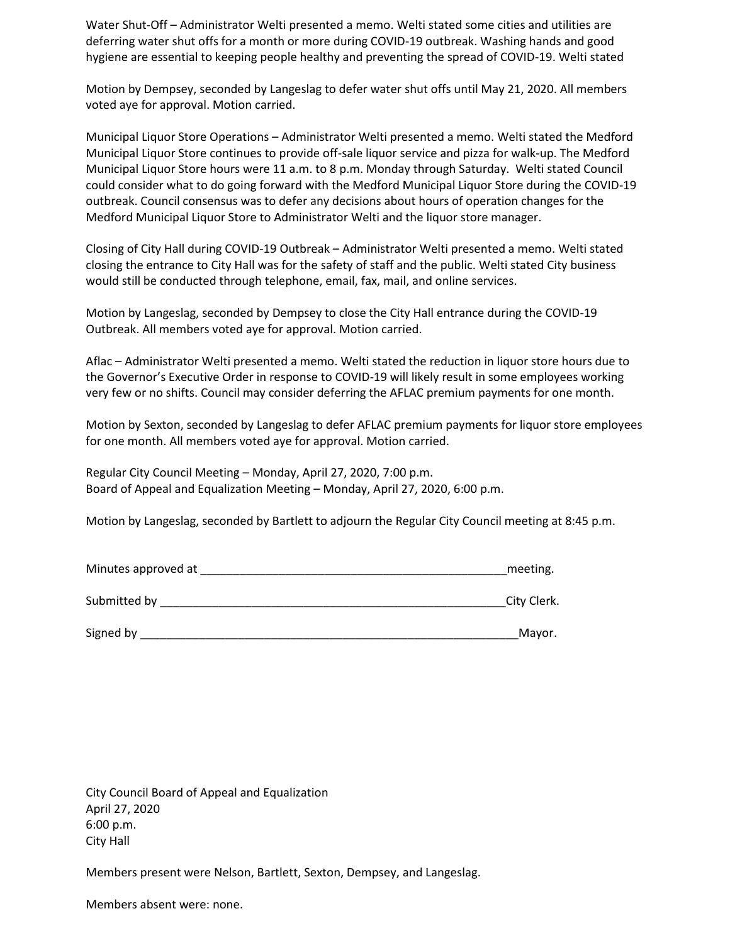Water Shut-Off – Administrator Welti presented a memo. Welti stated some cities and utilities are deferring water shut offs for a month or more during COVID-19 outbreak. Washing hands and good hygiene are essential to keeping people healthy and preventing the spread of COVID-19. Welti stated

Motion by Dempsey, seconded by Langeslag to defer water shut offs until May 21, 2020. All members voted aye for approval. Motion carried.

Municipal Liquor Store Operations – Administrator Welti presented a memo. Welti stated the Medford Municipal Liquor Store continues to provide off-sale liquor service and pizza for walk-up. The Medford Municipal Liquor Store hours were 11 a.m. to 8 p.m. Monday through Saturday. Welti stated Council could consider what to do going forward with the Medford Municipal Liquor Store during the COVID-19 outbreak. Council consensus was to defer any decisions about hours of operation changes for the Medford Municipal Liquor Store to Administrator Welti and the liquor store manager.

Closing of City Hall during COVID-19 Outbreak – Administrator Welti presented a memo. Welti stated closing the entrance to City Hall was for the safety of staff and the public. Welti stated City business would still be conducted through telephone, email, fax, mail, and online services.

Motion by Langeslag, seconded by Dempsey to close the City Hall entrance during the COVID-19 Outbreak. All members voted aye for approval. Motion carried.

Aflac – Administrator Welti presented a memo. Welti stated the reduction in liquor store hours due to the Governor's Executive Order in response to COVID-19 will likely result in some employees working very few or no shifts. Council may consider deferring the AFLAC premium payments for one month.

Motion by Sexton, seconded by Langeslag to defer AFLAC premium payments for liquor store employees for one month. All members voted aye for approval. Motion carried.

Regular City Council Meeting – Monday, April 27, 2020, 7:00 p.m. Board of Appeal and Equalization Meeting – Monday, April 27, 2020, 6:00 p.m.

Motion by Langeslag, seconded by Bartlett to adjourn the Regular City Council meeting at 8:45 p.m.

| Minutes approved at | meeting.    |
|---------------------|-------------|
| Submitted by        | City Clerk. |
| Signed by           | Mayor.      |

City Council Board of Appeal and Equalization April 27, 2020 6:00 p.m. City Hall

Members present were Nelson, Bartlett, Sexton, Dempsey, and Langeslag.

Members absent were: none.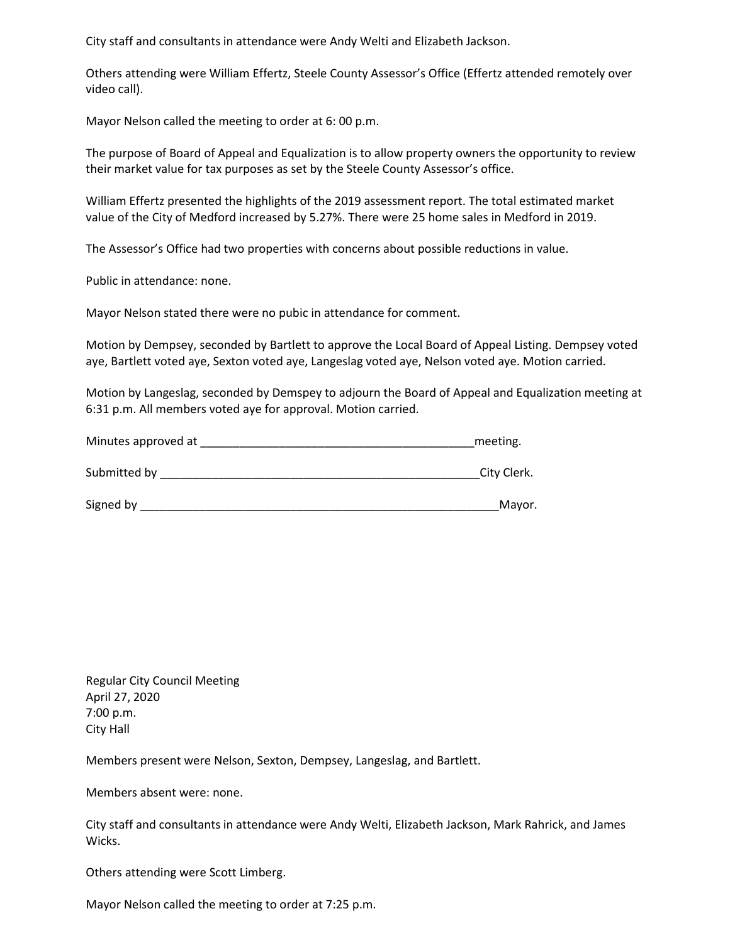City staff and consultants in attendance were Andy Welti and Elizabeth Jackson.

Others attending were William Effertz, Steele County Assessor's Office (Effertz attended remotely over video call).

Mayor Nelson called the meeting to order at 6: 00 p.m.

The purpose of Board of Appeal and Equalization is to allow property owners the opportunity to review their market value for tax purposes as set by the Steele County Assessor's office.

William Effertz presented the highlights of the 2019 assessment report. The total estimated market value of the City of Medford increased by 5.27%. There were 25 home sales in Medford in 2019.

The Assessor's Office had two properties with concerns about possible reductions in value.

Public in attendance: none.

Mayor Nelson stated there were no pubic in attendance for comment.

Motion by Dempsey, seconded by Bartlett to approve the Local Board of Appeal Listing. Dempsey voted aye, Bartlett voted aye, Sexton voted aye, Langeslag voted aye, Nelson voted aye. Motion carried.

Motion by Langeslag, seconded by Demspey to adjourn the Board of Appeal and Equalization meeting at 6:31 p.m. All members voted aye for approval. Motion carried.

| Minutes approved at | meeting.    |
|---------------------|-------------|
|                     |             |
| Submitted by        | City Clerk. |

| Signed by | ⊪Mavor |
|-----------|--------|
|           |        |

Regular City Council Meeting April 27, 2020 7:00 p.m. City Hall

Members present were Nelson, Sexton, Dempsey, Langeslag, and Bartlett.

Members absent were: none.

City staff and consultants in attendance were Andy Welti, Elizabeth Jackson, Mark Rahrick, and James Wicks.

Others attending were Scott Limberg.

Mayor Nelson called the meeting to order at 7:25 p.m.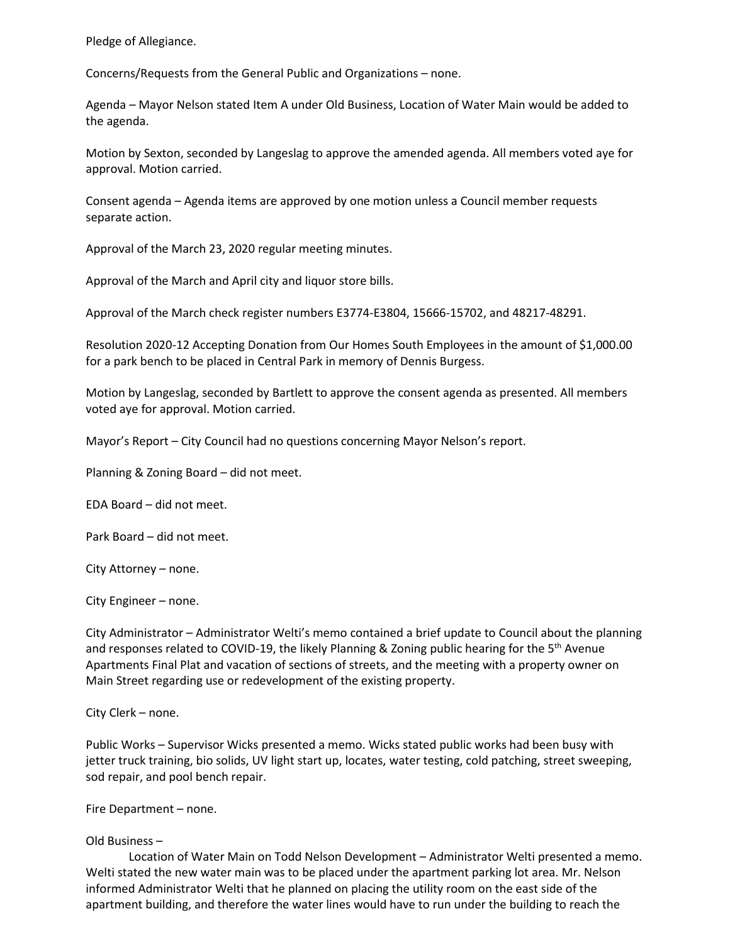Pledge of Allegiance.

Concerns/Requests from the General Public and Organizations – none.

Agenda – Mayor Nelson stated Item A under Old Business, Location of Water Main would be added to the agenda.

Motion by Sexton, seconded by Langeslag to approve the amended agenda. All members voted aye for approval. Motion carried.

Consent agenda – Agenda items are approved by one motion unless a Council member requests separate action.

Approval of the March 23, 2020 regular meeting minutes.

Approval of the March and April city and liquor store bills.

Approval of the March check register numbers E3774-E3804, 15666-15702, and 48217-48291.

Resolution 2020-12 Accepting Donation from Our Homes South Employees in the amount of \$1,000.00 for a park bench to be placed in Central Park in memory of Dennis Burgess.

Motion by Langeslag, seconded by Bartlett to approve the consent agenda as presented. All members voted aye for approval. Motion carried.

Mayor's Report – City Council had no questions concerning Mayor Nelson's report.

Planning & Zoning Board – did not meet.

EDA Board – did not meet.

Park Board – did not meet.

City Attorney – none.

City Engineer – none.

City Administrator – Administrator Welti's memo contained a brief update to Council about the planning and responses related to COVID-19, the likely Planning & Zoning public hearing for the  $5<sup>th</sup>$  Avenue Apartments Final Plat and vacation of sections of streets, and the meeting with a property owner on Main Street regarding use or redevelopment of the existing property.

City Clerk – none.

Public Works – Supervisor Wicks presented a memo. Wicks stated public works had been busy with jetter truck training, bio solids, UV light start up, locates, water testing, cold patching, street sweeping, sod repair, and pool bench repair.

Fire Department – none.

### Old Business –

Location of Water Main on Todd Nelson Development – Administrator Welti presented a memo. Welti stated the new water main was to be placed under the apartment parking lot area. Mr. Nelson informed Administrator Welti that he planned on placing the utility room on the east side of the apartment building, and therefore the water lines would have to run under the building to reach the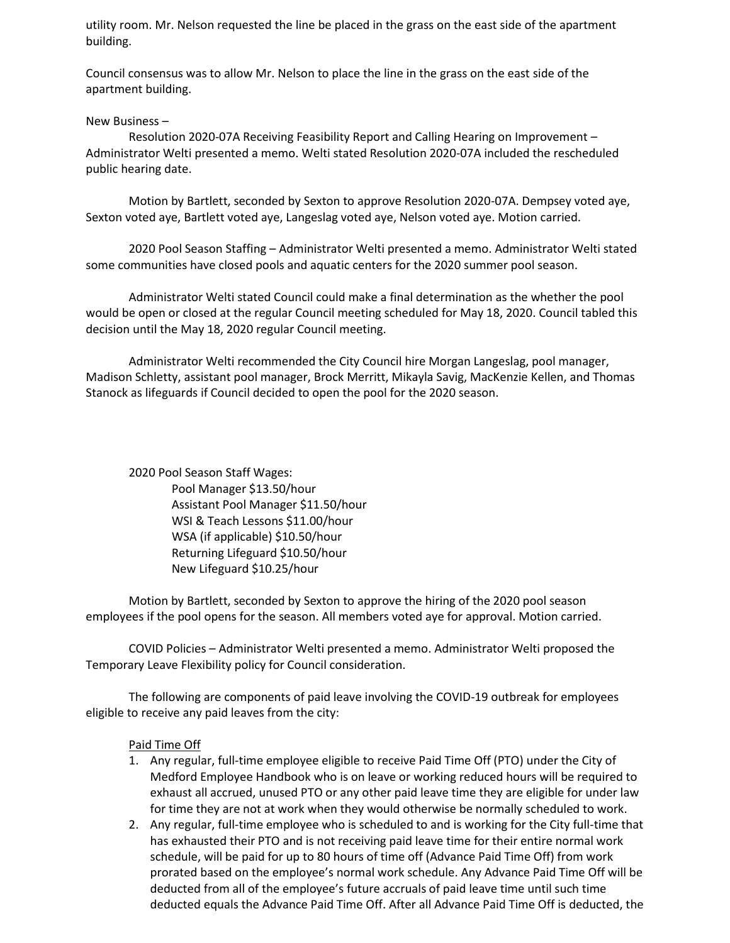utility room. Mr. Nelson requested the line be placed in the grass on the east side of the apartment building.

Council consensus was to allow Mr. Nelson to place the line in the grass on the east side of the apartment building.

#### New Business –

Resolution 2020-07A Receiving Feasibility Report and Calling Hearing on Improvement – Administrator Welti presented a memo. Welti stated Resolution 2020-07A included the rescheduled public hearing date.

Motion by Bartlett, seconded by Sexton to approve Resolution 2020-07A. Dempsey voted aye, Sexton voted aye, Bartlett voted aye, Langeslag voted aye, Nelson voted aye. Motion carried.

2020 Pool Season Staffing – Administrator Welti presented a memo. Administrator Welti stated some communities have closed pools and aquatic centers for the 2020 summer pool season.

Administrator Welti stated Council could make a final determination as the whether the pool would be open or closed at the regular Council meeting scheduled for May 18, 2020. Council tabled this decision until the May 18, 2020 regular Council meeting.

Administrator Welti recommended the City Council hire Morgan Langeslag, pool manager, Madison Schletty, assistant pool manager, Brock Merritt, Mikayla Savig, MacKenzie Kellen, and Thomas Stanock as lifeguards if Council decided to open the pool for the 2020 season.

2020 Pool Season Staff Wages: Pool Manager \$13.50/hour Assistant Pool Manager \$11.50/hour WSI & Teach Lessons \$11.00/hour WSA (if applicable) \$10.50/hour Returning Lifeguard \$10.50/hour New Lifeguard \$10.25/hour

Motion by Bartlett, seconded by Sexton to approve the hiring of the 2020 pool season employees if the pool opens for the season. All members voted aye for approval. Motion carried.

COVID Policies – Administrator Welti presented a memo. Administrator Welti proposed the Temporary Leave Flexibility policy for Council consideration.

The following are components of paid leave involving the COVID-19 outbreak for employees eligible to receive any paid leaves from the city:

#### Paid Time Off

- 1. Any regular, full-time employee eligible to receive Paid Time Off (PTO) under the City of Medford Employee Handbook who is on leave or working reduced hours will be required to exhaust all accrued, unused PTO or any other paid leave time they are eligible for under law for time they are not at work when they would otherwise be normally scheduled to work.
- 2. Any regular, full-time employee who is scheduled to and is working for the City full-time that has exhausted their PTO and is not receiving paid leave time for their entire normal work schedule, will be paid for up to 80 hours of time off (Advance Paid Time Off) from work prorated based on the employee's normal work schedule. Any Advance Paid Time Off will be deducted from all of the employee's future accruals of paid leave time until such time deducted equals the Advance Paid Time Off. After all Advance Paid Time Off is deducted, the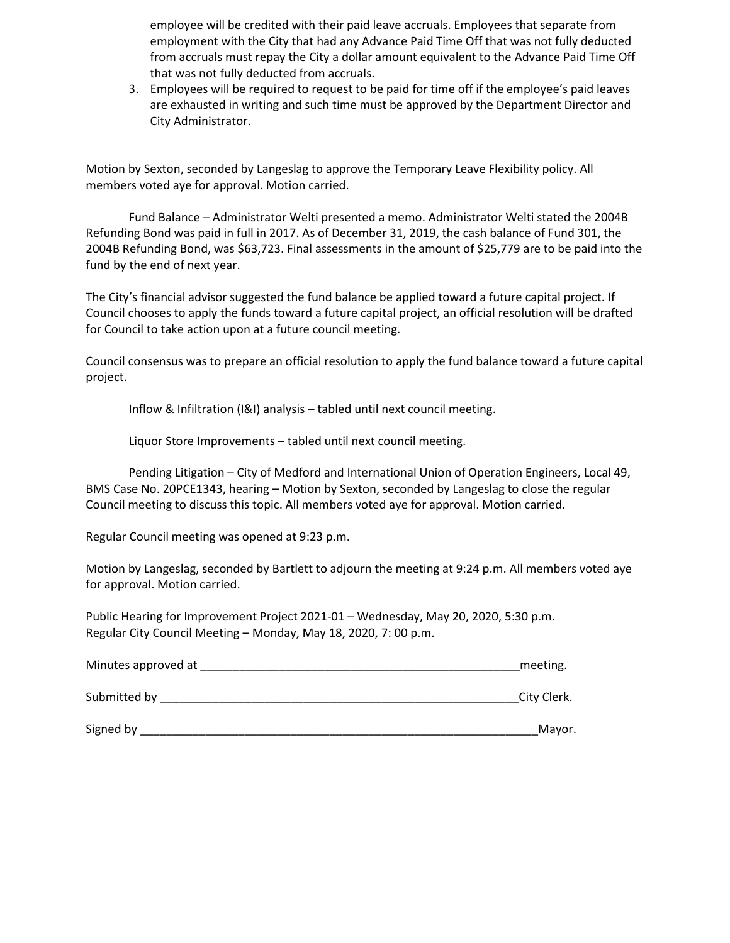employee will be credited with their paid leave accruals. Employees that separate from employment with the City that had any Advance Paid Time Off that was not fully deducted from accruals must repay the City a dollar amount equivalent to the Advance Paid Time Off that was not fully deducted from accruals.

3. Employees will be required to request to be paid for time off if the employee's paid leaves are exhausted in writing and such time must be approved by the Department Director and City Administrator.

Motion by Sexton, seconded by Langeslag to approve the Temporary Leave Flexibility policy. All members voted aye for approval. Motion carried.

Fund Balance – Administrator Welti presented a memo. Administrator Welti stated the 2004B Refunding Bond was paid in full in 2017. As of December 31, 2019, the cash balance of Fund 301, the 2004B Refunding Bond, was \$63,723. Final assessments in the amount of \$25,779 are to be paid into the fund by the end of next year.

The City's financial advisor suggested the fund balance be applied toward a future capital project. If Council chooses to apply the funds toward a future capital project, an official resolution will be drafted for Council to take action upon at a future council meeting.

Council consensus was to prepare an official resolution to apply the fund balance toward a future capital project.

Inflow & Infiltration (I&I) analysis – tabled until next council meeting.

Liquor Store Improvements – tabled until next council meeting.

Pending Litigation – City of Medford and International Union of Operation Engineers, Local 49, BMS Case No. 20PCE1343, hearing – Motion by Sexton, seconded by Langeslag to close the regular Council meeting to discuss this topic. All members voted aye for approval. Motion carried.

Regular Council meeting was opened at 9:23 p.m.

Motion by Langeslag, seconded by Bartlett to adjourn the meeting at 9:24 p.m. All members voted aye for approval. Motion carried.

Public Hearing for Improvement Project 2021-01 – Wednesday, May 20, 2020, 5:30 p.m. Regular City Council Meeting – Monday, May 18, 2020, 7: 00 p.m.

| Minutes approved at | meeting.    |
|---------------------|-------------|
| Submitted by        | City Clerk. |
| Signed by           | Mayor.      |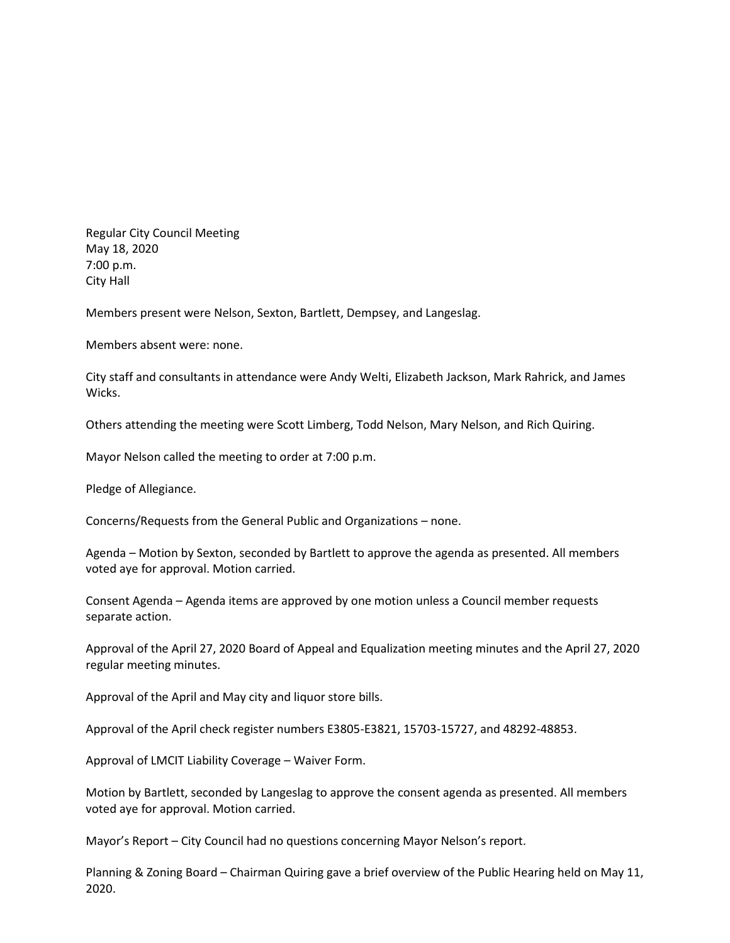Regular City Council Meeting May 18, 2020 7:00 p.m. City Hall

Members present were Nelson, Sexton, Bartlett, Dempsey, and Langeslag.

Members absent were: none.

City staff and consultants in attendance were Andy Welti, Elizabeth Jackson, Mark Rahrick, and James Wicks.

Others attending the meeting were Scott Limberg, Todd Nelson, Mary Nelson, and Rich Quiring.

Mayor Nelson called the meeting to order at 7:00 p.m.

Pledge of Allegiance.

Concerns/Requests from the General Public and Organizations – none.

Agenda – Motion by Sexton, seconded by Bartlett to approve the agenda as presented. All members voted aye for approval. Motion carried.

Consent Agenda – Agenda items are approved by one motion unless a Council member requests separate action.

Approval of the April 27, 2020 Board of Appeal and Equalization meeting minutes and the April 27, 2020 regular meeting minutes.

Approval of the April and May city and liquor store bills.

Approval of the April check register numbers E3805-E3821, 15703-15727, and 48292-48853.

Approval of LMCIT Liability Coverage – Waiver Form.

Motion by Bartlett, seconded by Langeslag to approve the consent agenda as presented. All members voted aye for approval. Motion carried.

Mayor's Report – City Council had no questions concerning Mayor Nelson's report.

Planning & Zoning Board – Chairman Quiring gave a brief overview of the Public Hearing held on May 11, 2020.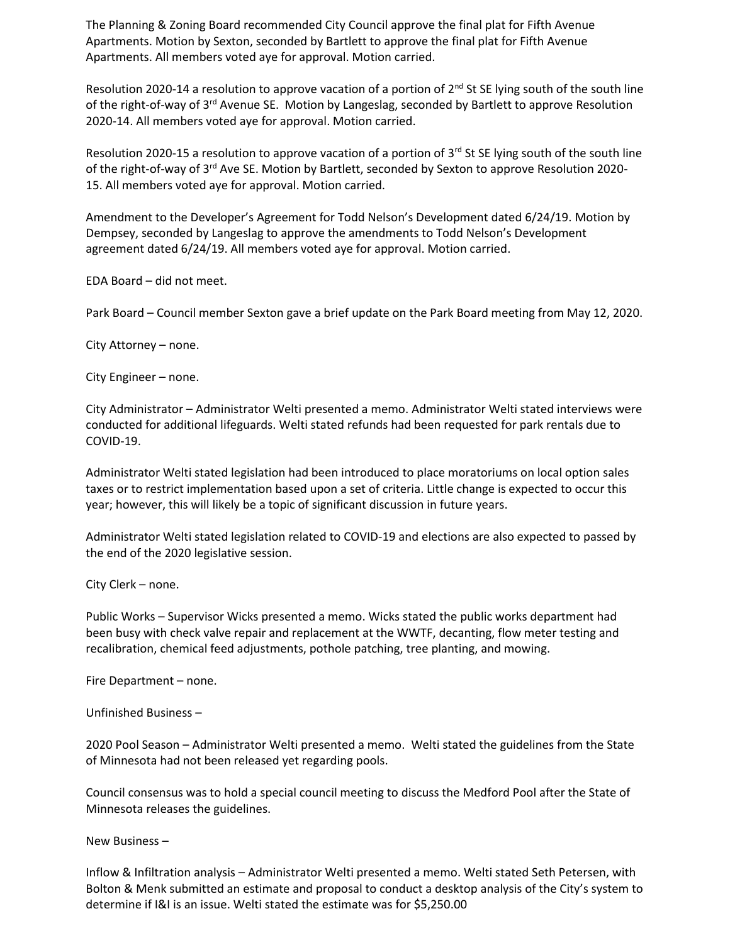The Planning & Zoning Board recommended City Council approve the final plat for Fifth Avenue Apartments. Motion by Sexton, seconded by Bartlett to approve the final plat for Fifth Avenue Apartments. All members voted aye for approval. Motion carried.

Resolution 2020-14 a resolution to approve vacation of a portion of 2<sup>nd</sup> St SE lying south of the south line of the right-of-way of 3<sup>rd</sup> Avenue SE. Motion by Langeslag, seconded by Bartlett to approve Resolution 2020-14. All members voted aye for approval. Motion carried.

Resolution 2020-15 a resolution to approve vacation of a portion of  $3<sup>rd</sup>$  St SE lying south of the south line of the right-of-way of 3rd Ave SE. Motion by Bartlett, seconded by Sexton to approve Resolution 2020- 15. All members voted aye for approval. Motion carried.

Amendment to the Developer's Agreement for Todd Nelson's Development dated 6/24/19. Motion by Dempsey, seconded by Langeslag to approve the amendments to Todd Nelson's Development agreement dated 6/24/19. All members voted aye for approval. Motion carried.

EDA Board – did not meet.

Park Board – Council member Sexton gave a brief update on the Park Board meeting from May 12, 2020.

City Attorney – none.

City Engineer – none.

City Administrator – Administrator Welti presented a memo. Administrator Welti stated interviews were conducted for additional lifeguards. Welti stated refunds had been requested for park rentals due to COVID-19.

Administrator Welti stated legislation had been introduced to place moratoriums on local option sales taxes or to restrict implementation based upon a set of criteria. Little change is expected to occur this year; however, this will likely be a topic of significant discussion in future years.

Administrator Welti stated legislation related to COVID-19 and elections are also expected to passed by the end of the 2020 legislative session.

City Clerk – none.

Public Works – Supervisor Wicks presented a memo. Wicks stated the public works department had been busy with check valve repair and replacement at the WWTF, decanting, flow meter testing and recalibration, chemical feed adjustments, pothole patching, tree planting, and mowing.

Fire Department – none.

Unfinished Business –

2020 Pool Season – Administrator Welti presented a memo. Welti stated the guidelines from the State of Minnesota had not been released yet regarding pools.

Council consensus was to hold a special council meeting to discuss the Medford Pool after the State of Minnesota releases the guidelines.

New Business –

Inflow & Infiltration analysis – Administrator Welti presented a memo. Welti stated Seth Petersen, with Bolton & Menk submitted an estimate and proposal to conduct a desktop analysis of the City's system to determine if I&I is an issue. Welti stated the estimate was for \$5,250.00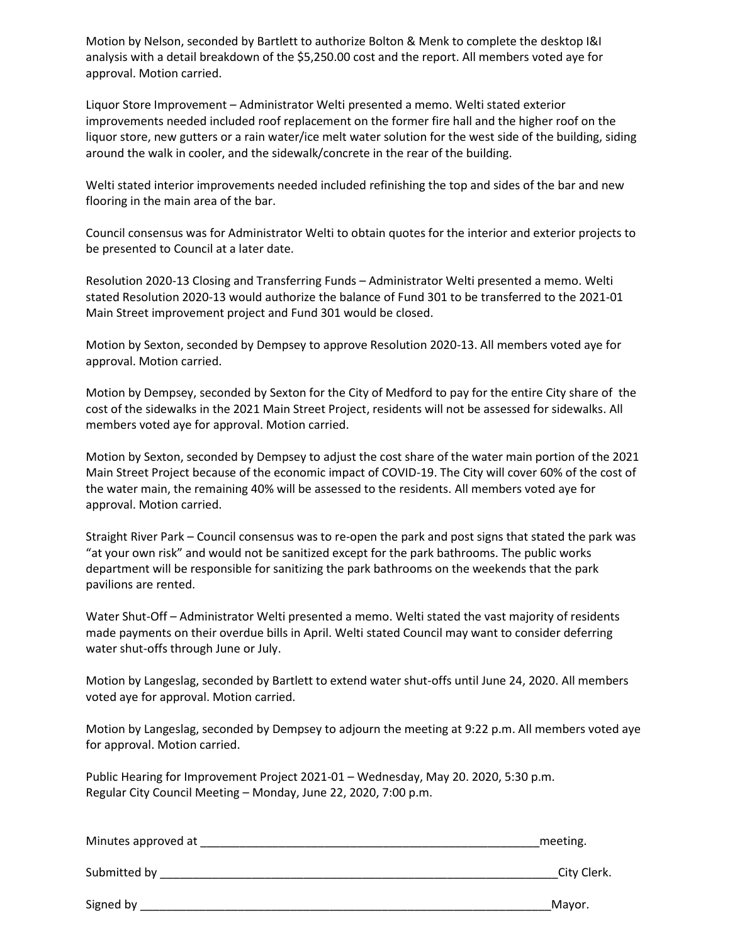Motion by Nelson, seconded by Bartlett to authorize Bolton & Menk to complete the desktop I&I analysis with a detail breakdown of the \$5,250.00 cost and the report. All members voted aye for approval. Motion carried.

Liquor Store Improvement – Administrator Welti presented a memo. Welti stated exterior improvements needed included roof replacement on the former fire hall and the higher roof on the liquor store, new gutters or a rain water/ice melt water solution for the west side of the building, siding around the walk in cooler, and the sidewalk/concrete in the rear of the building.

Welti stated interior improvements needed included refinishing the top and sides of the bar and new flooring in the main area of the bar.

Council consensus was for Administrator Welti to obtain quotes for the interior and exterior projects to be presented to Council at a later date.

Resolution 2020-13 Closing and Transferring Funds – Administrator Welti presented a memo. Welti stated Resolution 2020-13 would authorize the balance of Fund 301 to be transferred to the 2021-01 Main Street improvement project and Fund 301 would be closed.

Motion by Sexton, seconded by Dempsey to approve Resolution 2020-13. All members voted aye for approval. Motion carried.

Motion by Dempsey, seconded by Sexton for the City of Medford to pay for the entire City share of the cost of the sidewalks in the 2021 Main Street Project, residents will not be assessed for sidewalks. All members voted aye for approval. Motion carried.

Motion by Sexton, seconded by Dempsey to adjust the cost share of the water main portion of the 2021 Main Street Project because of the economic impact of COVID-19. The City will cover 60% of the cost of the water main, the remaining 40% will be assessed to the residents. All members voted aye for approval. Motion carried.

Straight River Park – Council consensus was to re-open the park and post signs that stated the park was "at your own risk" and would not be sanitized except for the park bathrooms. The public works department will be responsible for sanitizing the park bathrooms on the weekends that the park pavilions are rented.

Water Shut-Off – Administrator Welti presented a memo. Welti stated the vast majority of residents made payments on their overdue bills in April. Welti stated Council may want to consider deferring water shut-offs through June or July.

Motion by Langeslag, seconded by Bartlett to extend water shut-offs until June 24, 2020. All members voted aye for approval. Motion carried.

Motion by Langeslag, seconded by Dempsey to adjourn the meeting at 9:22 p.m. All members voted aye for approval. Motion carried.

Public Hearing for Improvement Project 2021-01 – Wednesday, May 20. 2020, 5:30 p.m. Regular City Council Meeting – Monday, June 22, 2020, 7:00 p.m.

| Minutes approved at | meeting.    |
|---------------------|-------------|
| Submitted by        | City Clerk. |
| Signed by           | Mayor.      |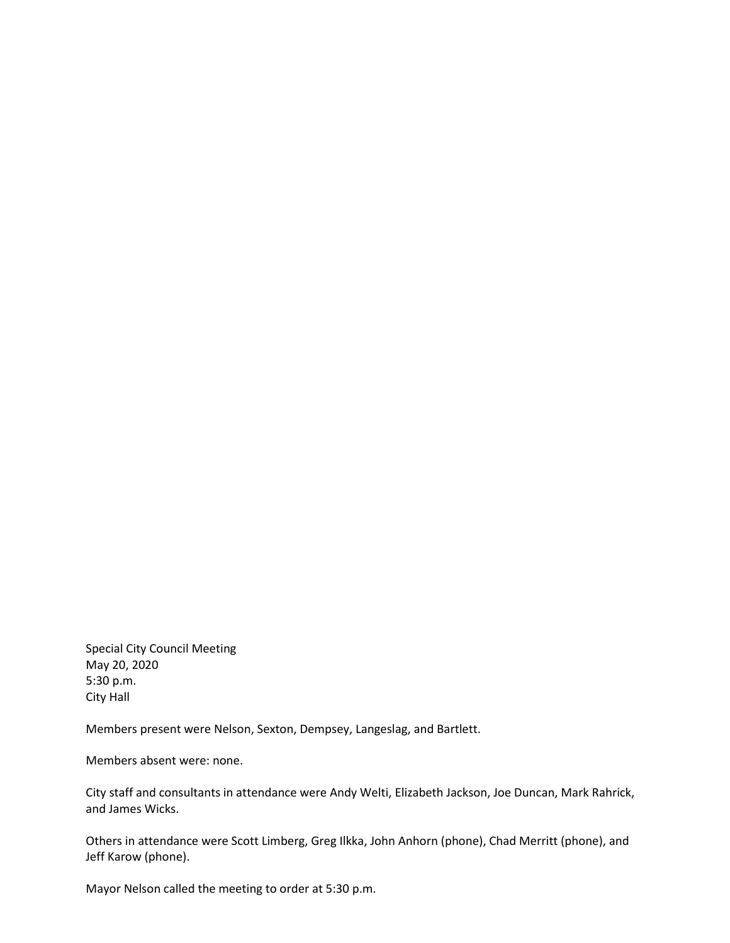Special City Council Meeting May 20, 2020 5:30 p.m. City Hall

Members present were Nelson, Sexton, Dempsey, Langeslag, and Bartlett.

Members absent were: none.

City staff and consultants in attendance were Andy Welti, Elizabeth Jackson, Joe Duncan, Mark Rahrick, and James Wicks.

Others in attendance were Scott Limberg, Greg Ilkka, John Anhorn (phone), Chad Merritt (phone), and Jeff Karow (phone).

Mayor Nelson called the meeting to order at 5:30 p.m.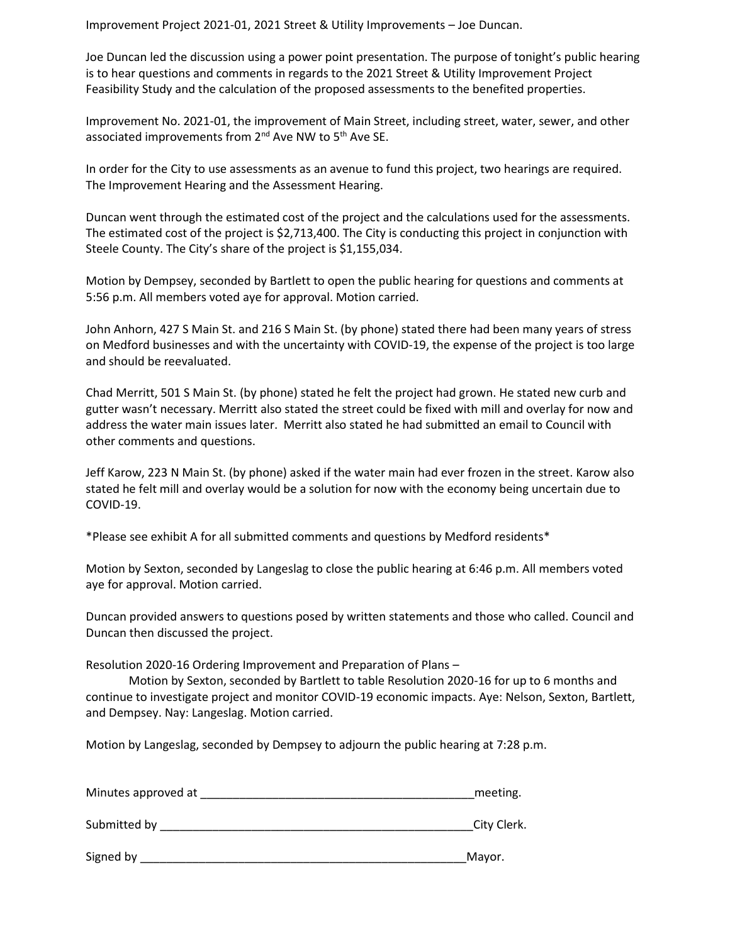Improvement Project 2021-01, 2021 Street & Utility Improvements – Joe Duncan.

Joe Duncan led the discussion using a power point presentation. The purpose of tonight's public hearing is to hear questions and comments in regards to the 2021 Street & Utility Improvement Project Feasibility Study and the calculation of the proposed assessments to the benefited properties.

Improvement No. 2021-01, the improvement of Main Street, including street, water, sewer, and other associated improvements from 2<sup>nd</sup> Ave NW to 5<sup>th</sup> Ave SE.

In order for the City to use assessments as an avenue to fund this project, two hearings are required. The Improvement Hearing and the Assessment Hearing.

Duncan went through the estimated cost of the project and the calculations used for the assessments. The estimated cost of the project is \$2,713,400. The City is conducting this project in conjunction with Steele County. The City's share of the project is \$1,155,034.

Motion by Dempsey, seconded by Bartlett to open the public hearing for questions and comments at 5:56 p.m. All members voted aye for approval. Motion carried.

John Anhorn, 427 S Main St. and 216 S Main St. (by phone) stated there had been many years of stress on Medford businesses and with the uncertainty with COVID-19, the expense of the project is too large and should be reevaluated.

Chad Merritt, 501 S Main St. (by phone) stated he felt the project had grown. He stated new curb and gutter wasn't necessary. Merritt also stated the street could be fixed with mill and overlay for now and address the water main issues later. Merritt also stated he had submitted an email to Council with other comments and questions.

Jeff Karow, 223 N Main St. (by phone) asked if the water main had ever frozen in the street. Karow also stated he felt mill and overlay would be a solution for now with the economy being uncertain due to COVID-19.

\*Please see exhibit A for all submitted comments and questions by Medford residents\*

Motion by Sexton, seconded by Langeslag to close the public hearing at 6:46 p.m. All members voted aye for approval. Motion carried.

Duncan provided answers to questions posed by written statements and those who called. Council and Duncan then discussed the project.

Resolution 2020-16 Ordering Improvement and Preparation of Plans –

Motion by Sexton, seconded by Bartlett to table Resolution 2020-16 for up to 6 months and continue to investigate project and monitor COVID-19 economic impacts. Aye: Nelson, Sexton, Bartlett, and Dempsey. Nay: Langeslag. Motion carried.

Motion by Langeslag, seconded by Dempsey to adjourn the public hearing at 7:28 p.m.

| Minutes approved at | meeting.    |
|---------------------|-------------|
| Submitted by        | City Clerk. |
|                     | $\cdots$    |

Signed by **Example 2** and the set of the set of the set of the set of the set of the set of the set of the set of the set of the set of the set of the set of the set of the set of the set of the set of the set of the set o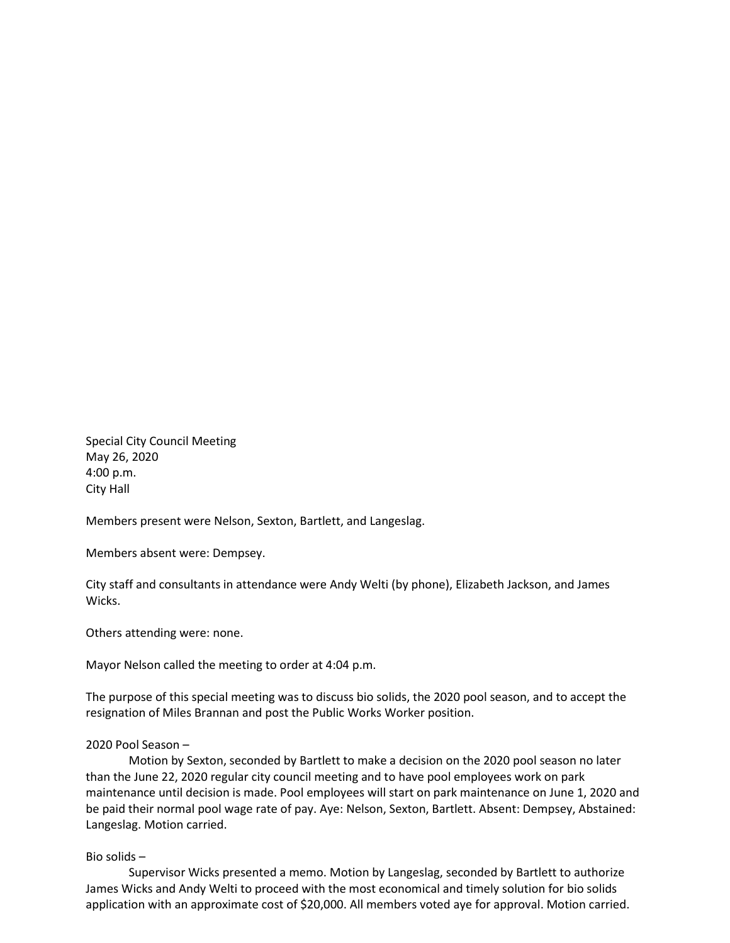Special City Council Meeting May 26, 2020 4:00 p.m. City Hall

Members present were Nelson, Sexton, Bartlett, and Langeslag.

Members absent were: Dempsey.

City staff and consultants in attendance were Andy Welti (by phone), Elizabeth Jackson, and James Wicks.

Others attending were: none.

Mayor Nelson called the meeting to order at 4:04 p.m.

The purpose of this special meeting was to discuss bio solids, the 2020 pool season, and to accept the resignation of Miles Brannan and post the Public Works Worker position.

### 2020 Pool Season –

Motion by Sexton, seconded by Bartlett to make a decision on the 2020 pool season no later than the June 22, 2020 regular city council meeting and to have pool employees work on park maintenance until decision is made. Pool employees will start on park maintenance on June 1, 2020 and be paid their normal pool wage rate of pay. Aye: Nelson, Sexton, Bartlett. Absent: Dempsey, Abstained: Langeslag. Motion carried.

#### Bio solids –

Supervisor Wicks presented a memo. Motion by Langeslag, seconded by Bartlett to authorize James Wicks and Andy Welti to proceed with the most economical and timely solution for bio solids application with an approximate cost of \$20,000. All members voted aye for approval. Motion carried.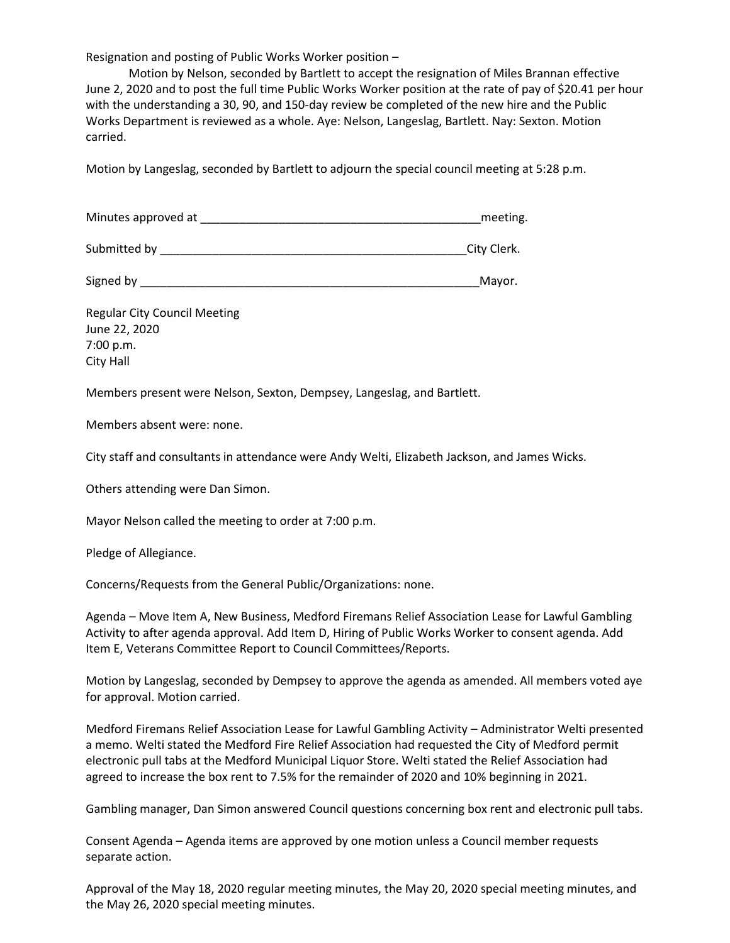Resignation and posting of Public Works Worker position –

Motion by Nelson, seconded by Bartlett to accept the resignation of Miles Brannan effective June 2, 2020 and to post the full time Public Works Worker position at the rate of pay of \$20.41 per hour with the understanding a 30, 90, and 150-day review be completed of the new hire and the Public Works Department is reviewed as a whole. Aye: Nelson, Langeslag, Bartlett. Nay: Sexton. Motion carried.

Motion by Langeslag, seconded by Bartlett to adjourn the special council meeting at 5:28 p.m.

| Minutes approved at |  | meeting. |
|---------------------|--|----------|
|---------------------|--|----------|

Submitted by Equation of the Submitted by  $\Gamma$  and  $\Gamma$  and  $\Gamma$  and  $\Gamma$  and  $\Gamma$  and  $\Gamma$  and  $\Gamma$  and  $\Gamma$  and  $\Gamma$  and  $\Gamma$  and  $\Gamma$  and  $\Gamma$  and  $\Gamma$  and  $\Gamma$  and  $\Gamma$  and  $\Gamma$  and  $\Gamma$  and  $\Gamma$  and  $\Gamma$  and  $\Gamma$  and

Signed by **Example 20** Signed by **Mayor.** 

Regular City Council Meeting June 22, 2020 7:00 p.m. City Hall

Members present were Nelson, Sexton, Dempsey, Langeslag, and Bartlett.

Members absent were: none.

City staff and consultants in attendance were Andy Welti, Elizabeth Jackson, and James Wicks.

Others attending were Dan Simon.

Mayor Nelson called the meeting to order at 7:00 p.m.

Pledge of Allegiance.

Concerns/Requests from the General Public/Organizations: none.

Agenda – Move Item A, New Business, Medford Firemans Relief Association Lease for Lawful Gambling Activity to after agenda approval. Add Item D, Hiring of Public Works Worker to consent agenda. Add Item E, Veterans Committee Report to Council Committees/Reports.

Motion by Langeslag, seconded by Dempsey to approve the agenda as amended. All members voted aye for approval. Motion carried.

Medford Firemans Relief Association Lease for Lawful Gambling Activity – Administrator Welti presented a memo. Welti stated the Medford Fire Relief Association had requested the City of Medford permit electronic pull tabs at the Medford Municipal Liquor Store. Welti stated the Relief Association had agreed to increase the box rent to 7.5% for the remainder of 2020 and 10% beginning in 2021.

Gambling manager, Dan Simon answered Council questions concerning box rent and electronic pull tabs.

Consent Agenda – Agenda items are approved by one motion unless a Council member requests separate action.

Approval of the May 18, 2020 regular meeting minutes, the May 20, 2020 special meeting minutes, and the May 26, 2020 special meeting minutes.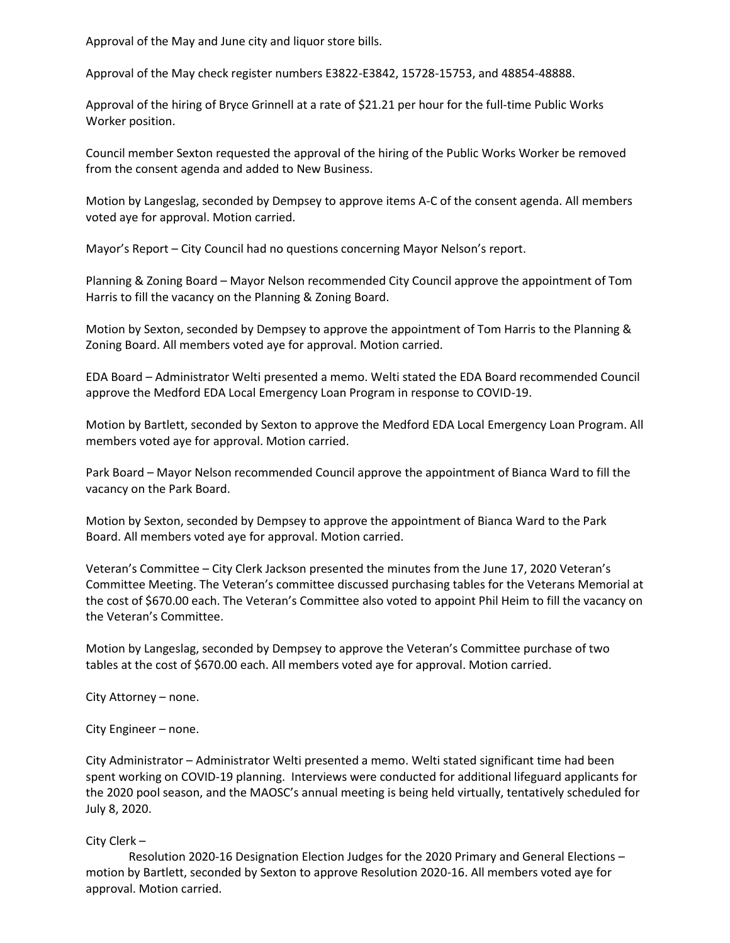Approval of the May and June city and liquor store bills.

Approval of the May check register numbers E3822-E3842, 15728-15753, and 48854-48888.

Approval of the hiring of Bryce Grinnell at a rate of \$21.21 per hour for the full-time Public Works Worker position.

Council member Sexton requested the approval of the hiring of the Public Works Worker be removed from the consent agenda and added to New Business.

Motion by Langeslag, seconded by Dempsey to approve items A-C of the consent agenda. All members voted aye for approval. Motion carried.

Mayor's Report – City Council had no questions concerning Mayor Nelson's report.

Planning & Zoning Board – Mayor Nelson recommended City Council approve the appointment of Tom Harris to fill the vacancy on the Planning & Zoning Board.

Motion by Sexton, seconded by Dempsey to approve the appointment of Tom Harris to the Planning & Zoning Board. All members voted aye for approval. Motion carried.

EDA Board – Administrator Welti presented a memo. Welti stated the EDA Board recommended Council approve the Medford EDA Local Emergency Loan Program in response to COVID-19.

Motion by Bartlett, seconded by Sexton to approve the Medford EDA Local Emergency Loan Program. All members voted aye for approval. Motion carried.

Park Board – Mayor Nelson recommended Council approve the appointment of Bianca Ward to fill the vacancy on the Park Board.

Motion by Sexton, seconded by Dempsey to approve the appointment of Bianca Ward to the Park Board. All members voted aye for approval. Motion carried.

Veteran's Committee – City Clerk Jackson presented the minutes from the June 17, 2020 Veteran's Committee Meeting. The Veteran's committee discussed purchasing tables for the Veterans Memorial at the cost of \$670.00 each. The Veteran's Committee also voted to appoint Phil Heim to fill the vacancy on the Veteran's Committee.

Motion by Langeslag, seconded by Dempsey to approve the Veteran's Committee purchase of two tables at the cost of \$670.00 each. All members voted aye for approval. Motion carried.

City Attorney – none.

City Engineer – none.

City Administrator – Administrator Welti presented a memo. Welti stated significant time had been spent working on COVID-19 planning. Interviews were conducted for additional lifeguard applicants for the 2020 pool season, and the MAOSC's annual meeting is being held virtually, tentatively scheduled for July 8, 2020.

# City Clerk –

Resolution 2020-16 Designation Election Judges for the 2020 Primary and General Elections – motion by Bartlett, seconded by Sexton to approve Resolution 2020-16. All members voted aye for approval. Motion carried.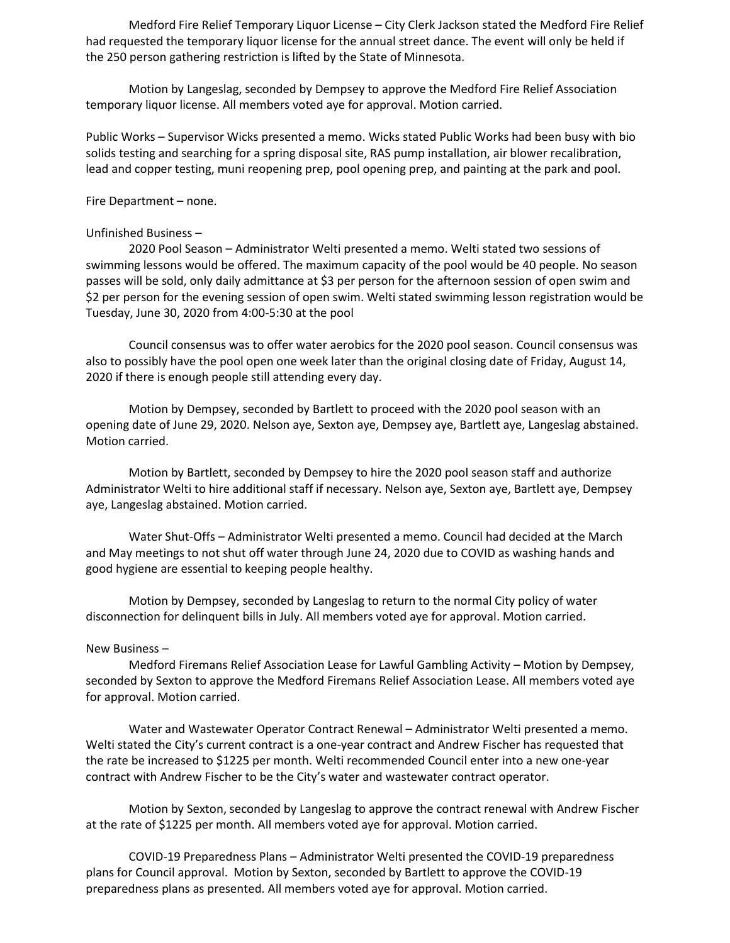Medford Fire Relief Temporary Liquor License – City Clerk Jackson stated the Medford Fire Relief had requested the temporary liquor license for the annual street dance. The event will only be held if the 250 person gathering restriction is lifted by the State of Minnesota.

Motion by Langeslag, seconded by Dempsey to approve the Medford Fire Relief Association temporary liquor license. All members voted aye for approval. Motion carried.

Public Works – Supervisor Wicks presented a memo. Wicks stated Public Works had been busy with bio solids testing and searching for a spring disposal site, RAS pump installation, air blower recalibration, lead and copper testing, muni reopening prep, pool opening prep, and painting at the park and pool.

Fire Department – none.

#### Unfinished Business –

2020 Pool Season – Administrator Welti presented a memo. Welti stated two sessions of swimming lessons would be offered. The maximum capacity of the pool would be 40 people. No season passes will be sold, only daily admittance at \$3 per person for the afternoon session of open swim and \$2 per person for the evening session of open swim. Welti stated swimming lesson registration would be Tuesday, June 30, 2020 from 4:00-5:30 at the pool

Council consensus was to offer water aerobics for the 2020 pool season. Council consensus was also to possibly have the pool open one week later than the original closing date of Friday, August 14, 2020 if there is enough people still attending every day.

Motion by Dempsey, seconded by Bartlett to proceed with the 2020 pool season with an opening date of June 29, 2020. Nelson aye, Sexton aye, Dempsey aye, Bartlett aye, Langeslag abstained. Motion carried.

Motion by Bartlett, seconded by Dempsey to hire the 2020 pool season staff and authorize Administrator Welti to hire additional staff if necessary. Nelson aye, Sexton aye, Bartlett aye, Dempsey aye, Langeslag abstained. Motion carried.

Water Shut-Offs – Administrator Welti presented a memo. Council had decided at the March and May meetings to not shut off water through June 24, 2020 due to COVID as washing hands and good hygiene are essential to keeping people healthy.

Motion by Dempsey, seconded by Langeslag to return to the normal City policy of water disconnection for delinquent bills in July. All members voted aye for approval. Motion carried.

#### New Business –

Medford Firemans Relief Association Lease for Lawful Gambling Activity – Motion by Dempsey, seconded by Sexton to approve the Medford Firemans Relief Association Lease. All members voted aye for approval. Motion carried.

Water and Wastewater Operator Contract Renewal – Administrator Welti presented a memo. Welti stated the City's current contract is a one-year contract and Andrew Fischer has requested that the rate be increased to \$1225 per month. Welti recommended Council enter into a new one-year contract with Andrew Fischer to be the City's water and wastewater contract operator.

Motion by Sexton, seconded by Langeslag to approve the contract renewal with Andrew Fischer at the rate of \$1225 per month. All members voted aye for approval. Motion carried.

COVID-19 Preparedness Plans – Administrator Welti presented the COVID-19 preparedness plans for Council approval. Motion by Sexton, seconded by Bartlett to approve the COVID-19 preparedness plans as presented. All members voted aye for approval. Motion carried.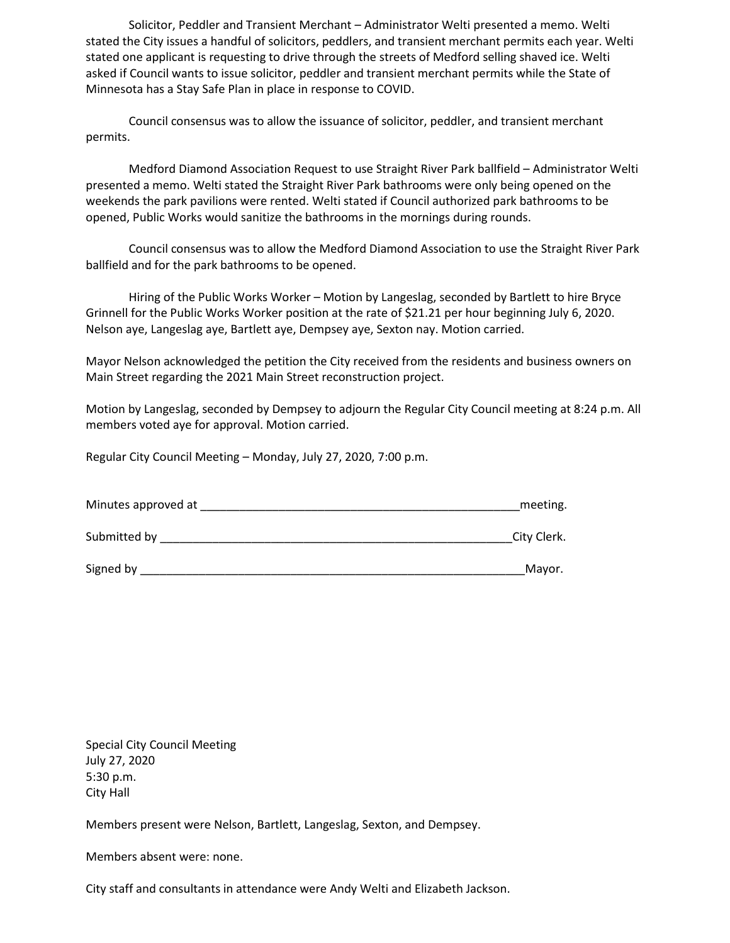Solicitor, Peddler and Transient Merchant – Administrator Welti presented a memo. Welti stated the City issues a handful of solicitors, peddlers, and transient merchant permits each year. Welti stated one applicant is requesting to drive through the streets of Medford selling shaved ice. Welti asked if Council wants to issue solicitor, peddler and transient merchant permits while the State of Minnesota has a Stay Safe Plan in place in response to COVID.

Council consensus was to allow the issuance of solicitor, peddler, and transient merchant permits.

Medford Diamond Association Request to use Straight River Park ballfield – Administrator Welti presented a memo. Welti stated the Straight River Park bathrooms were only being opened on the weekends the park pavilions were rented. Welti stated if Council authorized park bathrooms to be opened, Public Works would sanitize the bathrooms in the mornings during rounds.

Council consensus was to allow the Medford Diamond Association to use the Straight River Park ballfield and for the park bathrooms to be opened.

Hiring of the Public Works Worker – Motion by Langeslag, seconded by Bartlett to hire Bryce Grinnell for the Public Works Worker position at the rate of \$21.21 per hour beginning July 6, 2020. Nelson aye, Langeslag aye, Bartlett aye, Dempsey aye, Sexton nay. Motion carried.

Mayor Nelson acknowledged the petition the City received from the residents and business owners on Main Street regarding the 2021 Main Street reconstruction project.

Motion by Langeslag, seconded by Dempsey to adjourn the Regular City Council meeting at 8:24 p.m. All members voted aye for approval. Motion carried.

Regular City Council Meeting – Monday, July 27, 2020, 7:00 p.m.

| Minutes approved at | meeting.    |
|---------------------|-------------|
| Submitted by        | City Clerk. |
| Signed by           | Mayor.      |

Special City Council Meeting July 27, 2020 5:30 p.m. City Hall

Members present were Nelson, Bartlett, Langeslag, Sexton, and Dempsey.

Members absent were: none.

City staff and consultants in attendance were Andy Welti and Elizabeth Jackson.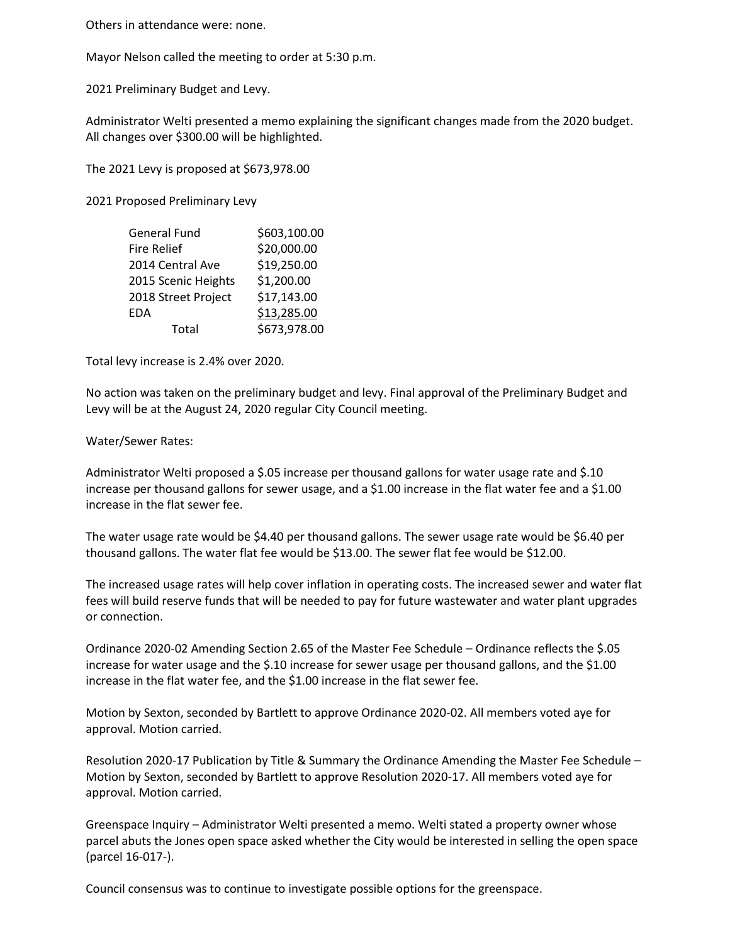Others in attendance were: none.

Mayor Nelson called the meeting to order at 5:30 p.m.

2021 Preliminary Budget and Levy.

Administrator Welti presented a memo explaining the significant changes made from the 2020 budget. All changes over \$300.00 will be highlighted.

The 2021 Levy is proposed at \$673,978.00

2021 Proposed Preliminary Levy

| <b>General Fund</b> | \$603,100.00 |
|---------------------|--------------|
| <b>Fire Relief</b>  | \$20,000.00  |
| 2014 Central Ave    | \$19,250.00  |
| 2015 Scenic Heights | \$1,200.00   |
| 2018 Street Project | \$17,143.00  |
| <b>EDA</b>          | \$13,285.00  |
| Total               | \$673,978.00 |

Total levy increase is 2.4% over 2020.

No action was taken on the preliminary budget and levy. Final approval of the Preliminary Budget and Levy will be at the August 24, 2020 regular City Council meeting.

### Water/Sewer Rates:

Administrator Welti proposed a \$.05 increase per thousand gallons for water usage rate and \$.10 increase per thousand gallons for sewer usage, and a \$1.00 increase in the flat water fee and a \$1.00 increase in the flat sewer fee.

The water usage rate would be \$4.40 per thousand gallons. The sewer usage rate would be \$6.40 per thousand gallons. The water flat fee would be \$13.00. The sewer flat fee would be \$12.00.

The increased usage rates will help cover inflation in operating costs. The increased sewer and water flat fees will build reserve funds that will be needed to pay for future wastewater and water plant upgrades or connection.

Ordinance 2020-02 Amending Section 2.65 of the Master Fee Schedule – Ordinance reflects the \$.05 increase for water usage and the \$.10 increase for sewer usage per thousand gallons, and the \$1.00 increase in the flat water fee, and the \$1.00 increase in the flat sewer fee.

Motion by Sexton, seconded by Bartlett to approve Ordinance 2020-02. All members voted aye for approval. Motion carried.

Resolution 2020-17 Publication by Title & Summary the Ordinance Amending the Master Fee Schedule – Motion by Sexton, seconded by Bartlett to approve Resolution 2020-17. All members voted aye for approval. Motion carried.

Greenspace Inquiry – Administrator Welti presented a memo. Welti stated a property owner whose parcel abuts the Jones open space asked whether the City would be interested in selling the open space (parcel 16-017-).

Council consensus was to continue to investigate possible options for the greenspace.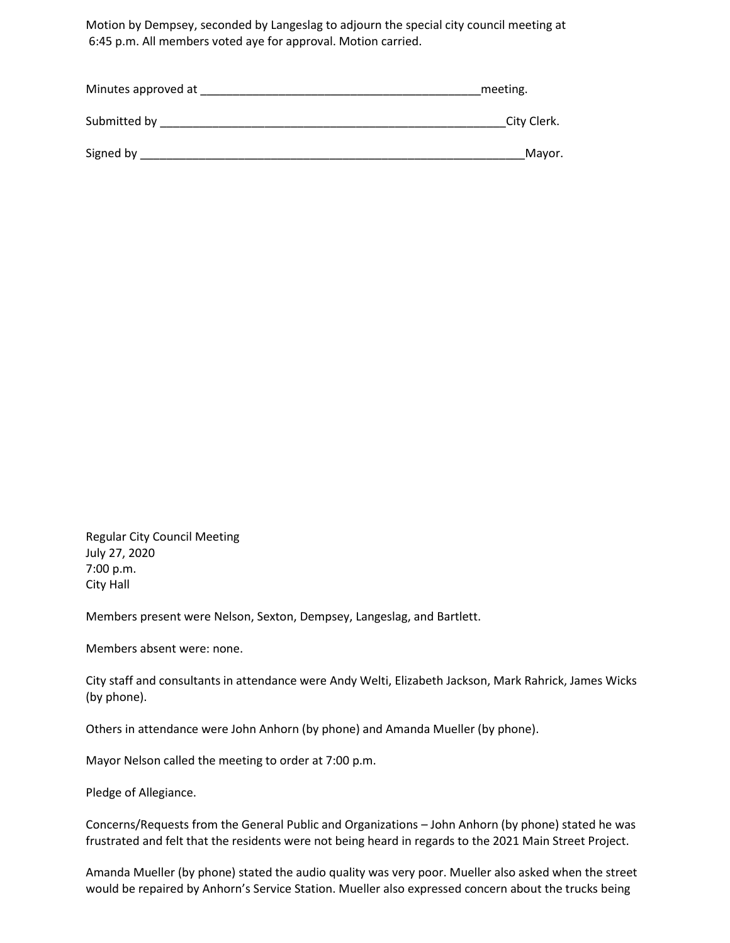Motion by Dempsey, seconded by Langeslag to adjourn the special city council meeting at 6:45 p.m. All members voted aye for approval. Motion carried.

| Minutes approved at | meeting.    |
|---------------------|-------------|
| Submitted by        | City Clerk. |
| Signed by           | Mayor.      |

Regular City Council Meeting July 27, 2020 7:00 p.m. City Hall

Members present were Nelson, Sexton, Dempsey, Langeslag, and Bartlett.

Members absent were: none.

City staff and consultants in attendance were Andy Welti, Elizabeth Jackson, Mark Rahrick, James Wicks (by phone).

Others in attendance were John Anhorn (by phone) and Amanda Mueller (by phone).

Mayor Nelson called the meeting to order at 7:00 p.m.

Pledge of Allegiance.

Concerns/Requests from the General Public and Organizations – John Anhorn (by phone) stated he was frustrated and felt that the residents were not being heard in regards to the 2021 Main Street Project.

Amanda Mueller (by phone) stated the audio quality was very poor. Mueller also asked when the street would be repaired by Anhorn's Service Station. Mueller also expressed concern about the trucks being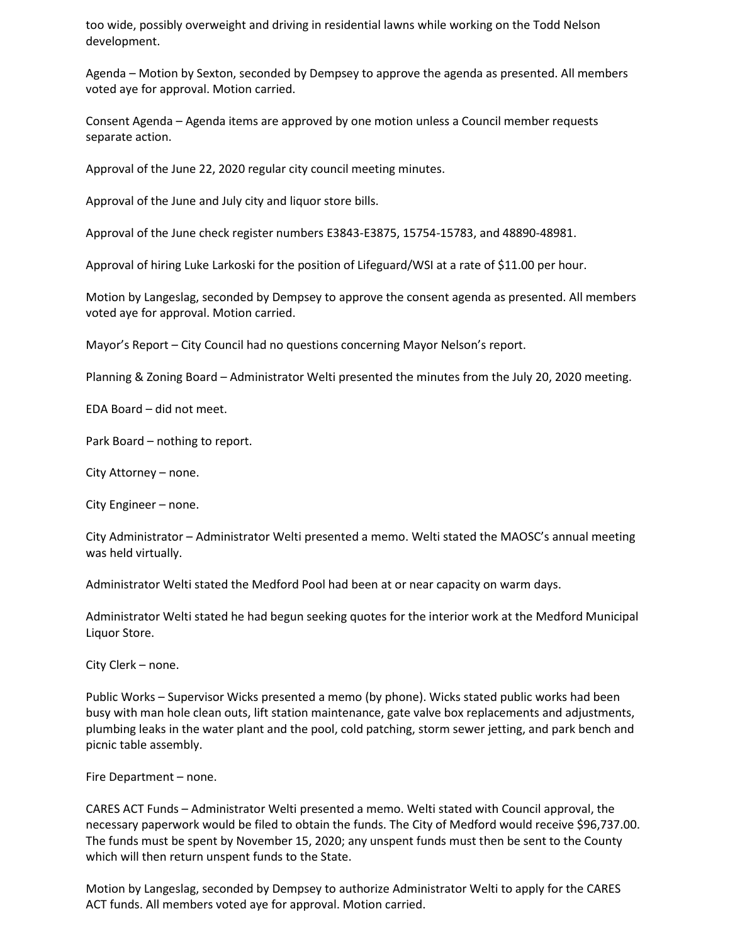too wide, possibly overweight and driving in residential lawns while working on the Todd Nelson development.

Agenda – Motion by Sexton, seconded by Dempsey to approve the agenda as presented. All members voted aye for approval. Motion carried.

Consent Agenda – Agenda items are approved by one motion unless a Council member requests separate action.

Approval of the June 22, 2020 regular city council meeting minutes.

Approval of the June and July city and liquor store bills.

Approval of the June check register numbers E3843-E3875, 15754-15783, and 48890-48981.

Approval of hiring Luke Larkoski for the position of Lifeguard/WSI at a rate of \$11.00 per hour.

Motion by Langeslag, seconded by Dempsey to approve the consent agenda as presented. All members voted aye for approval. Motion carried.

Mayor's Report – City Council had no questions concerning Mayor Nelson's report.

Planning & Zoning Board – Administrator Welti presented the minutes from the July 20, 2020 meeting.

EDA Board – did not meet.

Park Board – nothing to report.

City Attorney – none.

City Engineer – none.

City Administrator – Administrator Welti presented a memo. Welti stated the MAOSC's annual meeting was held virtually.

Administrator Welti stated the Medford Pool had been at or near capacity on warm days.

Administrator Welti stated he had begun seeking quotes for the interior work at the Medford Municipal Liquor Store.

City Clerk – none.

Public Works – Supervisor Wicks presented a memo (by phone). Wicks stated public works had been busy with man hole clean outs, lift station maintenance, gate valve box replacements and adjustments, plumbing leaks in the water plant and the pool, cold patching, storm sewer jetting, and park bench and picnic table assembly.

Fire Department – none.

CARES ACT Funds – Administrator Welti presented a memo. Welti stated with Council approval, the necessary paperwork would be filed to obtain the funds. The City of Medford would receive \$96,737.00. The funds must be spent by November 15, 2020; any unspent funds must then be sent to the County which will then return unspent funds to the State.

Motion by Langeslag, seconded by Dempsey to authorize Administrator Welti to apply for the CARES ACT funds. All members voted aye for approval. Motion carried.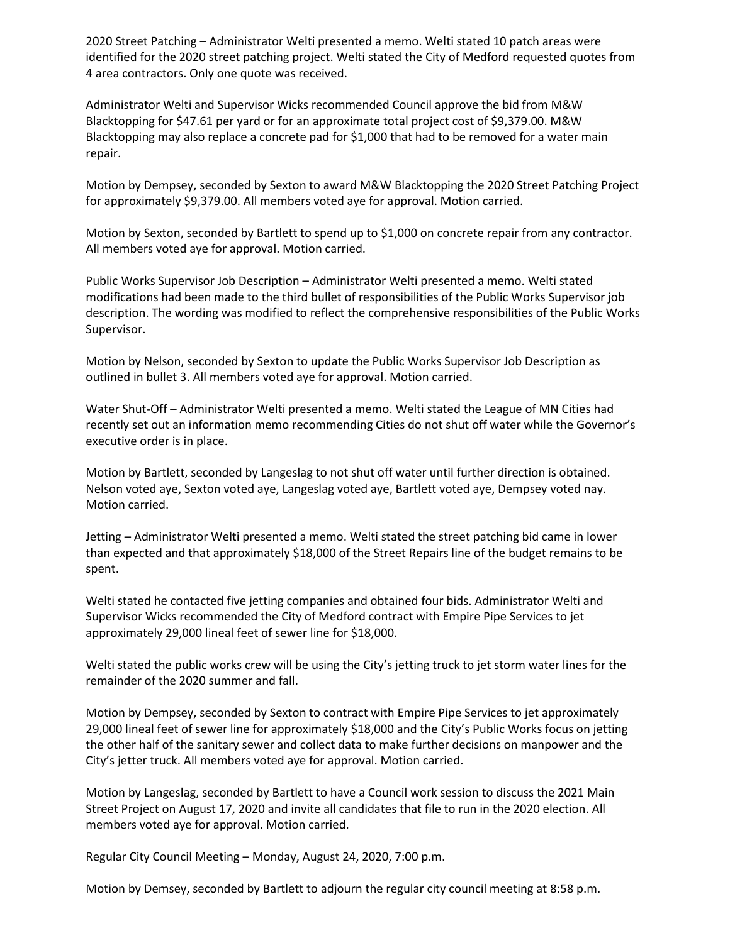2020 Street Patching – Administrator Welti presented a memo. Welti stated 10 patch areas were identified for the 2020 street patching project. Welti stated the City of Medford requested quotes from 4 area contractors. Only one quote was received.

Administrator Welti and Supervisor Wicks recommended Council approve the bid from M&W Blacktopping for \$47.61 per yard or for an approximate total project cost of \$9,379.00. M&W Blacktopping may also replace a concrete pad for \$1,000 that had to be removed for a water main repair.

Motion by Dempsey, seconded by Sexton to award M&W Blacktopping the 2020 Street Patching Project for approximately \$9,379.00. All members voted aye for approval. Motion carried.

Motion by Sexton, seconded by Bartlett to spend up to \$1,000 on concrete repair from any contractor. All members voted aye for approval. Motion carried.

Public Works Supervisor Job Description – Administrator Welti presented a memo. Welti stated modifications had been made to the third bullet of responsibilities of the Public Works Supervisor job description. The wording was modified to reflect the comprehensive responsibilities of the Public Works Supervisor.

Motion by Nelson, seconded by Sexton to update the Public Works Supervisor Job Description as outlined in bullet 3. All members voted aye for approval. Motion carried.

Water Shut-Off – Administrator Welti presented a memo. Welti stated the League of MN Cities had recently set out an information memo recommending Cities do not shut off water while the Governor's executive order is in place.

Motion by Bartlett, seconded by Langeslag to not shut off water until further direction is obtained. Nelson voted aye, Sexton voted aye, Langeslag voted aye, Bartlett voted aye, Dempsey voted nay. Motion carried.

Jetting – Administrator Welti presented a memo. Welti stated the street patching bid came in lower than expected and that approximately \$18,000 of the Street Repairs line of the budget remains to be spent.

Welti stated he contacted five jetting companies and obtained four bids. Administrator Welti and Supervisor Wicks recommended the City of Medford contract with Empire Pipe Services to jet approximately 29,000 lineal feet of sewer line for \$18,000.

Welti stated the public works crew will be using the City's jetting truck to jet storm water lines for the remainder of the 2020 summer and fall.

Motion by Dempsey, seconded by Sexton to contract with Empire Pipe Services to jet approximately 29,000 lineal feet of sewer line for approximately \$18,000 and the City's Public Works focus on jetting the other half of the sanitary sewer and collect data to make further decisions on manpower and the City's jetter truck. All members voted aye for approval. Motion carried.

Motion by Langeslag, seconded by Bartlett to have a Council work session to discuss the 2021 Main Street Project on August 17, 2020 and invite all candidates that file to run in the 2020 election. All members voted aye for approval. Motion carried.

Regular City Council Meeting – Monday, August 24, 2020, 7:00 p.m.

Motion by Demsey, seconded by Bartlett to adjourn the regular city council meeting at 8:58 p.m.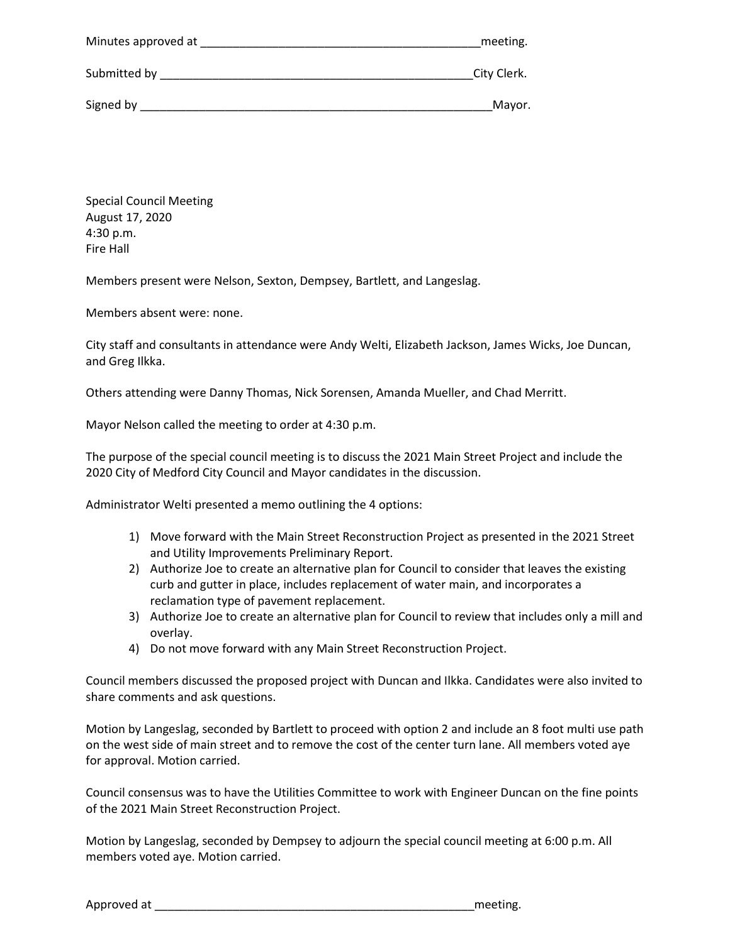| Minutes approved at | meeting.    |
|---------------------|-------------|
| Submitted by        | City Clerk. |
| Signed by           | Mayor.      |

Special Council Meeting August 17, 2020 4:30 p.m. Fire Hall

Members present were Nelson, Sexton, Dempsey, Bartlett, and Langeslag.

Members absent were: none.

City staff and consultants in attendance were Andy Welti, Elizabeth Jackson, James Wicks, Joe Duncan, and Greg Ilkka.

Others attending were Danny Thomas, Nick Sorensen, Amanda Mueller, and Chad Merritt.

Mayor Nelson called the meeting to order at 4:30 p.m.

The purpose of the special council meeting is to discuss the 2021 Main Street Project and include the 2020 City of Medford City Council and Mayor candidates in the discussion.

Administrator Welti presented a memo outlining the 4 options:

- 1) Move forward with the Main Street Reconstruction Project as presented in the 2021 Street and Utility Improvements Preliminary Report.
- 2) Authorize Joe to create an alternative plan for Council to consider that leaves the existing curb and gutter in place, includes replacement of water main, and incorporates a reclamation type of pavement replacement.
- 3) Authorize Joe to create an alternative plan for Council to review that includes only a mill and overlay.
- 4) Do not move forward with any Main Street Reconstruction Project.

Council members discussed the proposed project with Duncan and Ilkka. Candidates were also invited to share comments and ask questions.

Motion by Langeslag, seconded by Bartlett to proceed with option 2 and include an 8 foot multi use path on the west side of main street and to remove the cost of the center turn lane. All members voted aye for approval. Motion carried.

Council consensus was to have the Utilities Committee to work with Engineer Duncan on the fine points of the 2021 Main Street Reconstruction Project.

Motion by Langeslag, seconded by Dempsey to adjourn the special council meeting at 6:00 p.m. All members voted aye. Motion carried.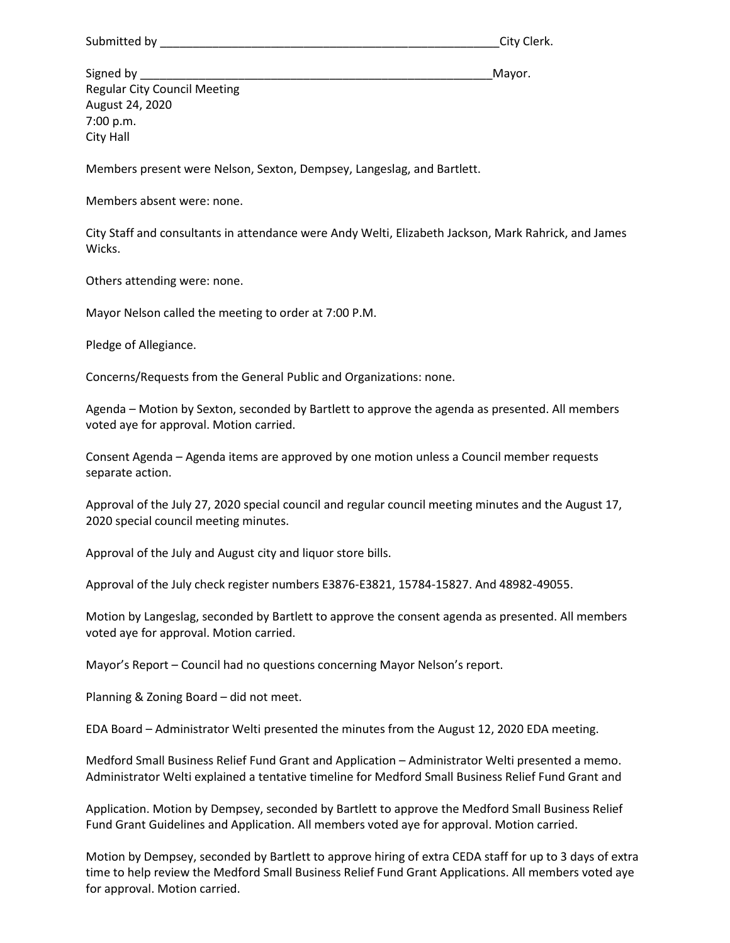Signed by \_\_\_\_\_\_\_\_\_\_\_\_\_\_\_\_\_\_\_\_\_\_\_\_\_\_\_\_\_\_\_\_\_\_\_\_\_\_\_\_\_\_\_\_\_\_\_\_\_\_\_\_\_\_Mayor. Regular City Council Meeting August 24, 2020 7:00 p.m. City Hall

Members present were Nelson, Sexton, Dempsey, Langeslag, and Bartlett.

Members absent were: none.

City Staff and consultants in attendance were Andy Welti, Elizabeth Jackson, Mark Rahrick, and James Wicks.

Others attending were: none.

Mayor Nelson called the meeting to order at 7:00 P.M.

Pledge of Allegiance.

Concerns/Requests from the General Public and Organizations: none.

Agenda – Motion by Sexton, seconded by Bartlett to approve the agenda as presented. All members voted aye for approval. Motion carried.

Consent Agenda – Agenda items are approved by one motion unless a Council member requests separate action.

Approval of the July 27, 2020 special council and regular council meeting minutes and the August 17, 2020 special council meeting minutes.

Approval of the July and August city and liquor store bills.

Approval of the July check register numbers E3876-E3821, 15784-15827. And 48982-49055.

Motion by Langeslag, seconded by Bartlett to approve the consent agenda as presented. All members voted aye for approval. Motion carried.

Mayor's Report – Council had no questions concerning Mayor Nelson's report.

Planning & Zoning Board – did not meet.

EDA Board – Administrator Welti presented the minutes from the August 12, 2020 EDA meeting.

Medford Small Business Relief Fund Grant and Application – Administrator Welti presented a memo. Administrator Welti explained a tentative timeline for Medford Small Business Relief Fund Grant and

Application. Motion by Dempsey, seconded by Bartlett to approve the Medford Small Business Relief Fund Grant Guidelines and Application. All members voted aye for approval. Motion carried.

Motion by Dempsey, seconded by Bartlett to approve hiring of extra CEDA staff for up to 3 days of extra time to help review the Medford Small Business Relief Fund Grant Applications. All members voted aye for approval. Motion carried.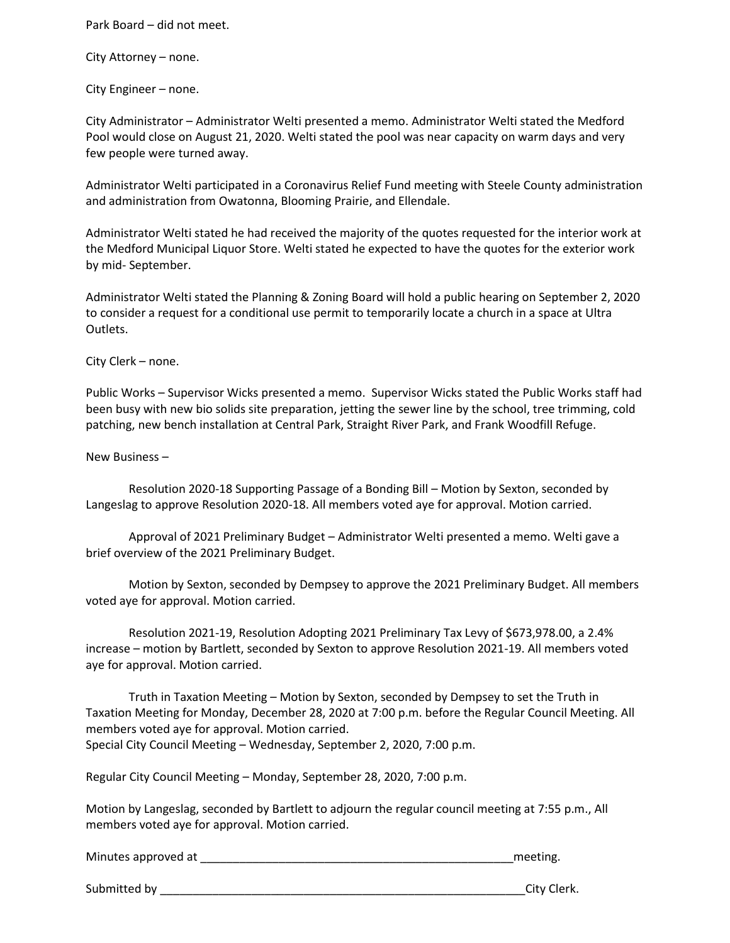Park Board – did not meet.

City Attorney – none.

City Engineer – none.

City Administrator – Administrator Welti presented a memo. Administrator Welti stated the Medford Pool would close on August 21, 2020. Welti stated the pool was near capacity on warm days and very few people were turned away.

Administrator Welti participated in a Coronavirus Relief Fund meeting with Steele County administration and administration from Owatonna, Blooming Prairie, and Ellendale.

Administrator Welti stated he had received the majority of the quotes requested for the interior work at the Medford Municipal Liquor Store. Welti stated he expected to have the quotes for the exterior work by mid- September.

Administrator Welti stated the Planning & Zoning Board will hold a public hearing on September 2, 2020 to consider a request for a conditional use permit to temporarily locate a church in a space at Ultra Outlets.

City Clerk – none.

Public Works – Supervisor Wicks presented a memo. Supervisor Wicks stated the Public Works staff had been busy with new bio solids site preparation, jetting the sewer line by the school, tree trimming, cold patching, new bench installation at Central Park, Straight River Park, and Frank Woodfill Refuge.

New Business –

Resolution 2020-18 Supporting Passage of a Bonding Bill – Motion by Sexton, seconded by Langeslag to approve Resolution 2020-18. All members voted aye for approval. Motion carried.

Approval of 2021 Preliminary Budget – Administrator Welti presented a memo. Welti gave a brief overview of the 2021 Preliminary Budget.

Motion by Sexton, seconded by Dempsey to approve the 2021 Preliminary Budget. All members voted aye for approval. Motion carried.

Resolution 2021-19, Resolution Adopting 2021 Preliminary Tax Levy of \$673,978.00, a 2.4% increase – motion by Bartlett, seconded by Sexton to approve Resolution 2021-19. All members voted aye for approval. Motion carried.

Truth in Taxation Meeting – Motion by Sexton, seconded by Dempsey to set the Truth in Taxation Meeting for Monday, December 28, 2020 at 7:00 p.m. before the Regular Council Meeting. All members voted aye for approval. Motion carried. Special City Council Meeting – Wednesday, September 2, 2020, 7:00 p.m.

Regular City Council Meeting – Monday, September 28, 2020, 7:00 p.m.

Motion by Langeslag, seconded by Bartlett to adjourn the regular council meeting at 7:55 p.m., All members voted aye for approval. Motion carried.

Minutes approved at **EXECUTE 2008** Minutes approved at **EXECUTE 2008** Minutes approved at

Submitted by **Example 2018** City Clerk.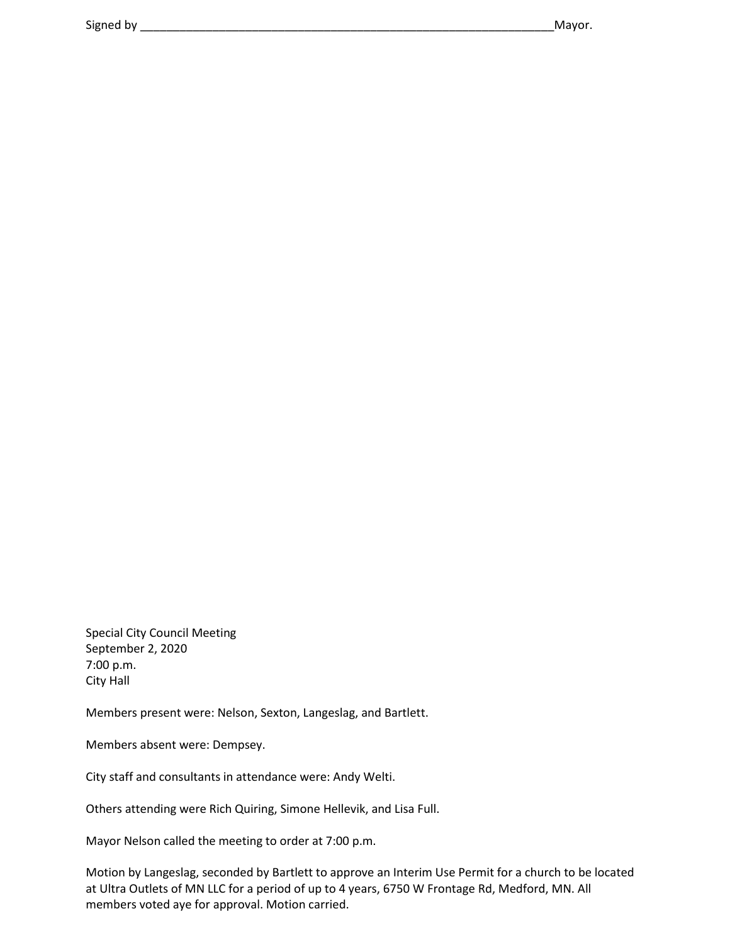Special City Council Meeting September 2, 2020 7:00 p.m. City Hall

Members present were: Nelson, Sexton, Langeslag, and Bartlett.

Members absent were: Dempsey.

City staff and consultants in attendance were: Andy Welti.

Others attending were Rich Quiring, Simone Hellevik, and Lisa Full.

Mayor Nelson called the meeting to order at 7:00 p.m.

Motion by Langeslag, seconded by Bartlett to approve an Interim Use Permit for a church to be located at Ultra Outlets of MN LLC for a period of up to 4 years, 6750 W Frontage Rd, Medford, MN. All members voted aye for approval. Motion carried.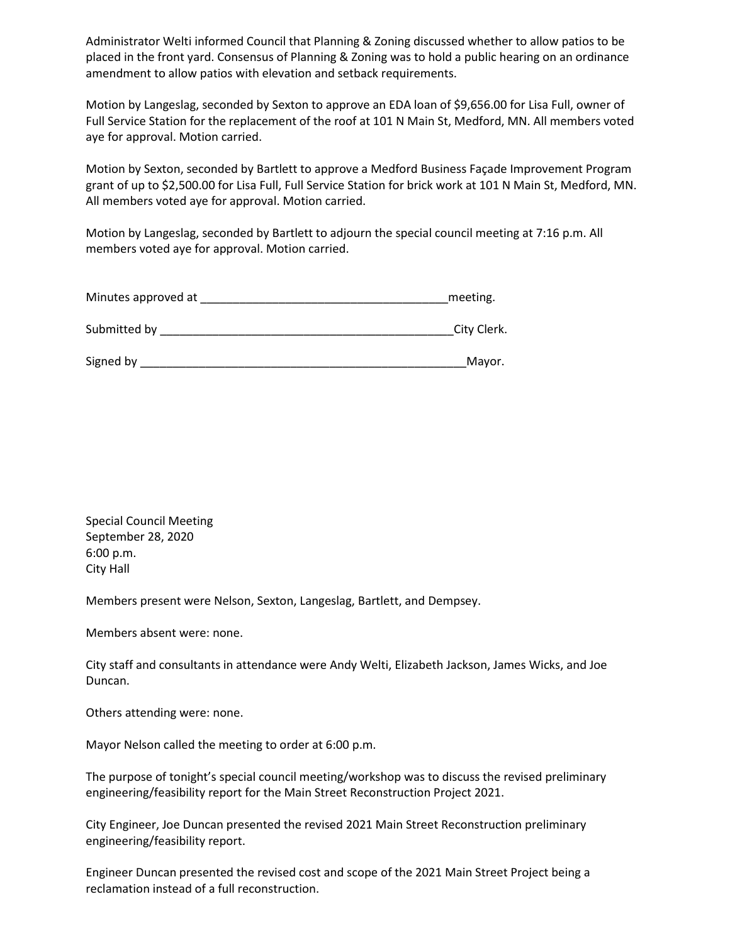Administrator Welti informed Council that Planning & Zoning discussed whether to allow patios to be placed in the front yard. Consensus of Planning & Zoning was to hold a public hearing on an ordinance amendment to allow patios with elevation and setback requirements.

Motion by Langeslag, seconded by Sexton to approve an EDA loan of \$9,656.00 for Lisa Full, owner of Full Service Station for the replacement of the roof at 101 N Main St, Medford, MN. All members voted aye for approval. Motion carried.

Motion by Sexton, seconded by Bartlett to approve a Medford Business Façade Improvement Program grant of up to \$2,500.00 for Lisa Full, Full Service Station for brick work at 101 N Main St, Medford, MN. All members voted aye for approval. Motion carried.

Motion by Langeslag, seconded by Bartlett to adjourn the special council meeting at 7:16 p.m. All members voted aye for approval. Motion carried.

| Minutes approved at |  | meeting. |
|---------------------|--|----------|
|---------------------|--|----------|

| Submitted by |  | City Clerk. |
|--------------|--|-------------|
|--------------|--|-------------|

Special Council Meeting September 28, 2020 6:00 p.m. City Hall

Members present were Nelson, Sexton, Langeslag, Bartlett, and Dempsey.

Members absent were: none.

City staff and consultants in attendance were Andy Welti, Elizabeth Jackson, James Wicks, and Joe Duncan.

Others attending were: none.

Mayor Nelson called the meeting to order at 6:00 p.m.

The purpose of tonight's special council meeting/workshop was to discuss the revised preliminary engineering/feasibility report for the Main Street Reconstruction Project 2021.

City Engineer, Joe Duncan presented the revised 2021 Main Street Reconstruction preliminary engineering/feasibility report.

Engineer Duncan presented the revised cost and scope of the 2021 Main Street Project being a reclamation instead of a full reconstruction.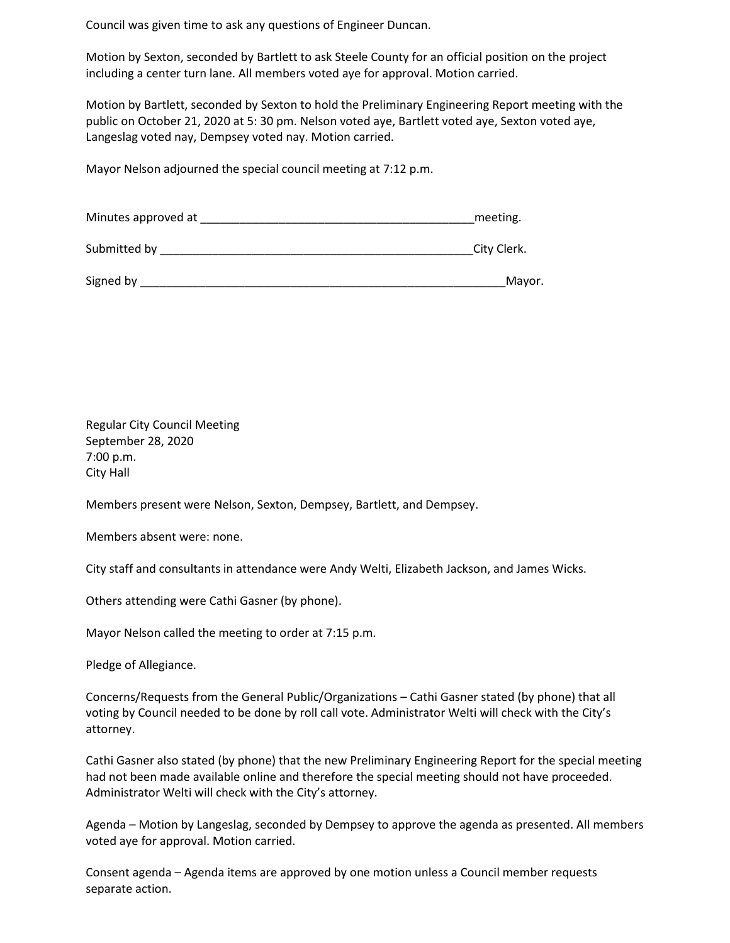Council was given time to ask any questions of Engineer Duncan.

Motion by Sexton, seconded by Bartlett to ask Steele County for an official position on the project including a center turn lane. All members voted aye for approval. Motion carried.

Motion by Bartlett, seconded by Sexton to hold the Preliminary Engineering Report meeting with the public on October 21, 2020 at 5: 30 pm. Nelson voted aye, Bartlett voted aye, Sexton voted aye, Langeslag voted nay, Dempsey voted nay. Motion carried.

Mayor Nelson adjourned the special council meeting at 7:12 p.m.

| Minutes approved at | meeting.    |
|---------------------|-------------|
| Submitted by        | City Clerk. |
| Signed by           | Mayor.      |

Regular City Council Meeting September 28, 2020 7:00 p.m. City Hall

Members present were Nelson, Sexton, Dempsey, Bartlett, and Dempsey.

Members absent were: none.

City staff and consultants in attendance were Andy Welti, Elizabeth Jackson, and James Wicks.

Others attending were Cathi Gasner (by phone).

Mayor Nelson called the meeting to order at 7:15 p.m.

Pledge of Allegiance.

Concerns/Requests from the General Public/Organizations – Cathi Gasner stated (by phone) that all voting by Council needed to be done by roll call vote. Administrator Welti will check with the City's attorney.

Cathi Gasner also stated (by phone) that the new Preliminary Engineering Report for the special meeting had not been made available online and therefore the special meeting should not have proceeded. Administrator Welti will check with the City's attorney.

Agenda – Motion by Langeslag, seconded by Dempsey to approve the agenda as presented. All members voted aye for approval. Motion carried.

Consent agenda – Agenda items are approved by one motion unless a Council member requests separate action.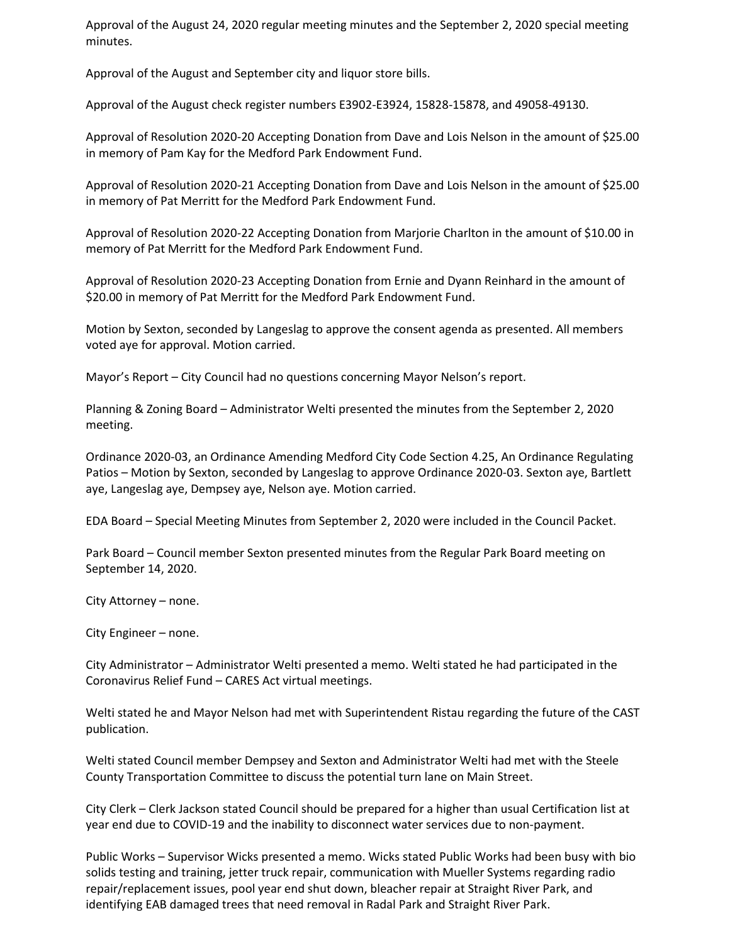Approval of the August 24, 2020 regular meeting minutes and the September 2, 2020 special meeting minutes.

Approval of the August and September city and liquor store bills.

Approval of the August check register numbers E3902-E3924, 15828-15878, and 49058-49130.

Approval of Resolution 2020-20 Accepting Donation from Dave and Lois Nelson in the amount of \$25.00 in memory of Pam Kay for the Medford Park Endowment Fund.

Approval of Resolution 2020-21 Accepting Donation from Dave and Lois Nelson in the amount of \$25.00 in memory of Pat Merritt for the Medford Park Endowment Fund.

Approval of Resolution 2020-22 Accepting Donation from Marjorie Charlton in the amount of \$10.00 in memory of Pat Merritt for the Medford Park Endowment Fund.

Approval of Resolution 2020-23 Accepting Donation from Ernie and Dyann Reinhard in the amount of \$20.00 in memory of Pat Merritt for the Medford Park Endowment Fund.

Motion by Sexton, seconded by Langeslag to approve the consent agenda as presented. All members voted aye for approval. Motion carried.

Mayor's Report – City Council had no questions concerning Mayor Nelson's report.

Planning & Zoning Board – Administrator Welti presented the minutes from the September 2, 2020 meeting.

Ordinance 2020-03, an Ordinance Amending Medford City Code Section 4.25, An Ordinance Regulating Patios – Motion by Sexton, seconded by Langeslag to approve Ordinance 2020-03. Sexton aye, Bartlett aye, Langeslag aye, Dempsey aye, Nelson aye. Motion carried.

EDA Board – Special Meeting Minutes from September 2, 2020 were included in the Council Packet.

Park Board – Council member Sexton presented minutes from the Regular Park Board meeting on September 14, 2020.

City Attorney – none.

City Engineer – none.

City Administrator – Administrator Welti presented a memo. Welti stated he had participated in the Coronavirus Relief Fund – CARES Act virtual meetings.

Welti stated he and Mayor Nelson had met with Superintendent Ristau regarding the future of the CAST publication.

Welti stated Council member Dempsey and Sexton and Administrator Welti had met with the Steele County Transportation Committee to discuss the potential turn lane on Main Street.

City Clerk – Clerk Jackson stated Council should be prepared for a higher than usual Certification list at year end due to COVID-19 and the inability to disconnect water services due to non-payment.

Public Works – Supervisor Wicks presented a memo. Wicks stated Public Works had been busy with bio solids testing and training, jetter truck repair, communication with Mueller Systems regarding radio repair/replacement issues, pool year end shut down, bleacher repair at Straight River Park, and identifying EAB damaged trees that need removal in Radal Park and Straight River Park.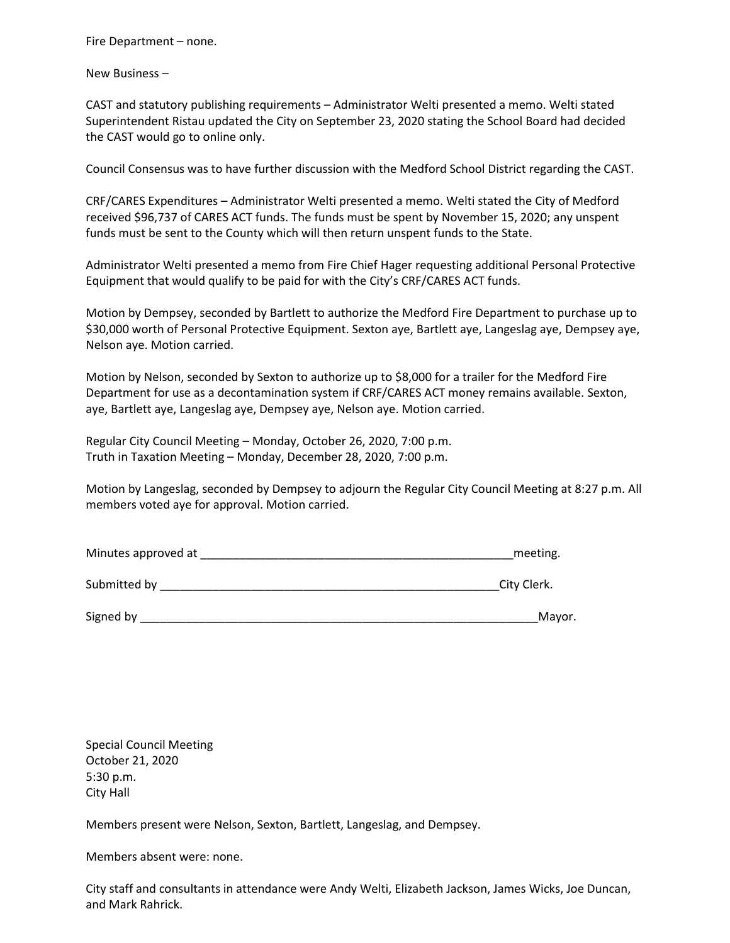Fire Department – none.

New Business –

CAST and statutory publishing requirements – Administrator Welti presented a memo. Welti stated Superintendent Ristau updated the City on September 23, 2020 stating the School Board had decided the CAST would go to online only.

Council Consensus was to have further discussion with the Medford School District regarding the CAST.

CRF/CARES Expenditures – Administrator Welti presented a memo. Welti stated the City of Medford received \$96,737 of CARES ACT funds. The funds must be spent by November 15, 2020; any unspent funds must be sent to the County which will then return unspent funds to the State.

Administrator Welti presented a memo from Fire Chief Hager requesting additional Personal Protective Equipment that would qualify to be paid for with the City's CRF/CARES ACT funds.

Motion by Dempsey, seconded by Bartlett to authorize the Medford Fire Department to purchase up to \$30,000 worth of Personal Protective Equipment. Sexton aye, Bartlett aye, Langeslag aye, Dempsey aye, Nelson aye. Motion carried.

Motion by Nelson, seconded by Sexton to authorize up to \$8,000 for a trailer for the Medford Fire Department for use as a decontamination system if CRF/CARES ACT money remains available. Sexton, aye, Bartlett aye, Langeslag aye, Dempsey aye, Nelson aye. Motion carried.

Regular City Council Meeting – Monday, October 26, 2020, 7:00 p.m. Truth in Taxation Meeting – Monday, December 28, 2020, 7:00 p.m.

Motion by Langeslag, seconded by Dempsey to adjourn the Regular City Council Meeting at 8:27 p.m. All members voted aye for approval. Motion carried.

| Minutes approved at | meeting.    |
|---------------------|-------------|
| Submitted by        | City Clerk. |
| Signed by           | Mayor.      |

Special Council Meeting October 21, 2020 5:30 p.m. City Hall

Members present were Nelson, Sexton, Bartlett, Langeslag, and Dempsey.

Members absent were: none.

City staff and consultants in attendance were Andy Welti, Elizabeth Jackson, James Wicks, Joe Duncan, and Mark Rahrick.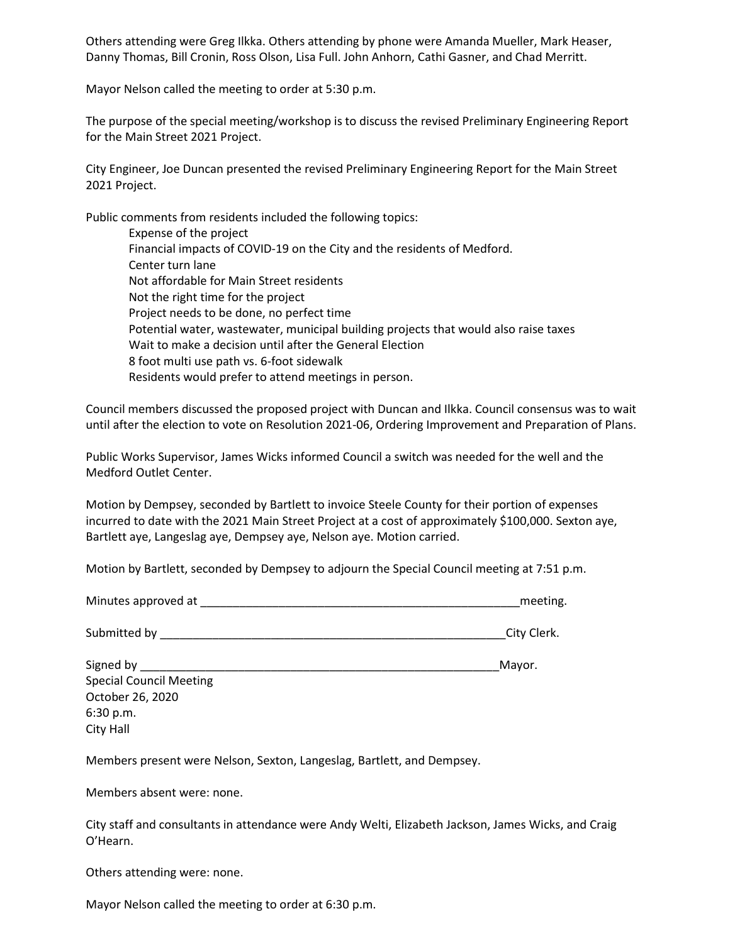Others attending were Greg Ilkka. Others attending by phone were Amanda Mueller, Mark Heaser, Danny Thomas, Bill Cronin, Ross Olson, Lisa Full. John Anhorn, Cathi Gasner, and Chad Merritt.

Mayor Nelson called the meeting to order at 5:30 p.m.

The purpose of the special meeting/workshop is to discuss the revised Preliminary Engineering Report for the Main Street 2021 Project.

City Engineer, Joe Duncan presented the revised Preliminary Engineering Report for the Main Street 2021 Project.

Public comments from residents included the following topics:

Expense of the project Financial impacts of COVID-19 on the City and the residents of Medford. Center turn lane Not affordable for Main Street residents Not the right time for the project Project needs to be done, no perfect time Potential water, wastewater, municipal building projects that would also raise taxes Wait to make a decision until after the General Election 8 foot multi use path vs. 6-foot sidewalk Residents would prefer to attend meetings in person.

Council members discussed the proposed project with Duncan and Ilkka. Council consensus was to wait until after the election to vote on Resolution 2021-06, Ordering Improvement and Preparation of Plans.

Public Works Supervisor, James Wicks informed Council a switch was needed for the well and the Medford Outlet Center.

Motion by Dempsey, seconded by Bartlett to invoice Steele County for their portion of expenses incurred to date with the 2021 Main Street Project at a cost of approximately \$100,000. Sexton aye, Bartlett aye, Langeslag aye, Dempsey aye, Nelson aye. Motion carried.

Motion by Bartlett, seconded by Dempsey to adjourn the Special Council meeting at 7:51 p.m.

| Minutes approved at                                                                                                                                                                                                            | meeting.    |
|--------------------------------------------------------------------------------------------------------------------------------------------------------------------------------------------------------------------------------|-------------|
| Submitted by Submitted by Submitted by Submitted by Submitted by Submitted by Submitted and Submitted by Submitted B                                                                                                           | City Clerk. |
| Signed by Signed State and School and Signed State and State and State and State and State and State and State and State and State and State and State and State and State and State and State and State and State and State a | Mayor.      |
| <b>Special Council Meeting</b>                                                                                                                                                                                                 |             |
| October 26, 2020                                                                                                                                                                                                               |             |
| 6:30 p.m.                                                                                                                                                                                                                      |             |
| City Hall                                                                                                                                                                                                                      |             |

Members present were Nelson, Sexton, Langeslag, Bartlett, and Dempsey.

Members absent were: none.

City staff and consultants in attendance were Andy Welti, Elizabeth Jackson, James Wicks, and Craig O'Hearn.

Others attending were: none.

Mayor Nelson called the meeting to order at 6:30 p.m.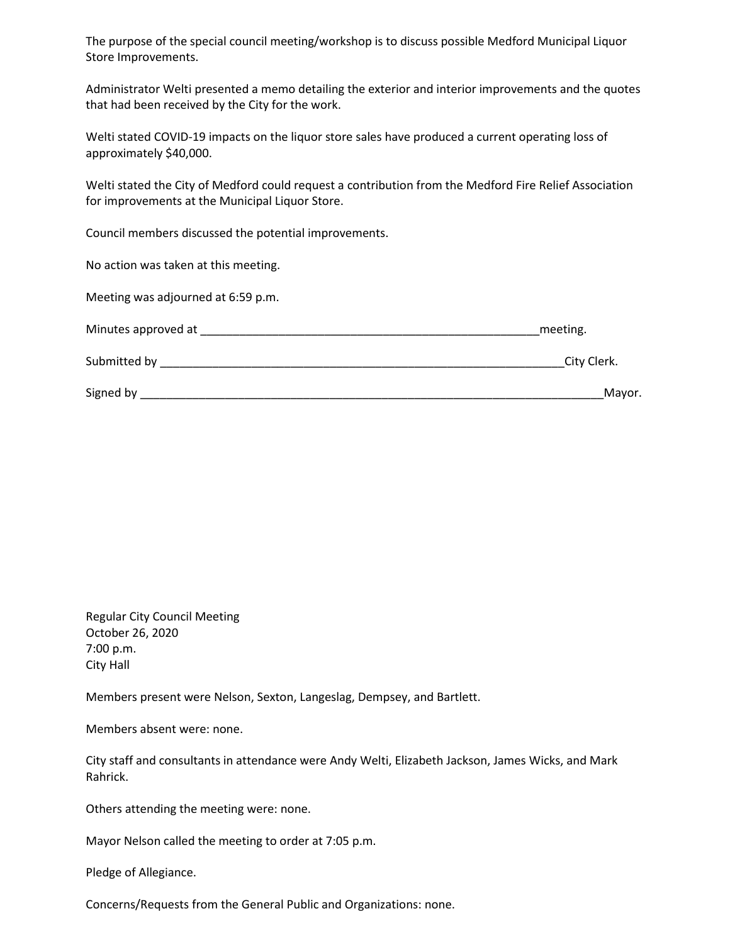The purpose of the special council meeting/workshop is to discuss possible Medford Municipal Liquor Store Improvements.

Administrator Welti presented a memo detailing the exterior and interior improvements and the quotes that had been received by the City for the work.

Welti stated COVID-19 impacts on the liquor store sales have produced a current operating loss of approximately \$40,000.

Welti stated the City of Medford could request a contribution from the Medford Fire Relief Association for improvements at the Municipal Liquor Store.

Council members discussed the potential improvements.

No action was taken at this meeting.

Meeting was adjourned at 6:59 p.m.

| Minutes approved at | meeting.    |
|---------------------|-------------|
| Submitted by        | City Clerk. |
| Signed by           | Mayor.      |

Regular City Council Meeting October 26, 2020 7:00 p.m. City Hall

Members present were Nelson, Sexton, Langeslag, Dempsey, and Bartlett.

Members absent were: none.

City staff and consultants in attendance were Andy Welti, Elizabeth Jackson, James Wicks, and Mark Rahrick.

Others attending the meeting were: none.

Mayor Nelson called the meeting to order at 7:05 p.m.

Pledge of Allegiance.

Concerns/Requests from the General Public and Organizations: none.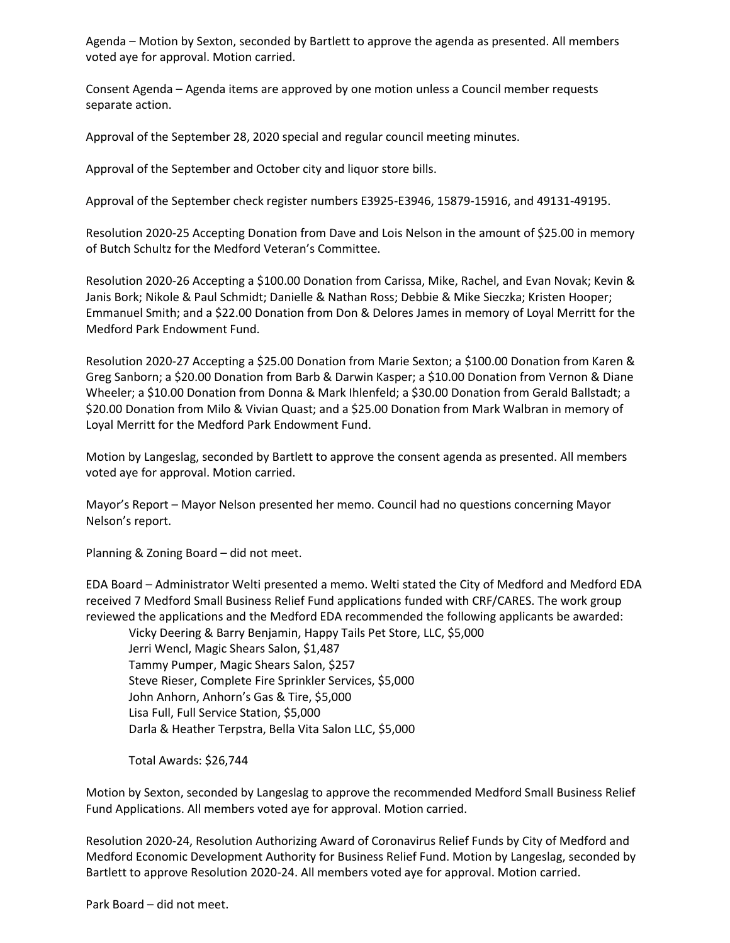Agenda – Motion by Sexton, seconded by Bartlett to approve the agenda as presented. All members voted aye for approval. Motion carried.

Consent Agenda – Agenda items are approved by one motion unless a Council member requests separate action.

Approval of the September 28, 2020 special and regular council meeting minutes.

Approval of the September and October city and liquor store bills.

Approval of the September check register numbers E3925-E3946, 15879-15916, and 49131-49195.

Resolution 2020-25 Accepting Donation from Dave and Lois Nelson in the amount of \$25.00 in memory of Butch Schultz for the Medford Veteran's Committee.

Resolution 2020-26 Accepting a \$100.00 Donation from Carissa, Mike, Rachel, and Evan Novak; Kevin & Janis Bork; Nikole & Paul Schmidt; Danielle & Nathan Ross; Debbie & Mike Sieczka; Kristen Hooper; Emmanuel Smith; and a \$22.00 Donation from Don & Delores James in memory of Loyal Merritt for the Medford Park Endowment Fund.

Resolution 2020-27 Accepting a \$25.00 Donation from Marie Sexton; a \$100.00 Donation from Karen & Greg Sanborn; a \$20.00 Donation from Barb & Darwin Kasper; a \$10.00 Donation from Vernon & Diane Wheeler; a \$10.00 Donation from Donna & Mark Ihlenfeld; a \$30.00 Donation from Gerald Ballstadt; a \$20.00 Donation from Milo & Vivian Quast; and a \$25.00 Donation from Mark Walbran in memory of Loyal Merritt for the Medford Park Endowment Fund.

Motion by Langeslag, seconded by Bartlett to approve the consent agenda as presented. All members voted aye for approval. Motion carried.

Mayor's Report – Mayor Nelson presented her memo. Council had no questions concerning Mayor Nelson's report.

Planning & Zoning Board – did not meet.

EDA Board – Administrator Welti presented a memo. Welti stated the City of Medford and Medford EDA received 7 Medford Small Business Relief Fund applications funded with CRF/CARES. The work group reviewed the applications and the Medford EDA recommended the following applicants be awarded: Vicky Deering & Barry Benjamin, Happy Tails Pet Store, LLC, \$5,000 Jerri Wencl, Magic Shears Salon, \$1,487

Tammy Pumper, Magic Shears Salon, \$257 Steve Rieser, Complete Fire Sprinkler Services, \$5,000 John Anhorn, Anhorn's Gas & Tire, \$5,000 Lisa Full, Full Service Station, \$5,000 Darla & Heather Terpstra, Bella Vita Salon LLC, \$5,000

Total Awards: \$26,744

Motion by Sexton, seconded by Langeslag to approve the recommended Medford Small Business Relief Fund Applications. All members voted aye for approval. Motion carried.

Resolution 2020-24, Resolution Authorizing Award of Coronavirus Relief Funds by City of Medford and Medford Economic Development Authority for Business Relief Fund. Motion by Langeslag, seconded by Bartlett to approve Resolution 2020-24. All members voted aye for approval. Motion carried.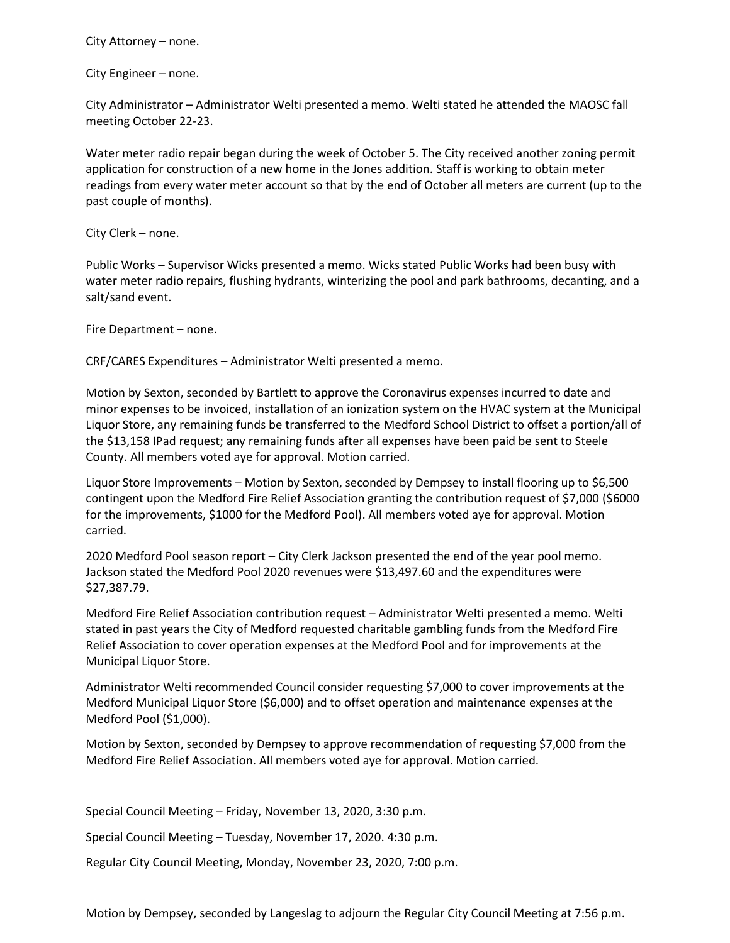City Attorney – none.

City Engineer – none.

City Administrator – Administrator Welti presented a memo. Welti stated he attended the MAOSC fall meeting October 22-23.

Water meter radio repair began during the week of October 5. The City received another zoning permit application for construction of a new home in the Jones addition. Staff is working to obtain meter readings from every water meter account so that by the end of October all meters are current (up to the past couple of months).

City Clerk – none.

Public Works – Supervisor Wicks presented a memo. Wicks stated Public Works had been busy with water meter radio repairs, flushing hydrants, winterizing the pool and park bathrooms, decanting, and a salt/sand event.

Fire Department – none.

CRF/CARES Expenditures – Administrator Welti presented a memo.

Motion by Sexton, seconded by Bartlett to approve the Coronavirus expenses incurred to date and minor expenses to be invoiced, installation of an ionization system on the HVAC system at the Municipal Liquor Store, any remaining funds be transferred to the Medford School District to offset a portion/all of the \$13,158 IPad request; any remaining funds after all expenses have been paid be sent to Steele County. All members voted aye for approval. Motion carried.

Liquor Store Improvements – Motion by Sexton, seconded by Dempsey to install flooring up to \$6,500 contingent upon the Medford Fire Relief Association granting the contribution request of \$7,000 (\$6000 for the improvements, \$1000 for the Medford Pool). All members voted aye for approval. Motion carried.

2020 Medford Pool season report – City Clerk Jackson presented the end of the year pool memo. Jackson stated the Medford Pool 2020 revenues were \$13,497.60 and the expenditures were \$27,387.79.

Medford Fire Relief Association contribution request – Administrator Welti presented a memo. Welti stated in past years the City of Medford requested charitable gambling funds from the Medford Fire Relief Association to cover operation expenses at the Medford Pool and for improvements at the Municipal Liquor Store.

Administrator Welti recommended Council consider requesting \$7,000 to cover improvements at the Medford Municipal Liquor Store (\$6,000) and to offset operation and maintenance expenses at the Medford Pool (\$1,000).

Motion by Sexton, seconded by Dempsey to approve recommendation of requesting \$7,000 from the Medford Fire Relief Association. All members voted aye for approval. Motion carried.

Special Council Meeting – Friday, November 13, 2020, 3:30 p.m.

Special Council Meeting – Tuesday, November 17, 2020. 4:30 p.m.

Regular City Council Meeting, Monday, November 23, 2020, 7:00 p.m.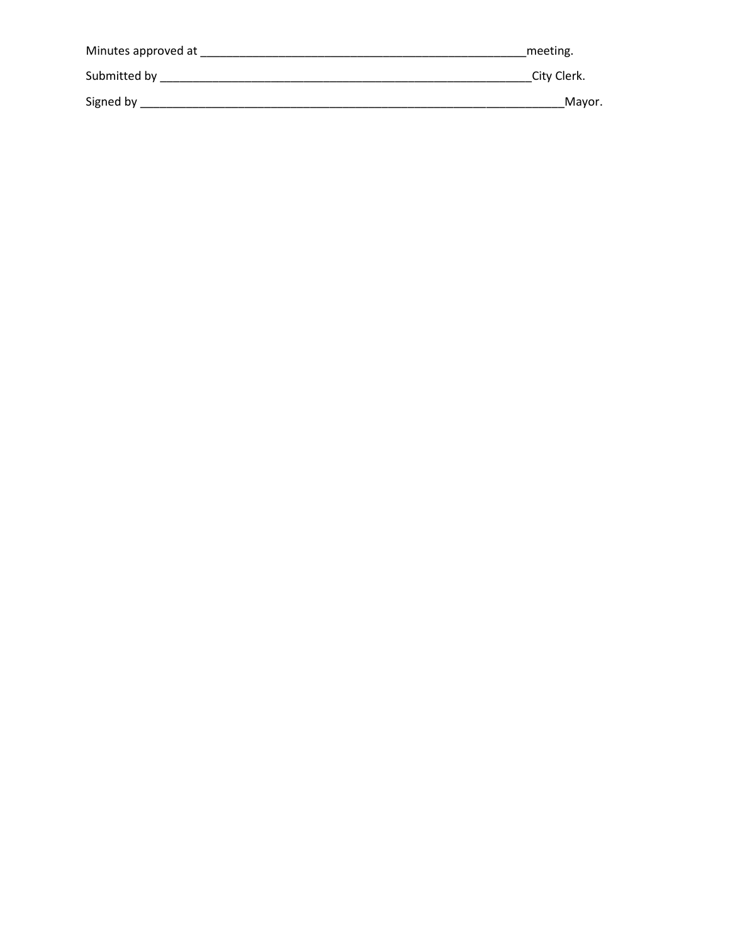| Minutes approved at | meeting.    |
|---------------------|-------------|
| Submitted by        | City Clerk. |
| Signed by           | Mavor.      |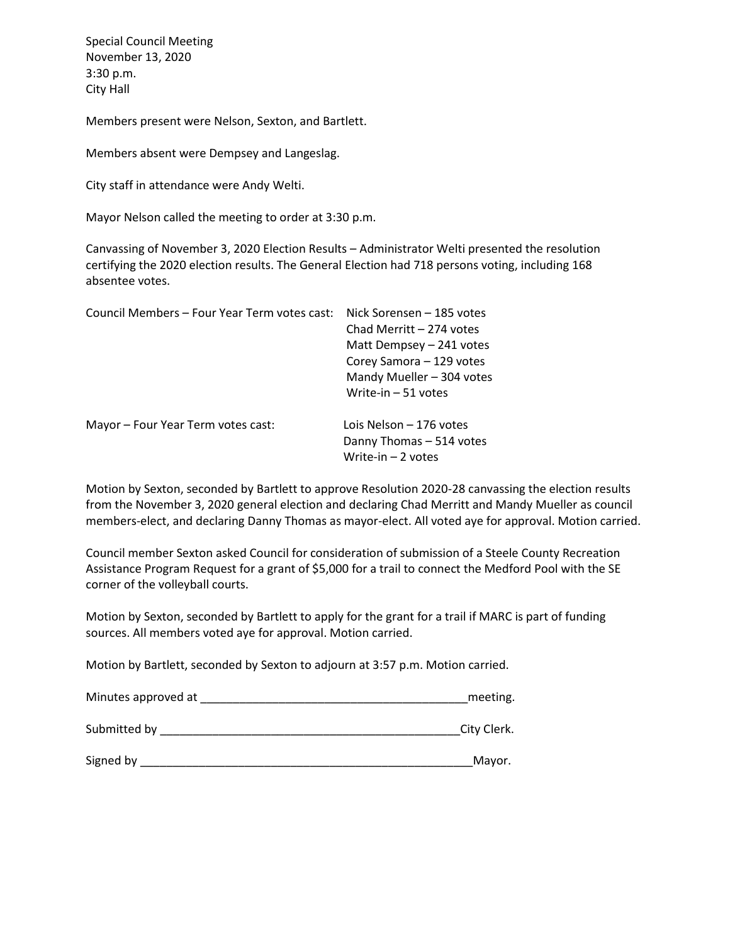Special Council Meeting November 13, 2020 3:30 p.m. City Hall

Members present were Nelson, Sexton, and Bartlett.

Members absent were Dempsey and Langeslag.

City staff in attendance were Andy Welti.

Mayor Nelson called the meeting to order at 3:30 p.m.

Canvassing of November 3, 2020 Election Results – Administrator Welti presented the resolution certifying the 2020 election results. The General Election had 718 persons voting, including 168 absentee votes.

| Council Members – Four Year Term votes cast: | Nick Sorensen – 185 votes |
|----------------------------------------------|---------------------------|
|                                              | Chad Merritt - 274 votes  |
|                                              | Matt Dempsey - 241 votes  |
|                                              | Corey Samora - 129 votes  |
|                                              | Mandy Mueller - 304 votes |
|                                              | Write-in $-51$ votes      |
| Mayor – Four Year Term votes cast:           | Lois Nelson – 176 votes   |
|                                              | Danny Thomas - 514 votes  |
|                                              | Write-in $-2$ votes       |

Motion by Sexton, seconded by Bartlett to approve Resolution 2020-28 canvassing the election results from the November 3, 2020 general election and declaring Chad Merritt and Mandy Mueller as council members-elect, and declaring Danny Thomas as mayor-elect. All voted aye for approval. Motion carried.

Council member Sexton asked Council for consideration of submission of a Steele County Recreation Assistance Program Request for a grant of \$5,000 for a trail to connect the Medford Pool with the SE corner of the volleyball courts.

Motion by Sexton, seconded by Bartlett to apply for the grant for a trail if MARC is part of funding sources. All members voted aye for approval. Motion carried.

Motion by Bartlett, seconded by Sexton to adjourn at 3:57 p.m. Motion carried.

| Minutes approved at | meeting.    |
|---------------------|-------------|
| Submitted by        | City Clerk. |

| Signed by |  |
|-----------|--|
|           |  |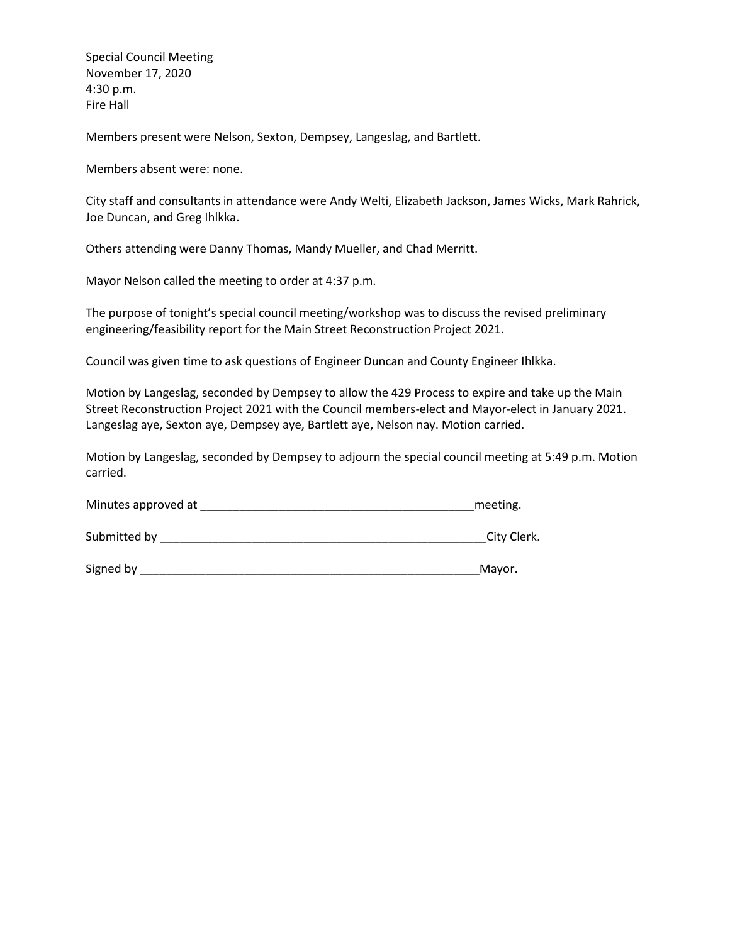Special Council Meeting November 17, 2020 4:30 p.m. Fire Hall

Members present were Nelson, Sexton, Dempsey, Langeslag, and Bartlett.

Members absent were: none.

City staff and consultants in attendance were Andy Welti, Elizabeth Jackson, James Wicks, Mark Rahrick, Joe Duncan, and Greg Ihlkka.

Others attending were Danny Thomas, Mandy Mueller, and Chad Merritt.

Mayor Nelson called the meeting to order at 4:37 p.m.

The purpose of tonight's special council meeting/workshop was to discuss the revised preliminary engineering/feasibility report for the Main Street Reconstruction Project 2021.

Council was given time to ask questions of Engineer Duncan and County Engineer Ihlkka.

Motion by Langeslag, seconded by Dempsey to allow the 429 Process to expire and take up the Main Street Reconstruction Project 2021 with the Council members-elect and Mayor-elect in January 2021. Langeslag aye, Sexton aye, Dempsey aye, Bartlett aye, Nelson nay. Motion carried.

Motion by Langeslag, seconded by Dempsey to adjourn the special council meeting at 5:49 p.m. Motion carried.

| Minutes approved at | meeting. |
|---------------------|----------|
|---------------------|----------|

Submitted by \_\_\_\_\_\_\_\_\_\_\_\_\_\_\_\_\_\_\_\_\_\_\_\_\_\_\_\_\_\_\_\_\_\_\_\_\_\_\_\_\_\_\_\_\_\_\_\_\_\_City Clerk.

Signed by \_\_\_\_\_\_\_\_\_\_\_\_\_\_\_\_\_\_\_\_\_\_\_\_\_\_\_\_\_\_\_\_\_\_\_\_\_\_\_\_\_\_\_\_\_\_\_\_\_\_\_\_Mayor.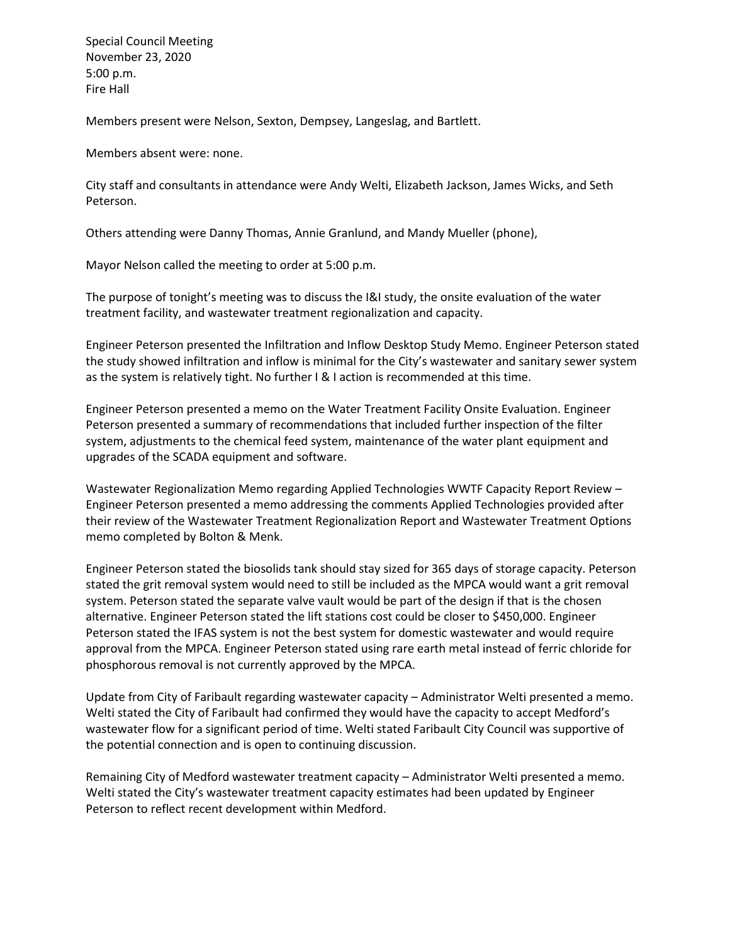Special Council Meeting November 23, 2020 5:00 p.m. Fire Hall

Members present were Nelson, Sexton, Dempsey, Langeslag, and Bartlett.

Members absent were: none.

City staff and consultants in attendance were Andy Welti, Elizabeth Jackson, James Wicks, and Seth Peterson.

Others attending were Danny Thomas, Annie Granlund, and Mandy Mueller (phone),

Mayor Nelson called the meeting to order at 5:00 p.m.

The purpose of tonight's meeting was to discuss the I&I study, the onsite evaluation of the water treatment facility, and wastewater treatment regionalization and capacity.

Engineer Peterson presented the Infiltration and Inflow Desktop Study Memo. Engineer Peterson stated the study showed infiltration and inflow is minimal for the City's wastewater and sanitary sewer system as the system is relatively tight. No further I & I action is recommended at this time.

Engineer Peterson presented a memo on the Water Treatment Facility Onsite Evaluation. Engineer Peterson presented a summary of recommendations that included further inspection of the filter system, adjustments to the chemical feed system, maintenance of the water plant equipment and upgrades of the SCADA equipment and software.

Wastewater Regionalization Memo regarding Applied Technologies WWTF Capacity Report Review – Engineer Peterson presented a memo addressing the comments Applied Technologies provided after their review of the Wastewater Treatment Regionalization Report and Wastewater Treatment Options memo completed by Bolton & Menk.

Engineer Peterson stated the biosolids tank should stay sized for 365 days of storage capacity. Peterson stated the grit removal system would need to still be included as the MPCA would want a grit removal system. Peterson stated the separate valve vault would be part of the design if that is the chosen alternative. Engineer Peterson stated the lift stations cost could be closer to \$450,000. Engineer Peterson stated the IFAS system is not the best system for domestic wastewater and would require approval from the MPCA. Engineer Peterson stated using rare earth metal instead of ferric chloride for phosphorous removal is not currently approved by the MPCA.

Update from City of Faribault regarding wastewater capacity – Administrator Welti presented a memo. Welti stated the City of Faribault had confirmed they would have the capacity to accept Medford's wastewater flow for a significant period of time. Welti stated Faribault City Council was supportive of the potential connection and is open to continuing discussion.

Remaining City of Medford wastewater treatment capacity – Administrator Welti presented a memo. Welti stated the City's wastewater treatment capacity estimates had been updated by Engineer Peterson to reflect recent development within Medford.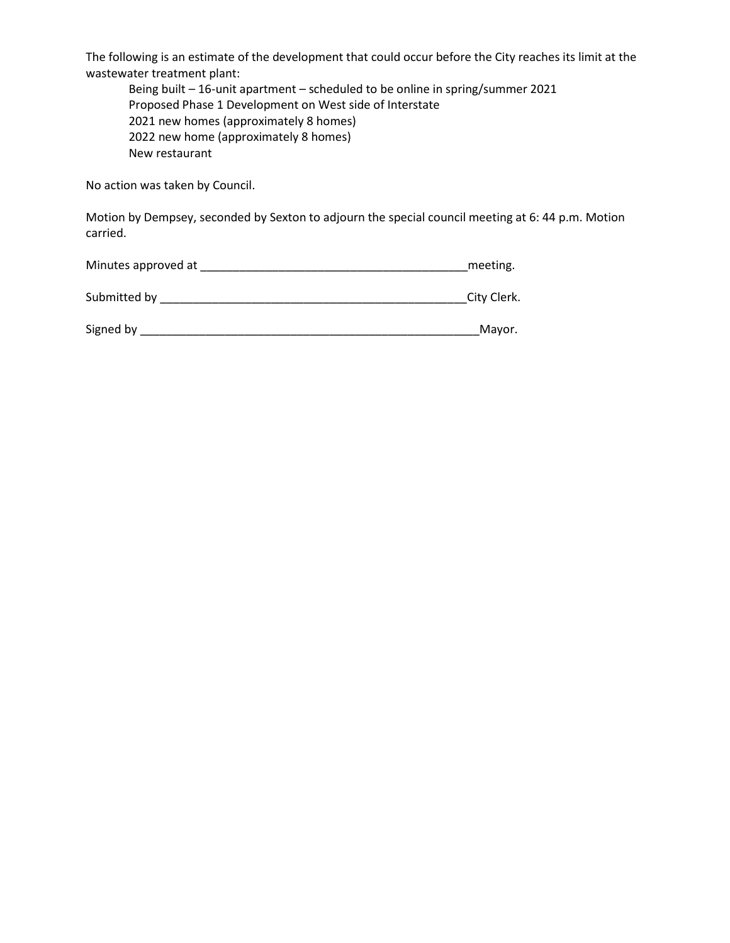The following is an estimate of the development that could occur before the City reaches its limit at the wastewater treatment plant:

Being built – 16-unit apartment – scheduled to be online in spring/summer 2021 Proposed Phase 1 Development on West side of Interstate 2021 new homes (approximately 8 homes) 2022 new home (approximately 8 homes) New restaurant

No action was taken by Council.

Motion by Dempsey, seconded by Sexton to adjourn the special council meeting at 6: 44 p.m. Motion carried.

| Minutes approved at | meeting.    |
|---------------------|-------------|
|                     |             |
| Submitted by        | City Clerk. |

| Signed by | Mayor |
|-----------|-------|
|           |       |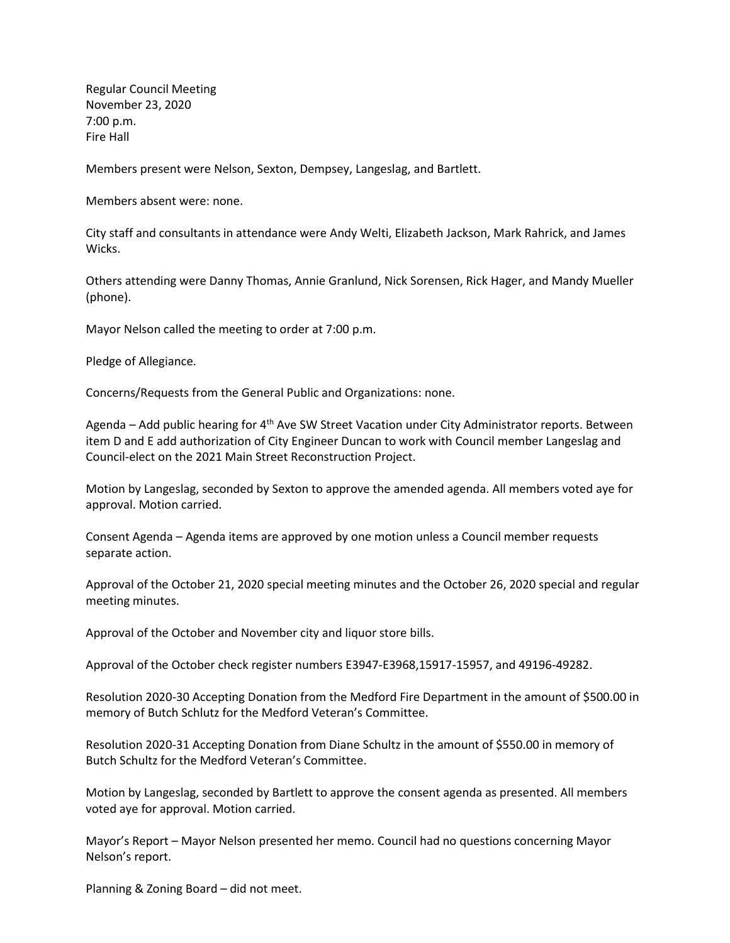Regular Council Meeting November 23, 2020 7:00 p.m. Fire Hall

Members present were Nelson, Sexton, Dempsey, Langeslag, and Bartlett.

Members absent were: none.

City staff and consultants in attendance were Andy Welti, Elizabeth Jackson, Mark Rahrick, and James Wicks.

Others attending were Danny Thomas, Annie Granlund, Nick Sorensen, Rick Hager, and Mandy Mueller (phone).

Mayor Nelson called the meeting to order at 7:00 p.m.

Pledge of Allegiance.

Concerns/Requests from the General Public and Organizations: none.

Agenda – Add public hearing for 4<sup>th</sup> Ave SW Street Vacation under City Administrator reports. Between item D and E add authorization of City Engineer Duncan to work with Council member Langeslag and Council-elect on the 2021 Main Street Reconstruction Project.

Motion by Langeslag, seconded by Sexton to approve the amended agenda. All members voted aye for approval. Motion carried.

Consent Agenda – Agenda items are approved by one motion unless a Council member requests separate action.

Approval of the October 21, 2020 special meeting minutes and the October 26, 2020 special and regular meeting minutes.

Approval of the October and November city and liquor store bills.

Approval of the October check register numbers E3947-E3968,15917-15957, and 49196-49282.

Resolution 2020-30 Accepting Donation from the Medford Fire Department in the amount of \$500.00 in memory of Butch Schlutz for the Medford Veteran's Committee.

Resolution 2020-31 Accepting Donation from Diane Schultz in the amount of \$550.00 in memory of Butch Schultz for the Medford Veteran's Committee.

Motion by Langeslag, seconded by Bartlett to approve the consent agenda as presented. All members voted aye for approval. Motion carried.

Mayor's Report – Mayor Nelson presented her memo. Council had no questions concerning Mayor Nelson's report.

Planning & Zoning Board – did not meet.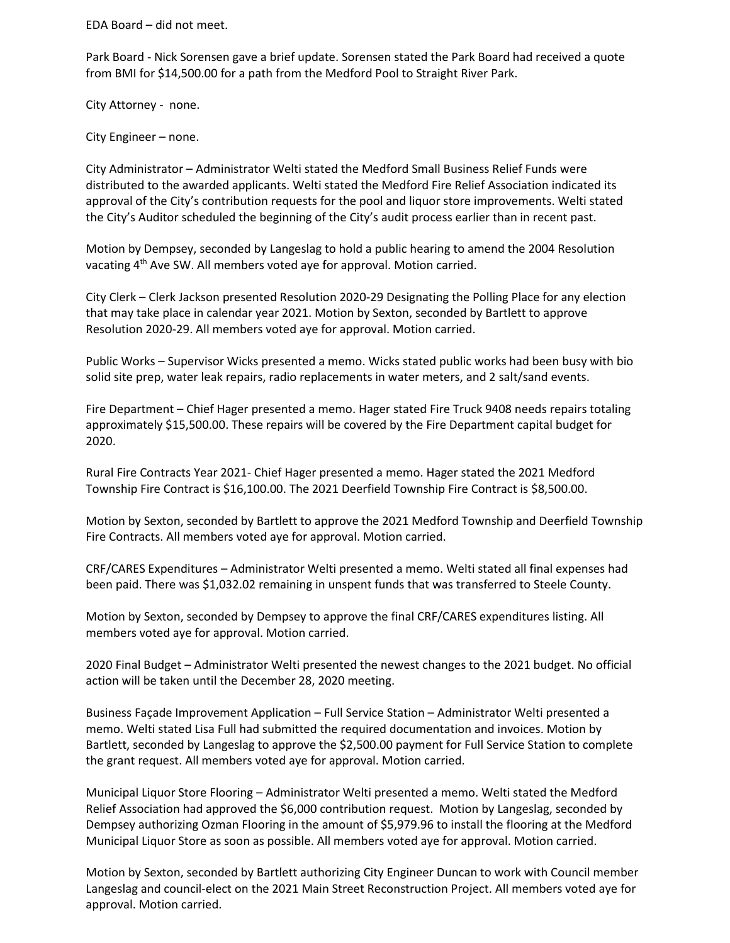EDA Board – did not meet.

Park Board - Nick Sorensen gave a brief update. Sorensen stated the Park Board had received a quote from BMI for \$14,500.00 for a path from the Medford Pool to Straight River Park.

City Attorney - none.

City Engineer – none.

City Administrator – Administrator Welti stated the Medford Small Business Relief Funds were distributed to the awarded applicants. Welti stated the Medford Fire Relief Association indicated its approval of the City's contribution requests for the pool and liquor store improvements. Welti stated the City's Auditor scheduled the beginning of the City's audit process earlier than in recent past.

Motion by Dempsey, seconded by Langeslag to hold a public hearing to amend the 2004 Resolution vacating 4<sup>th</sup> Ave SW. All members voted aye for approval. Motion carried.

City Clerk – Clerk Jackson presented Resolution 2020-29 Designating the Polling Place for any election that may take place in calendar year 2021. Motion by Sexton, seconded by Bartlett to approve Resolution 2020-29. All members voted aye for approval. Motion carried.

Public Works – Supervisor Wicks presented a memo. Wicks stated public works had been busy with bio solid site prep, water leak repairs, radio replacements in water meters, and 2 salt/sand events.

Fire Department – Chief Hager presented a memo. Hager stated Fire Truck 9408 needs repairs totaling approximately \$15,500.00. These repairs will be covered by the Fire Department capital budget for 2020.

Rural Fire Contracts Year 2021- Chief Hager presented a memo. Hager stated the 2021 Medford Township Fire Contract is \$16,100.00. The 2021 Deerfield Township Fire Contract is \$8,500.00.

Motion by Sexton, seconded by Bartlett to approve the 2021 Medford Township and Deerfield Township Fire Contracts. All members voted aye for approval. Motion carried.

CRF/CARES Expenditures – Administrator Welti presented a memo. Welti stated all final expenses had been paid. There was \$1,032.02 remaining in unspent funds that was transferred to Steele County.

Motion by Sexton, seconded by Dempsey to approve the final CRF/CARES expenditures listing. All members voted aye for approval. Motion carried.

2020 Final Budget – Administrator Welti presented the newest changes to the 2021 budget. No official action will be taken until the December 28, 2020 meeting.

Business Façade Improvement Application – Full Service Station – Administrator Welti presented a memo. Welti stated Lisa Full had submitted the required documentation and invoices. Motion by Bartlett, seconded by Langeslag to approve the \$2,500.00 payment for Full Service Station to complete the grant request. All members voted aye for approval. Motion carried.

Municipal Liquor Store Flooring – Administrator Welti presented a memo. Welti stated the Medford Relief Association had approved the \$6,000 contribution request. Motion by Langeslag, seconded by Dempsey authorizing Ozman Flooring in the amount of \$5,979.96 to install the flooring at the Medford Municipal Liquor Store as soon as possible. All members voted aye for approval. Motion carried.

Motion by Sexton, seconded by Bartlett authorizing City Engineer Duncan to work with Council member Langeslag and council-elect on the 2021 Main Street Reconstruction Project. All members voted aye for approval. Motion carried.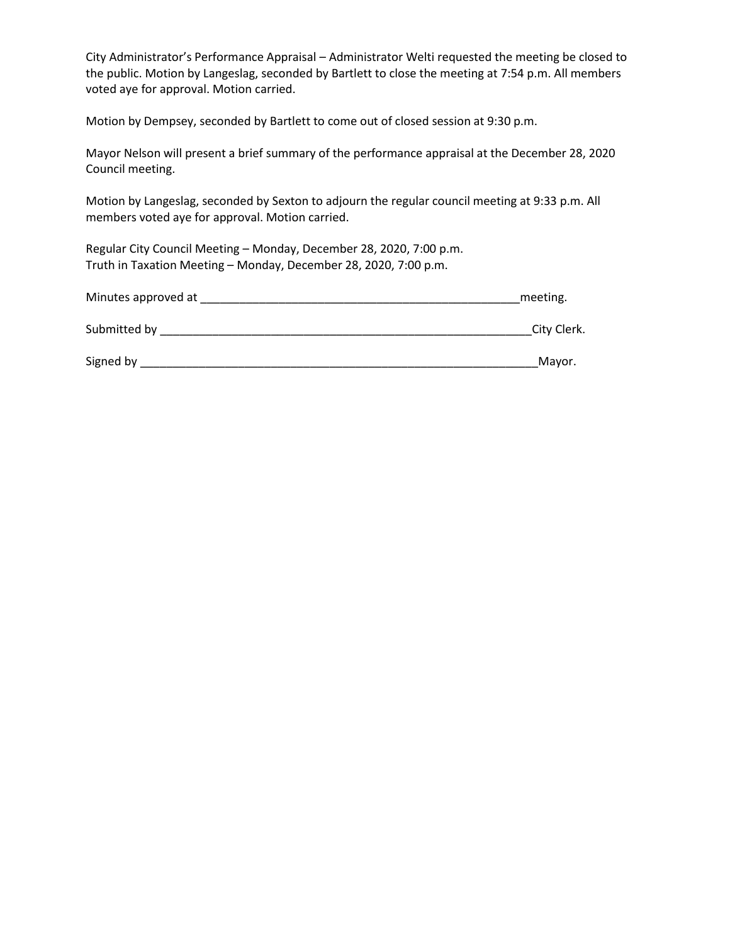City Administrator's Performance Appraisal – Administrator Welti requested the meeting be closed to the public. Motion by Langeslag, seconded by Bartlett to close the meeting at 7:54 p.m. All members voted aye for approval. Motion carried.

Motion by Dempsey, seconded by Bartlett to come out of closed session at 9:30 p.m.

Mayor Nelson will present a brief summary of the performance appraisal at the December 28, 2020 Council meeting.

Motion by Langeslag, seconded by Sexton to adjourn the regular council meeting at 9:33 p.m. All members voted aye for approval. Motion carried.

Regular City Council Meeting – Monday, December 28, 2020, 7:00 p.m. Truth in Taxation Meeting – Monday, December 28, 2020, 7:00 p.m.

| Minutes approved at | meeting.    |
|---------------------|-------------|
| Submitted by        | City Clerk. |

Signed by \_\_\_\_\_\_\_\_\_\_\_\_\_\_\_\_\_\_\_\_\_\_\_\_\_\_\_\_\_\_\_\_\_\_\_\_\_\_\_\_\_\_\_\_\_\_\_\_\_\_\_\_\_\_\_\_\_\_\_\_\_Mayor.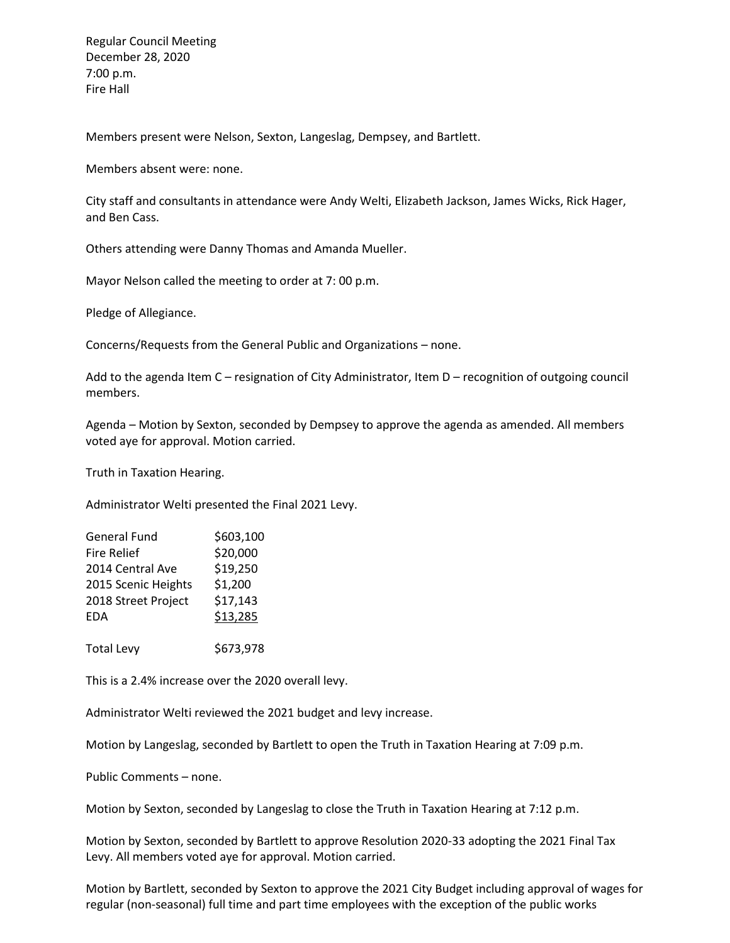Regular Council Meeting December 28, 2020 7:00 p.m. Fire Hall

Members present were Nelson, Sexton, Langeslag, Dempsey, and Bartlett.

Members absent were: none.

City staff and consultants in attendance were Andy Welti, Elizabeth Jackson, James Wicks, Rick Hager, and Ben Cass.

Others attending were Danny Thomas and Amanda Mueller.

Mayor Nelson called the meeting to order at 7: 00 p.m.

Pledge of Allegiance.

Concerns/Requests from the General Public and Organizations – none.

Add to the agenda Item C – resignation of City Administrator, Item D – recognition of outgoing council members.

Agenda – Motion by Sexton, seconded by Dempsey to approve the agenda as amended. All members voted aye for approval. Motion carried.

Truth in Taxation Hearing.

Administrator Welti presented the Final 2021 Levy.

| <b>General Fund</b> | \$603,100 |
|---------------------|-----------|
| <b>Fire Relief</b>  | \$20,000  |
| 2014 Central Ave    | \$19,250  |
| 2015 Scenic Heights | \$1,200   |
| 2018 Street Project | \$17,143  |
| <b>EDA</b>          | \$13,285  |
|                     |           |

Total Levy \$673,978

This is a 2.4% increase over the 2020 overall levy.

Administrator Welti reviewed the 2021 budget and levy increase.

Motion by Langeslag, seconded by Bartlett to open the Truth in Taxation Hearing at 7:09 p.m.

Public Comments – none.

Motion by Sexton, seconded by Langeslag to close the Truth in Taxation Hearing at 7:12 p.m.

Motion by Sexton, seconded by Bartlett to approve Resolution 2020-33 adopting the 2021 Final Tax Levy. All members voted aye for approval. Motion carried.

Motion by Bartlett, seconded by Sexton to approve the 2021 City Budget including approval of wages for regular (non-seasonal) full time and part time employees with the exception of the public works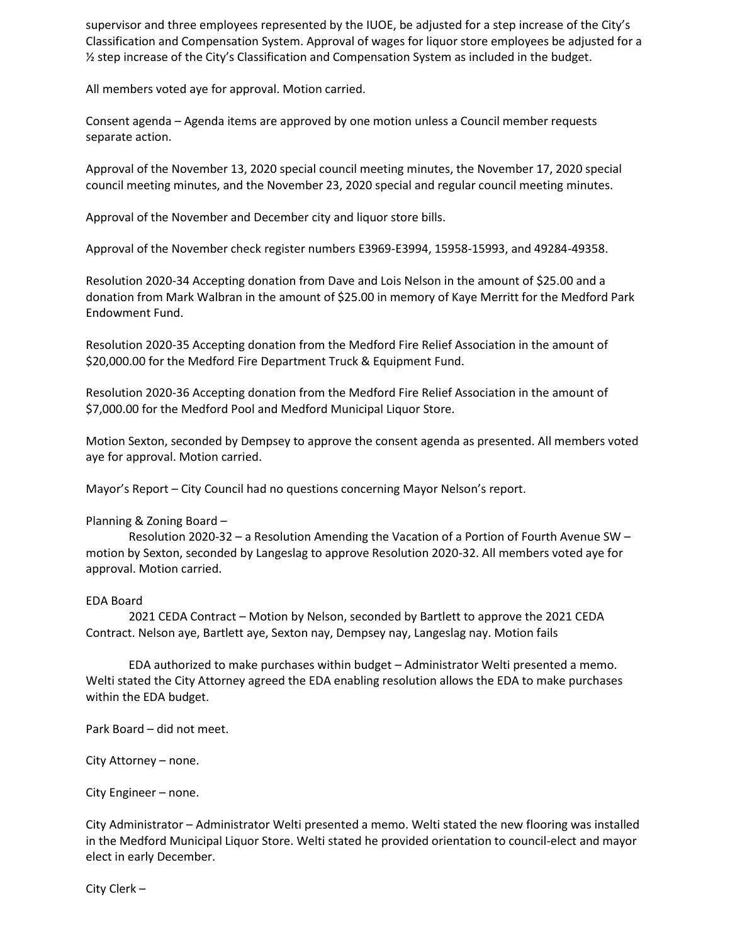supervisor and three employees represented by the IUOE, be adjusted for a step increase of the City's Classification and Compensation System. Approval of wages for liquor store employees be adjusted for a ½ step increase of the City's Classification and Compensation System as included in the budget.

All members voted aye for approval. Motion carried.

Consent agenda – Agenda items are approved by one motion unless a Council member requests separate action.

Approval of the November 13, 2020 special council meeting minutes, the November 17, 2020 special council meeting minutes, and the November 23, 2020 special and regular council meeting minutes.

Approval of the November and December city and liquor store bills.

Approval of the November check register numbers E3969-E3994, 15958-15993, and 49284-49358.

Resolution 2020-34 Accepting donation from Dave and Lois Nelson in the amount of \$25.00 and a donation from Mark Walbran in the amount of \$25.00 in memory of Kaye Merritt for the Medford Park Endowment Fund.

Resolution 2020-35 Accepting donation from the Medford Fire Relief Association in the amount of \$20,000.00 for the Medford Fire Department Truck & Equipment Fund.

Resolution 2020-36 Accepting donation from the Medford Fire Relief Association in the amount of \$7,000.00 for the Medford Pool and Medford Municipal Liquor Store.

Motion Sexton, seconded by Dempsey to approve the consent agenda as presented. All members voted aye for approval. Motion carried.

Mayor's Report – City Council had no questions concerning Mayor Nelson's report.

### Planning & Zoning Board –

Resolution 2020-32 – a Resolution Amending the Vacation of a Portion of Fourth Avenue SW – motion by Sexton, seconded by Langeslag to approve Resolution 2020-32. All members voted aye for approval. Motion carried.

### EDA Board

2021 CEDA Contract – Motion by Nelson, seconded by Bartlett to approve the 2021 CEDA Contract. Nelson aye, Bartlett aye, Sexton nay, Dempsey nay, Langeslag nay. Motion fails

EDA authorized to make purchases within budget – Administrator Welti presented a memo. Welti stated the City Attorney agreed the EDA enabling resolution allows the EDA to make purchases within the EDA budget.

Park Board – did not meet.

City Attorney – none.

City Engineer – none.

City Administrator – Administrator Welti presented a memo. Welti stated the new flooring was installed in the Medford Municipal Liquor Store. Welti stated he provided orientation to council-elect and mayor elect in early December.